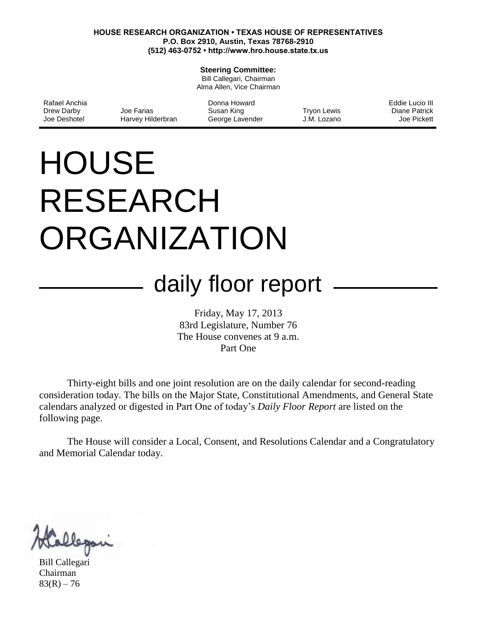#### **HOUSE RESEARCH ORGANIZATION • TEXAS HOUSE OF REPRESENTATIVES P.O. Box 2910, Austin, Texas 78768-2910 (512) 463-0752 • http://www.hro.house.state.tx.us**

#### **Steering Committee:**

Bill Callegari, Chairman Alma Allen, Vice Chairman

| Rafael Anchia |                   | Donna Howard    |             | Eddie Lucio III |
|---------------|-------------------|-----------------|-------------|-----------------|
| Drew Darby    | Joe Farias        | Susan King      | Tryon Lewis | Diane Patrick   |
| Joe Deshotel  | Harvey Hilderbran | George Lavender | J.M. Lozano | Joe Pickett     |

# **HOUSE** RESEARCH ORGANIZATION

## daily floor report

Friday, May 17, 2013 83rd Legislature, Number 76 The House convenes at 9 a.m. Part One

Thirty-eight bills and one joint resolution are on the daily calendar for second-reading consideration today. The bills on the Major State, Constitutional Amendments, and General State calendars analyzed or digested in Part One of today's *Daily Floor Report* are listed on the following page.

The House will consider a Local, Consent, and Resolutions Calendar and a Congratulatory and Memorial Calendar today.

Bill Callegari Chairman  $83(R) - 76$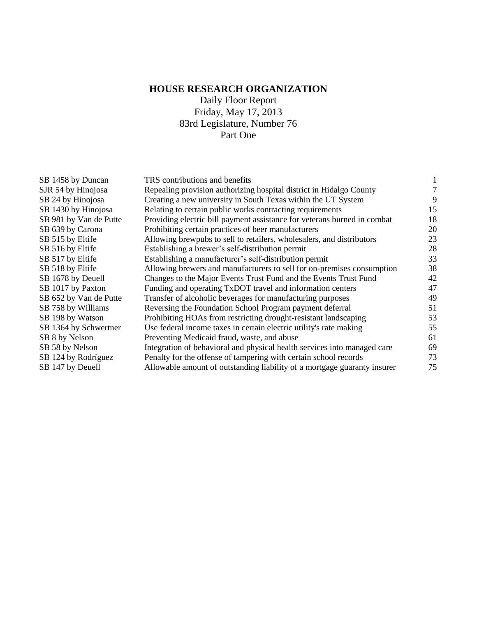### **HOUSE RESEARCH ORGANIZATION**

Daily Floor Report Friday, May 17, 2013 83rd Legislature, Number 76 Part One

| SB 1458 by Duncan      | TRS contributions and benefits                                           |    |
|------------------------|--------------------------------------------------------------------------|----|
| SJR 54 by Hinojosa     | Repealing provision authorizing hospital district in Hidalgo County      |    |
| SB 24 by Hinojosa      | Creating a new university in South Texas within the UT System            | 9  |
| SB 1430 by Hinojosa    | Relating to certain public works contracting requirements                | 15 |
| SB 981 by Van de Putte | Providing electric bill payment assistance for veterans burned in combat | 18 |
| SB 639 by Carona       | Prohibiting certain practices of beer manufacturers                      | 20 |
| SB 515 by Eltife       | Allowing brewpubs to sell to retailers, wholesalers, and distributors    | 23 |
| SB 516 by Eltife       | Establishing a brewer's self-distribution permit                         | 28 |
| SB 517 by Eltife       | Establishing a manufacturer's self-distribution permit                   | 33 |
| SB 518 by Eltife       | Allowing brewers and manufacturers to sell for on-premises consumption   | 38 |
| SB 1678 by Deuell      | Changes to the Major Events Trust Fund and the Events Trust Fund         | 42 |
| SB 1017 by Paxton      | Funding and operating TxDOT travel and information centers               | 47 |
| SB 652 by Van de Putte | Transfer of alcoholic beverages for manufacturing purposes               | 49 |
| SB 758 by Williams     | Reversing the Foundation School Program payment deferral                 | 51 |
| SB 198 by Watson       | Prohibiting HOAs from restricting drought-resistant landscaping          | 53 |
| SB 1364 by Schwertner  | Use federal income taxes in certain electric utility's rate making       | 55 |
| SB 8 by Nelson         | Preventing Medicaid fraud, waste, and abuse                              | 61 |
| SB 58 by Nelson        | Integration of behavioral and physical health services into managed care | 69 |
| SB 124 by Rodríguez    | Penalty for the offense of tampering with certain school records         | 73 |
| SB 147 by Deuell       | Allowable amount of outstanding liability of a mortgage guaranty insurer | 75 |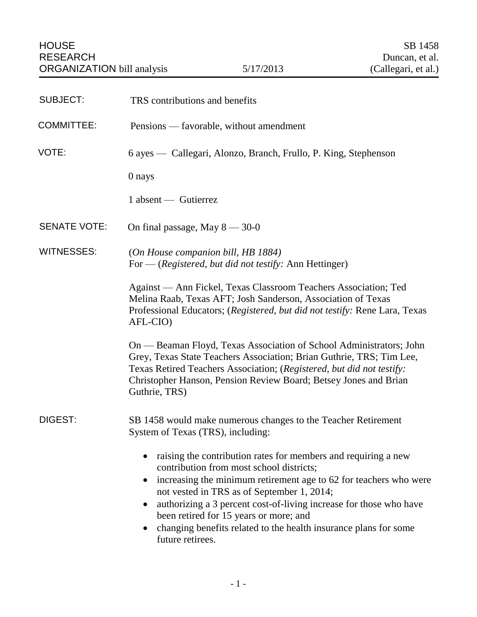<span id="page-2-0"></span>

| <b>SUBJECT:</b>     | TRS contributions and benefits                                                                                                                                                                                                                                                                                                                                                                                                                                  |
|---------------------|-----------------------------------------------------------------------------------------------------------------------------------------------------------------------------------------------------------------------------------------------------------------------------------------------------------------------------------------------------------------------------------------------------------------------------------------------------------------|
| <b>COMMITTEE:</b>   | Pensions — favorable, without amendment                                                                                                                                                                                                                                                                                                                                                                                                                         |
| VOTE:               | 6 ayes — Callegari, Alonzo, Branch, Frullo, P. King, Stephenson                                                                                                                                                                                                                                                                                                                                                                                                 |
|                     | 0 nays                                                                                                                                                                                                                                                                                                                                                                                                                                                          |
|                     | 1 absent — Gutierrez                                                                                                                                                                                                                                                                                                                                                                                                                                            |
| <b>SENATE VOTE:</b> | On final passage, May $8 - 30 - 0$                                                                                                                                                                                                                                                                                                                                                                                                                              |
| <b>WITNESSES:</b>   | (On House companion bill, HB 1884)<br>For — (Registered, but did not testify: Ann Hettinger)                                                                                                                                                                                                                                                                                                                                                                    |
|                     | Against — Ann Fickel, Texas Classroom Teachers Association; Ted<br>Melina Raab, Texas AFT; Josh Sanderson, Association of Texas<br>Professional Educators; (Registered, but did not testify: Rene Lara, Texas<br>AFL-CIO)                                                                                                                                                                                                                                       |
|                     | On — Beaman Floyd, Texas Association of School Administrators; John<br>Grey, Texas State Teachers Association; Brian Guthrie, TRS; Tim Lee,<br>Texas Retired Teachers Association; (Registered, but did not testify:<br>Christopher Hanson, Pension Review Board; Betsey Jones and Brian<br>Guthrie, TRS)                                                                                                                                                       |
| DIGEST:             | SB 1458 would make numerous changes to the Teacher Retirement<br>System of Texas (TRS), including:                                                                                                                                                                                                                                                                                                                                                              |
|                     | raising the contribution rates for members and requiring a new<br>contribution from most school districts;<br>increasing the minimum retirement age to 62 for teachers who were<br>$\bullet$<br>not vested in TRS as of September 1, 2014;<br>authorizing a 3 percent cost-of-living increase for those who have<br>been retired for 15 years or more; and<br>changing benefits related to the health insurance plans for some<br>$\bullet$<br>future retirees. |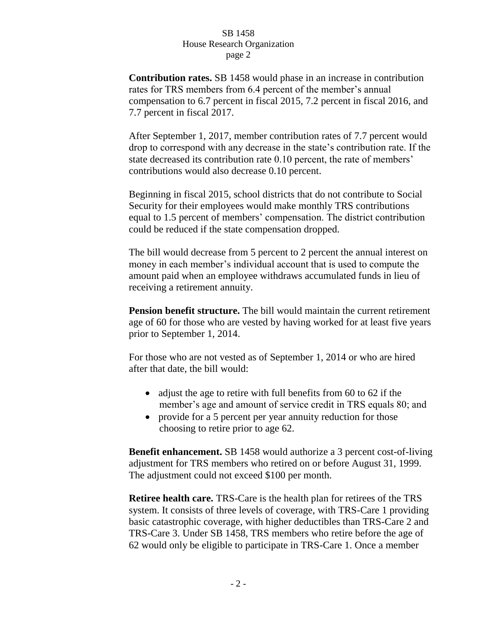**Contribution rates.** SB 1458 would phase in an increase in contribution rates for TRS members from 6.4 percent of the member's annual compensation to 6.7 percent in fiscal 2015, 7.2 percent in fiscal 2016, and 7.7 percent in fiscal 2017.

After September 1, 2017, member contribution rates of 7.7 percent would drop to correspond with any decrease in the state's contribution rate. If the state decreased its contribution rate 0.10 percent, the rate of members' contributions would also decrease 0.10 percent.

Beginning in fiscal 2015, school districts that do not contribute to Social Security for their employees would make monthly TRS contributions equal to 1.5 percent of members' compensation. The district contribution could be reduced if the state compensation dropped.

The bill would decrease from 5 percent to 2 percent the annual interest on money in each member's individual account that is used to compute the amount paid when an employee withdraws accumulated funds in lieu of receiving a retirement annuity.

**Pension benefit structure.** The bill would maintain the current retirement age of 60 for those who are vested by having worked for at least five years prior to September 1, 2014.

For those who are not vested as of September 1, 2014 or who are hired after that date, the bill would:

- adjust the age to retire with full benefits from 60 to 62 if the member's age and amount of service credit in TRS equals 80; and
- provide for a 5 percent per year annuity reduction for those choosing to retire prior to age 62.

**Benefit enhancement.** SB 1458 would authorize a 3 percent cost-of-living adjustment for TRS members who retired on or before August 31, 1999. The adjustment could not exceed \$100 per month.

**Retiree health care.** TRS-Care is the health plan for retirees of the TRS system. It consists of three levels of coverage, with TRS-Care 1 providing basic catastrophic coverage, with higher deductibles than TRS-Care 2 and TRS-Care 3. Under SB 1458, TRS members who retire before the age of 62 would only be eligible to participate in TRS-Care 1. Once a member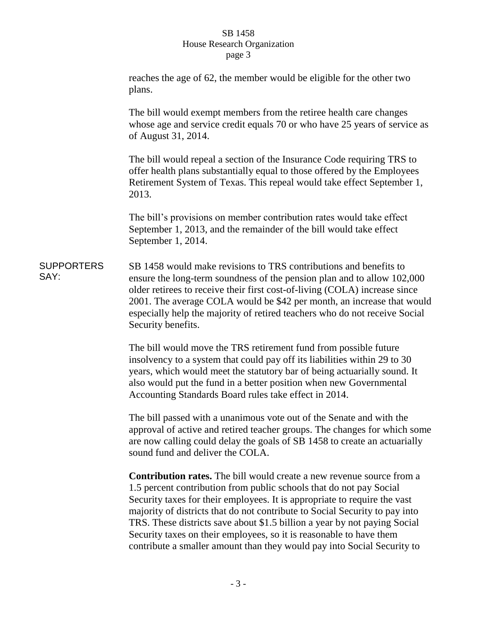reaches the age of 62, the member would be eligible for the other two plans. The bill would exempt members from the retiree health care changes whose age and service credit equals 70 or who have 25 years of service as of August 31, 2014. The bill would repeal a section of the Insurance Code requiring TRS to offer health plans substantially equal to those offered by the Employees Retirement System of Texas. This repeal would take effect September 1, 2013. The bill's provisions on member contribution rates would take effect September 1, 2013, and the remainder of the bill would take effect September 1, 2014. **SUPPORTERS** SAY: SB 1458 would make revisions to TRS contributions and benefits to ensure the long-term soundness of the pension plan and to allow 102,000 older retirees to receive their first cost-of-living (COLA) increase since 2001. The average COLA would be \$42 per month, an increase that would especially help the majority of retired teachers who do not receive Social Security benefits. The bill would move the TRS retirement fund from possible future insolvency to a system that could pay off its liabilities within 29 to 30 years, which would meet the statutory bar of being actuarially sound. It also would put the fund in a better position when new Governmental Accounting Standards Board rules take effect in 2014. The bill passed with a unanimous vote out of the Senate and with the approval of active and retired teacher groups. The changes for which some are now calling could delay the goals of SB 1458 to create an actuarially sound fund and deliver the COLA. **Contribution rates.** The bill would create a new revenue source from a 1.5 percent contribution from public schools that do not pay Social Security taxes for their employees. It is appropriate to require the vast majority of districts that do not contribute to Social Security to pay into TRS. These districts save about \$1.5 billion a year by not paying Social Security taxes on their employees, so it is reasonable to have them

contribute a smaller amount than they would pay into Social Security to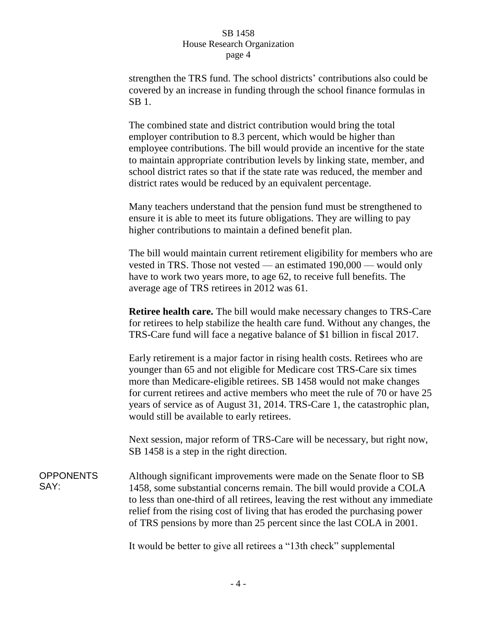strengthen the TRS fund. The school districts' contributions also could be covered by an increase in funding through the school finance formulas in SB 1.

The combined state and district contribution would bring the total employer contribution to 8.3 percent, which would be higher than employee contributions. The bill would provide an incentive for the state to maintain appropriate contribution levels by linking state, member, and school district rates so that if the state rate was reduced, the member and district rates would be reduced by an equivalent percentage.

Many teachers understand that the pension fund must be strengthened to ensure it is able to meet its future obligations. They are willing to pay higher contributions to maintain a defined benefit plan.

The bill would maintain current retirement eligibility for members who are vested in TRS. Those not vested — an estimated 190,000 — would only have to work two years more, to age 62, to receive full benefits. The average age of TRS retirees in 2012 was 61.

**Retiree health care.** The bill would make necessary changes to TRS-Care for retirees to help stabilize the health care fund. Without any changes, the TRS-Care fund will face a negative balance of \$1 billion in fiscal 2017.

Early retirement is a major factor in rising health costs. Retirees who are younger than 65 and not eligible for Medicare cost TRS-Care six times more than Medicare-eligible retirees. SB 1458 would not make changes for current retirees and active members who meet the rule of 70 or have 25 years of service as of August 31, 2014. TRS-Care 1, the catastrophic plan, would still be available to early retirees.

Next session, major reform of TRS-Care will be necessary, but right now, SB 1458 is a step in the right direction.

**OPPONENTS** SAY: Although significant improvements were made on the Senate floor to SB 1458, some substantial concerns remain. The bill would provide a COLA to less than one-third of all retirees, leaving the rest without any immediate relief from the rising cost of living that has eroded the purchasing power of TRS pensions by more than 25 percent since the last COLA in 2001.

It would be better to give all retirees a "13th check" supplemental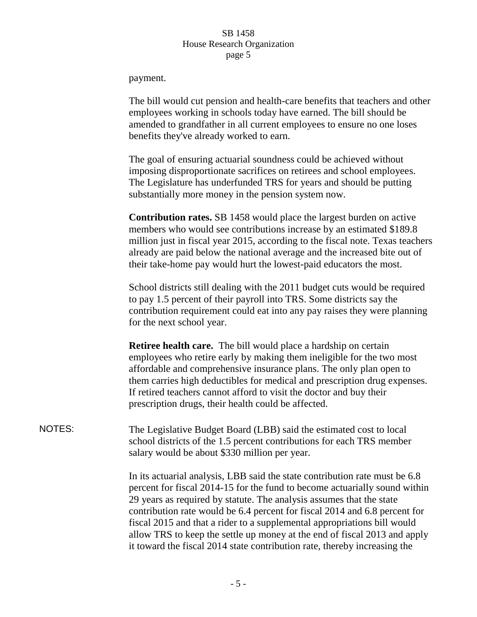payment.

The bill would cut pension and health-care benefits that teachers and other employees working in schools today have earned. The bill should be amended to grandfather in all current employees to ensure no one loses benefits they've already worked to earn.

The goal of ensuring actuarial soundness could be achieved without imposing disproportionate sacrifices on retirees and school employees. The Legislature has underfunded TRS for years and should be putting substantially more money in the pension system now.

**Contribution rates.** SB 1458 would place the largest burden on active members who would see contributions increase by an estimated \$189.8 million just in fiscal year 2015, according to the fiscal note. Texas teachers already are paid below the national average and the increased bite out of their take-home pay would hurt the lowest-paid educators the most.

School districts still dealing with the 2011 budget cuts would be required to pay 1.5 percent of their payroll into TRS. Some districts say the contribution requirement could eat into any pay raises they were planning for the next school year.

**Retiree health care.** The bill would place a hardship on certain employees who retire early by making them ineligible for the two most affordable and comprehensive insurance plans. The only plan open to them carries high deductibles for medical and prescription drug expenses. If retired teachers cannot afford to visit the doctor and buy their prescription drugs, their health could be affected.

NOTES: The Legislative Budget Board (LBB) said the estimated cost to local school districts of the 1.5 percent contributions for each TRS member salary would be about \$330 million per year.

> In its actuarial analysis, LBB said the state contribution rate must be 6.8 percent for fiscal 2014-15 for the fund to become actuarially sound within 29 years as required by statute. The analysis assumes that the state contribution rate would be 6.4 percent for fiscal 2014 and 6.8 percent for fiscal 2015 and that a rider to a supplemental appropriations bill would allow TRS to keep the settle up money at the end of fiscal 2013 and apply it toward the fiscal 2014 state contribution rate, thereby increasing the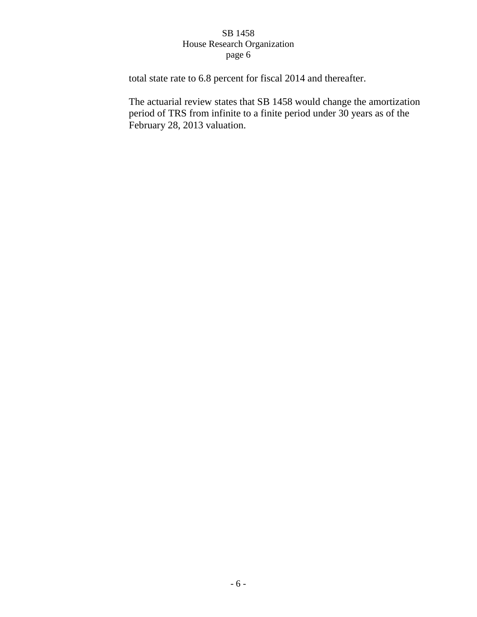total state rate to 6.8 percent for fiscal 2014 and thereafter.

The actuarial review states that SB 1458 would change the amortization period of TRS from infinite to a finite period under 30 years as of the February 28, 2013 valuation.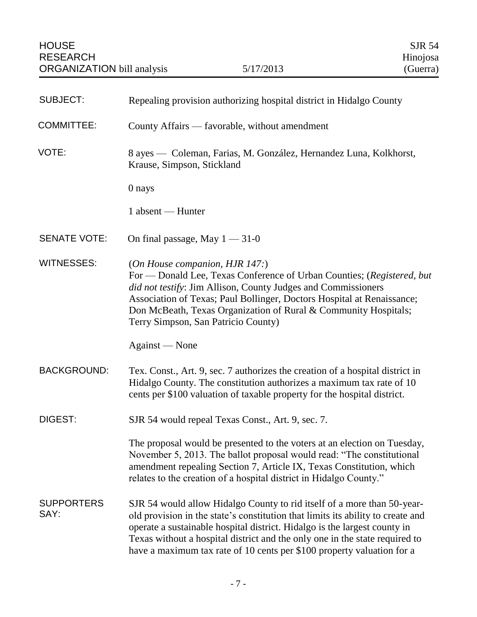<span id="page-8-0"></span>

| <b>SUBJECT:</b>           | Repealing provision authorizing hospital district in Hidalgo County                                                                                                                                                                                                                                                                                                                              |
|---------------------------|--------------------------------------------------------------------------------------------------------------------------------------------------------------------------------------------------------------------------------------------------------------------------------------------------------------------------------------------------------------------------------------------------|
| <b>COMMITTEE:</b>         | County Affairs — favorable, without amendment                                                                                                                                                                                                                                                                                                                                                    |
| VOTE:                     | 8 ayes — Coleman, Farias, M. González, Hernandez Luna, Kolkhorst,<br>Krause, Simpson, Stickland                                                                                                                                                                                                                                                                                                  |
|                           | 0 nays                                                                                                                                                                                                                                                                                                                                                                                           |
|                           | 1 absent — Hunter                                                                                                                                                                                                                                                                                                                                                                                |
| <b>SENATE VOTE:</b>       | On final passage, May $1 - 31 - 0$                                                                                                                                                                                                                                                                                                                                                               |
| <b>WITNESSES:</b>         | (On House companion, HJR 147:)<br>For — Donald Lee, Texas Conference of Urban Counties; (Registered, but<br>did not testify: Jim Allison, County Judges and Commissioners<br>Association of Texas; Paul Bollinger, Doctors Hospital at Renaissance;<br>Don McBeath, Texas Organization of Rural & Community Hospitals;<br>Terry Simpson, San Patricio County)                                    |
|                           | Against — None                                                                                                                                                                                                                                                                                                                                                                                   |
| <b>BACKGROUND:</b>        | Tex. Const., Art. 9, sec. 7 authorizes the creation of a hospital district in<br>Hidalgo County. The constitution authorizes a maximum tax rate of 10<br>cents per \$100 valuation of taxable property for the hospital district.                                                                                                                                                                |
| DIGEST:                   | SJR 54 would repeal Texas Const., Art. 9, sec. 7.                                                                                                                                                                                                                                                                                                                                                |
|                           | The proposal would be presented to the voters at an election on Tuesday,<br>November 5, 2013. The ballot proposal would read: "The constitutional<br>amendment repealing Section 7, Article IX, Texas Constitution, which<br>relates to the creation of a hospital district in Hidalgo County."                                                                                                  |
| <b>SUPPORTERS</b><br>SAY: | SJR 54 would allow Hidalgo County to rid itself of a more than 50-year-<br>old provision in the state's constitution that limits its ability to create and<br>operate a sustainable hospital district. Hidalgo is the largest county in<br>Texas without a hospital district and the only one in the state required to<br>have a maximum tax rate of 10 cents per \$100 property valuation for a |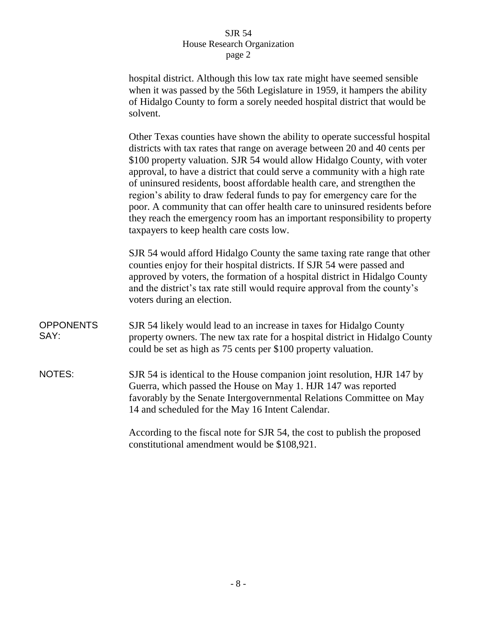hospital district. Although this low tax rate might have seemed sensible when it was passed by the 56th Legislature in 1959, it hampers the ability of Hidalgo County to form a sorely needed hospital district that would be solvent.

Other Texas counties have shown the ability to operate successful hospital districts with tax rates that range on average between 20 and 40 cents per \$100 property valuation. SJR 54 would allow Hidalgo County, with voter approval, to have a district that could serve a community with a high rate of uninsured residents, boost affordable health care, and strengthen the region's ability to draw federal funds to pay for emergency care for the poor. A community that can offer health care to uninsured residents before they reach the emergency room has an important responsibility to property taxpayers to keep health care costs low.

SJR 54 would afford Hidalgo County the same taxing rate range that other counties enjoy for their hospital districts. If SJR 54 were passed and approved by voters, the formation of a hospital district in Hidalgo County and the district's tax rate still would require approval from the county's voters during an election.

- **OPPONENTS** SAY: SJR 54 likely would lead to an increase in taxes for Hidalgo County property owners. The new tax rate for a hospital district in Hidalgo County could be set as high as 75 cents per \$100 property valuation.
- NOTES: SJR 54 is identical to the House companion joint resolution, HJR 147 by Guerra, which passed the House on May 1. HJR 147 was reported favorably by the Senate Intergovernmental Relations Committee on May 14 and scheduled for the May 16 Intent Calendar.

According to the fiscal note for SJR 54, the cost to publish the proposed constitutional amendment would be \$108,921.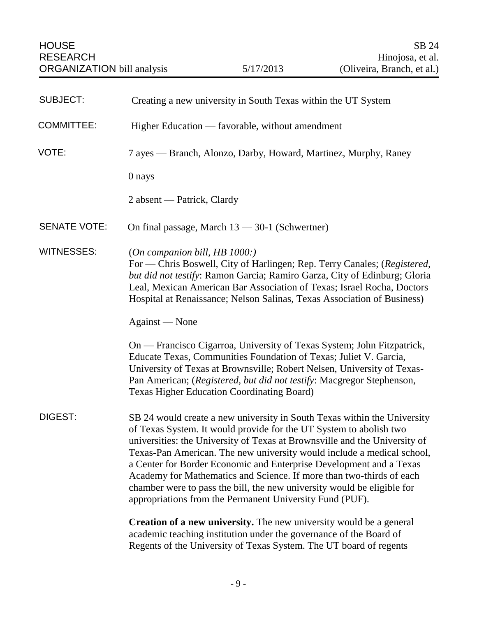<span id="page-10-0"></span>

| <b>SUBJECT:</b>     | Creating a new university in South Texas within the UT System                                                                                                                                                                                                                                                                                                                                                                                                                                                                                                                                |
|---------------------|----------------------------------------------------------------------------------------------------------------------------------------------------------------------------------------------------------------------------------------------------------------------------------------------------------------------------------------------------------------------------------------------------------------------------------------------------------------------------------------------------------------------------------------------------------------------------------------------|
| <b>COMMITTEE:</b>   | Higher Education — favorable, without amendment                                                                                                                                                                                                                                                                                                                                                                                                                                                                                                                                              |
| VOTE:               | 7 ayes — Branch, Alonzo, Darby, Howard, Martinez, Murphy, Raney                                                                                                                                                                                                                                                                                                                                                                                                                                                                                                                              |
|                     | 0 nays                                                                                                                                                                                                                                                                                                                                                                                                                                                                                                                                                                                       |
|                     | 2 absent — Patrick, Clardy                                                                                                                                                                                                                                                                                                                                                                                                                                                                                                                                                                   |
| <b>SENATE VOTE:</b> | On final passage, March 13 - 30-1 (Schwertner)                                                                                                                                                                                                                                                                                                                                                                                                                                                                                                                                               |
| <b>WITNESSES:</b>   | (On companion bill, HB 1000.)<br>For — Chris Boswell, City of Harlingen; Rep. Terry Canales; (Registered,<br>but did not testify: Ramon Garcia; Ramiro Garza, City of Edinburg; Gloria<br>Leal, Mexican American Bar Association of Texas; Israel Rocha, Doctors<br>Hospital at Renaissance; Nelson Salinas, Texas Association of Business)                                                                                                                                                                                                                                                  |
|                     | Against — None                                                                                                                                                                                                                                                                                                                                                                                                                                                                                                                                                                               |
|                     | On — Francisco Cigarroa, University of Texas System; John Fitzpatrick,<br>Educate Texas, Communities Foundation of Texas; Juliet V. Garcia,<br>University of Texas at Brownsville; Robert Nelsen, University of Texas-<br>Pan American; (Registered, but did not testify: Macgregor Stephenson,<br><b>Texas Higher Education Coordinating Board)</b>                                                                                                                                                                                                                                         |
| DIGEST:             | SB 24 would create a new university in South Texas within the University<br>of Texas System. It would provide for the UT System to abolish two<br>universities: the University of Texas at Brownsville and the University of<br>Texas-Pan American. The new university would include a medical school,<br>a Center for Border Economic and Enterprise Development and a Texas<br>Academy for Mathematics and Science. If more than two-thirds of each<br>chamber were to pass the bill, the new university would be eligible for<br>appropriations from the Permanent University Fund (PUF). |
|                     | Creation of a new university. The new university would be a general<br>academic teaching institution under the governance of the Board of<br>Regents of the University of Texas System. The UT board of regents                                                                                                                                                                                                                                                                                                                                                                              |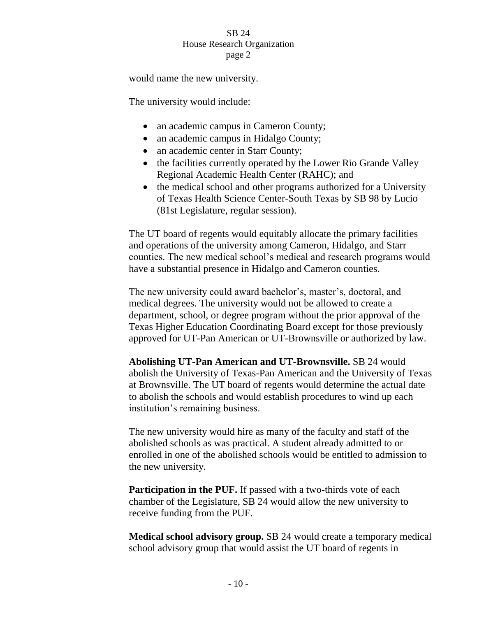would name the new university.

The university would include:

- an academic campus in Cameron County;
- an academic campus in Hidalgo County;
- an academic center in Starr County;
- the facilities currently operated by the Lower Rio Grande Valley Regional Academic Health Center (RAHC); and
- the medical school and other programs authorized for a University of Texas Health Science Center-South Texas by SB 98 by Lucio (81st Legislature, regular session).

The UT board of regents would equitably allocate the primary facilities and operations of the university among Cameron, Hidalgo, and Starr counties. The new medical school's medical and research programs would have a substantial presence in Hidalgo and Cameron counties.

The new university could award bachelor's, master's, doctoral, and medical degrees. The university would not be allowed to create a department, school, or degree program without the prior approval of the Texas Higher Education Coordinating Board except for those previously approved for UT-Pan American or UT-Brownsville or authorized by law.

**Abolishing UT-Pan American and UT-Brownsville.** SB 24 would abolish the University of Texas-Pan American and the University of Texas at Brownsville. The UT board of regents would determine the actual date to abolish the schools and would establish procedures to wind up each institution's remaining business.

The new university would hire as many of the faculty and staff of the abolished schools as was practical. A student already admitted to or enrolled in one of the abolished schools would be entitled to admission to the new university.

**Participation in the PUF.** If passed with a two-thirds vote of each chamber of the Legislature, SB 24 would allow the new university to receive funding from the PUF.

**Medical school advisory group.** SB 24 would create a temporary medical school advisory group that would assist the UT board of regents in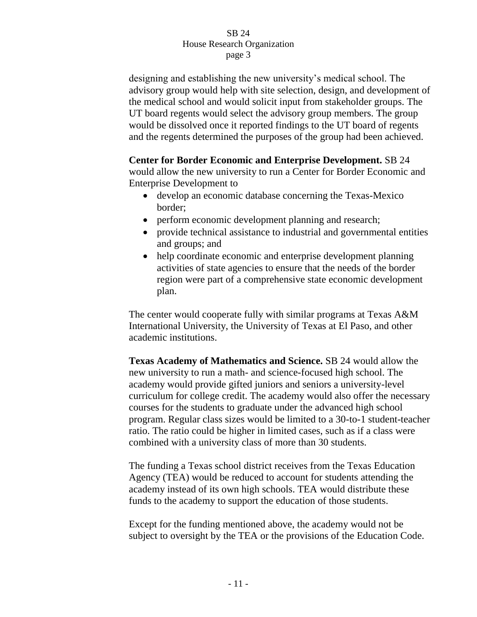designing and establishing the new university's medical school. The advisory group would help with site selection, design, and development of the medical school and would solicit input from stakeholder groups. The UT board regents would select the advisory group members. The group would be dissolved once it reported findings to the UT board of regents and the regents determined the purposes of the group had been achieved.

**Center for Border Economic and Enterprise Development.** SB 24

would allow the new university to run a Center for Border Economic and Enterprise Development to

- develop an economic database concerning the Texas-Mexico border;
- perform economic development planning and research;
- provide technical assistance to industrial and governmental entities and groups; and
- help coordinate economic and enterprise development planning activities of state agencies to ensure that the needs of the border region were part of a comprehensive state economic development plan.

The center would cooperate fully with similar programs at Texas A&M International University, the University of Texas at El Paso, and other academic institutions.

**Texas Academy of Mathematics and Science.** SB 24 would allow the new university to run a math- and science-focused high school. The academy would provide gifted juniors and seniors a university-level curriculum for college credit. The academy would also offer the necessary courses for the students to graduate under the advanced high school program. Regular class sizes would be limited to a 30-to-1 student-teacher ratio. The ratio could be higher in limited cases, such as if a class were combined with a university class of more than 30 students.

The funding a Texas school district receives from the Texas Education Agency (TEA) would be reduced to account for students attending the academy instead of its own high schools. TEA would distribute these funds to the academy to support the education of those students.

Except for the funding mentioned above, the academy would not be subject to oversight by the TEA or the provisions of the Education Code.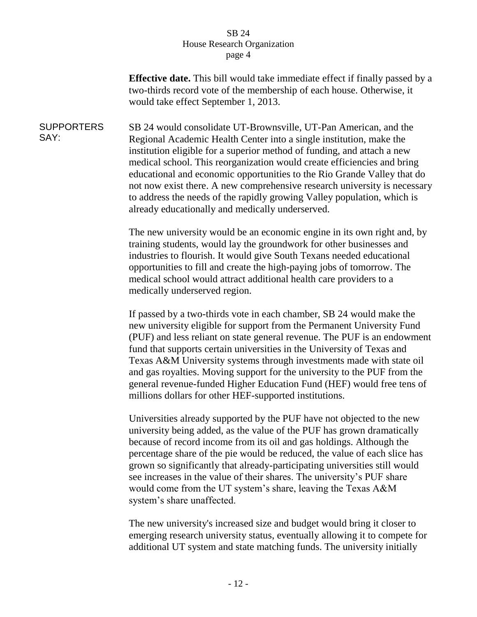**Effective date.** This bill would take immediate effect if finally passed by a two-thirds record vote of the membership of each house. Otherwise, it would take effect September 1, 2013.

**SUPPORTERS** SAY: SB 24 would consolidate UT-Brownsville, UT-Pan American, and the Regional Academic Health Center into a single institution, make the institution eligible for a superior method of funding, and attach a new medical school. This reorganization would create efficiencies and bring educational and economic opportunities to the Rio Grande Valley that do not now exist there. A new comprehensive research university is necessary to address the needs of the rapidly growing Valley population, which is already educationally and medically underserved.

> The new university would be an economic engine in its own right and, by training students, would lay the groundwork for other businesses and industries to flourish. It would give South Texans needed educational opportunities to fill and create the high-paying jobs of tomorrow. The medical school would attract additional health care providers to a medically underserved region.

If passed by a two-thirds vote in each chamber, SB 24 would make the new university eligible for support from the Permanent University Fund (PUF) and less reliant on state general revenue. The PUF is an endowment fund that supports certain universities in the University of Texas and Texas A&M University systems through investments made with state oil and gas royalties. Moving support for the university to the PUF from the general revenue-funded Higher Education Fund (HEF) would free tens of millions dollars for other HEF-supported institutions.

Universities already supported by the PUF have not objected to the new university being added, as the value of the PUF has grown dramatically because of record income from its oil and gas holdings. Although the percentage share of the pie would be reduced, the value of each slice has grown so significantly that already-participating universities still would see increases in the value of their shares. The university's PUF share would come from the UT system's share, leaving the Texas A&M system's share unaffected.

The new university's increased size and budget would bring it closer to emerging research university status, eventually allowing it to compete for additional UT system and state matching funds. The university initially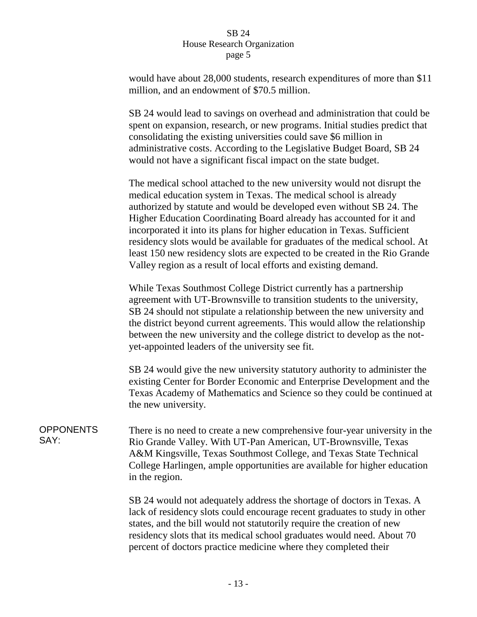would have about 28,000 students, research expenditures of more than \$11 million, and an endowment of \$70.5 million.

SB 24 would lead to savings on overhead and administration that could be spent on expansion, research, or new programs. Initial studies predict that consolidating the existing universities could save \$6 million in administrative costs. According to the Legislative Budget Board, SB 24 would not have a significant fiscal impact on the state budget.

The medical school attached to the new university would not disrupt the medical education system in Texas. The medical school is already authorized by statute and would be developed even without SB 24. The Higher Education Coordinating Board already has accounted for it and incorporated it into its plans for higher education in Texas. Sufficient residency slots would be available for graduates of the medical school. At least 150 new residency slots are expected to be created in the Rio Grande Valley region as a result of local efforts and existing demand.

While Texas Southmost College District currently has a partnership agreement with UT-Brownsville to transition students to the university, SB 24 should not stipulate a relationship between the new university and the district beyond current agreements. This would allow the relationship between the new university and the college district to develop as the notyet-appointed leaders of the university see fit.

SB 24 would give the new university statutory authority to administer the existing Center for Border Economic and Enterprise Development and the Texas Academy of Mathematics and Science so they could be continued at the new university.

**OPPONENTS** SAY: There is no need to create a new comprehensive four-year university in the Rio Grande Valley. With UT-Pan American, UT-Brownsville, Texas A&M Kingsville, Texas Southmost College, and Texas State Technical College Harlingen, ample opportunities are available for higher education in the region.

> SB 24 would not adequately address the shortage of doctors in Texas. A lack of residency slots could encourage recent graduates to study in other states, and the bill would not statutorily require the creation of new residency slots that its medical school graduates would need. About 70 percent of doctors practice medicine where they completed their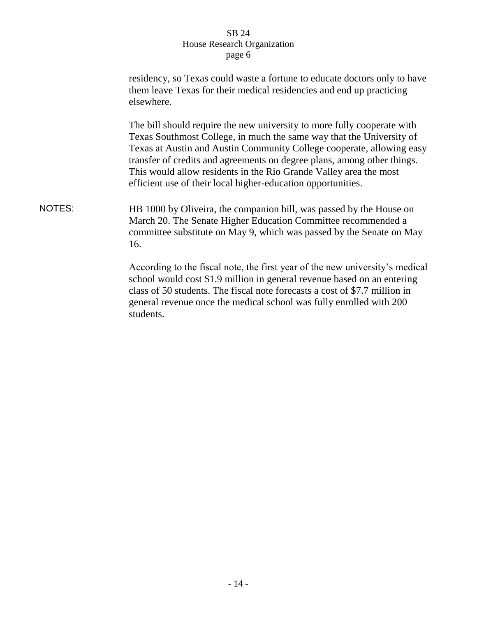|               | residency, so Texas could waste a fortune to educate doctors only to have<br>them leave Texas for their medical residencies and end up practicing<br>elsewhere.                                                                                                                                                                                                                                                                          |
|---------------|------------------------------------------------------------------------------------------------------------------------------------------------------------------------------------------------------------------------------------------------------------------------------------------------------------------------------------------------------------------------------------------------------------------------------------------|
|               | The bill should require the new university to more fully cooperate with<br>Texas Southmost College, in much the same way that the University of<br>Texas at Austin and Austin Community College cooperate, allowing easy<br>transfer of credits and agreements on degree plans, among other things.<br>This would allow residents in the Rio Grande Valley area the most<br>efficient use of their local higher-education opportunities. |
| <b>NOTES:</b> | HB 1000 by Oliveira, the companion bill, was passed by the House on<br>March 20. The Senate Higher Education Committee recommended a<br>committee substitute on May 9, which was passed by the Senate on May<br>16.                                                                                                                                                                                                                      |
|               | According to the fiscal note, the first year of the new university's medical<br>school would cost \$1.9 million in general revenue based on an entering<br>class of 50 students. The fiscal note forecasts a cost of \$7.7 million in<br>general revenue once the medical school was fully enrolled with 200<br>students.                                                                                                                |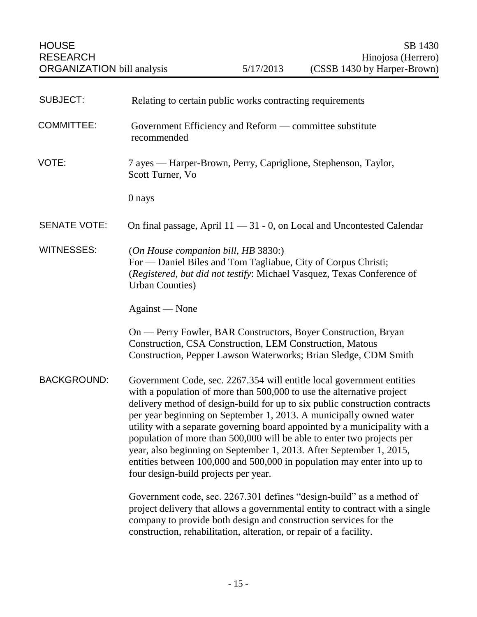<span id="page-16-0"></span>

| <b>SUBJECT:</b>     | Relating to certain public works contracting requirements                                                                                                                                                                                                                                                                                                                                                                                                                                                                                                                                                                                             |
|---------------------|-------------------------------------------------------------------------------------------------------------------------------------------------------------------------------------------------------------------------------------------------------------------------------------------------------------------------------------------------------------------------------------------------------------------------------------------------------------------------------------------------------------------------------------------------------------------------------------------------------------------------------------------------------|
| <b>COMMITTEE:</b>   | Government Efficiency and Reform — committee substitute<br>recommended                                                                                                                                                                                                                                                                                                                                                                                                                                                                                                                                                                                |
| VOTE:               | 7 ayes — Harper-Brown, Perry, Capriglione, Stephenson, Taylor,<br>Scott Turner, Vo                                                                                                                                                                                                                                                                                                                                                                                                                                                                                                                                                                    |
|                     | 0 nays                                                                                                                                                                                                                                                                                                                                                                                                                                                                                                                                                                                                                                                |
| <b>SENATE VOTE:</b> | On final passage, April $11 - 31 - 0$ , on Local and Uncontested Calendar                                                                                                                                                                                                                                                                                                                                                                                                                                                                                                                                                                             |
| <b>WITNESSES:</b>   | (On House companion bill, HB 3830:)<br>For — Daniel Biles and Tom Tagliabue, City of Corpus Christi;<br>(Registered, but did not testify: Michael Vasquez, Texas Conference of<br><b>Urban Counties</b> )                                                                                                                                                                                                                                                                                                                                                                                                                                             |
|                     | Against — None                                                                                                                                                                                                                                                                                                                                                                                                                                                                                                                                                                                                                                        |
|                     | On — Perry Fowler, BAR Constructors, Boyer Construction, Bryan<br>Construction, CSA Construction, LEM Construction, Matous<br>Construction, Pepper Lawson Waterworks; Brian Sledge, CDM Smith                                                                                                                                                                                                                                                                                                                                                                                                                                                         |
| <b>BACKGROUND:</b>  | Government Code, sec. 2267.354 will entitle local government entities<br>with a population of more than 500,000 to use the alternative project<br>delivery method of design-build for up to six public construction contracts<br>per year beginning on September 1, 2013. A municipally owned water<br>utility with a separate governing board appointed by a municipality with a<br>population of more than 500,000 will be able to enter two projects per<br>year, also beginning on September 1, 2013. After September 1, 2015,<br>entities between 100,000 and 500,000 in population may enter into up to<br>four design-build projects per year. |
|                     | Government code, sec. 2267.301 defines "design-build" as a method of<br>project delivery that allows a governmental entity to contract with a single<br>company to provide both design and construction services for the<br>construction, rehabilitation, alteration, or repair of a facility.                                                                                                                                                                                                                                                                                                                                                        |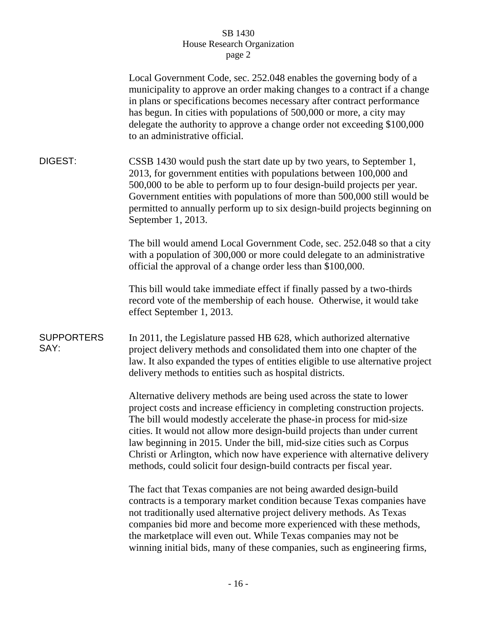|                           | Local Government Code, sec. 252.048 enables the governing body of a<br>municipality to approve an order making changes to a contract if a change<br>in plans or specifications becomes necessary after contract performance<br>has begun. In cities with populations of 500,000 or more, a city may<br>delegate the authority to approve a change order not exceeding \$100,000<br>to an administrative official.                                                                                                                    |
|---------------------------|--------------------------------------------------------------------------------------------------------------------------------------------------------------------------------------------------------------------------------------------------------------------------------------------------------------------------------------------------------------------------------------------------------------------------------------------------------------------------------------------------------------------------------------|
| DIGEST:                   | CSSB 1430 would push the start date up by two years, to September 1,<br>2013, for government entities with populations between 100,000 and<br>500,000 to be able to perform up to four design-build projects per year.<br>Government entities with populations of more than 500,000 still would be<br>permitted to annually perform up to six design-build projects beginning on<br>September 1, 2013.                                                                                                                               |
|                           | The bill would amend Local Government Code, sec. 252.048 so that a city<br>with a population of 300,000 or more could delegate to an administrative<br>official the approval of a change order less than \$100,000.                                                                                                                                                                                                                                                                                                                  |
|                           | This bill would take immediate effect if finally passed by a two-thirds<br>record vote of the membership of each house. Otherwise, it would take<br>effect September 1, 2013.                                                                                                                                                                                                                                                                                                                                                        |
| <b>SUPPORTERS</b><br>SAY: | In 2011, the Legislature passed HB 628, which authorized alternative<br>project delivery methods and consolidated them into one chapter of the<br>law. It also expanded the types of entities eligible to use alternative project<br>delivery methods to entities such as hospital districts.                                                                                                                                                                                                                                        |
|                           | Alternative delivery methods are being used across the state to lower<br>project costs and increase efficiency in completing construction projects.<br>The bill would modestly accelerate the phase-in process for mid-size<br>cities. It would not allow more design-build projects than under current<br>law beginning in 2015. Under the bill, mid-size cities such as Corpus<br>Christi or Arlington, which now have experience with alternative delivery<br>methods, could solicit four design-build contracts per fiscal year. |
|                           | The fact that Texas companies are not being awarded design-build<br>contracts is a temporary market condition because Texas companies have<br>not traditionally used alternative project delivery methods. As Texas<br>companies bid more and become more experienced with these methods,<br>the marketplace will even out. While Texas companies may not be<br>winning initial bids, many of these companies, such as engineering firms,                                                                                            |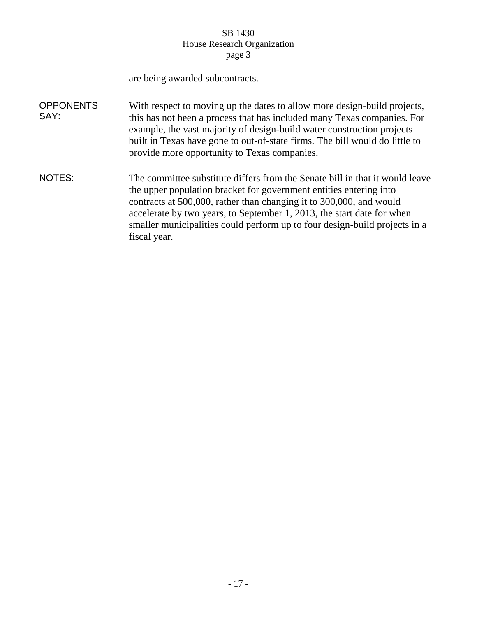|                          | are being awarded subcontracts.                                                                                                                                                                                                                                                                                                                                                                   |
|--------------------------|---------------------------------------------------------------------------------------------------------------------------------------------------------------------------------------------------------------------------------------------------------------------------------------------------------------------------------------------------------------------------------------------------|
| <b>OPPONENTS</b><br>SAY: | With respect to moving up the dates to allow more design-build projects,<br>this has not been a process that has included many Texas companies. For<br>example, the vast majority of design-build water construction projects<br>built in Texas have gone to out-of-state firms. The bill would do little to<br>provide more opportunity to Texas companies.                                      |
| NOTES:                   | The committee substitute differs from the Senate bill in that it would leave<br>the upper population bracket for government entities entering into<br>contracts at 500,000, rather than changing it to 300,000, and would<br>accelerate by two years, to September 1, 2013, the start date for when<br>smaller municipalities could perform up to four design-build projects in a<br>fiscal year. |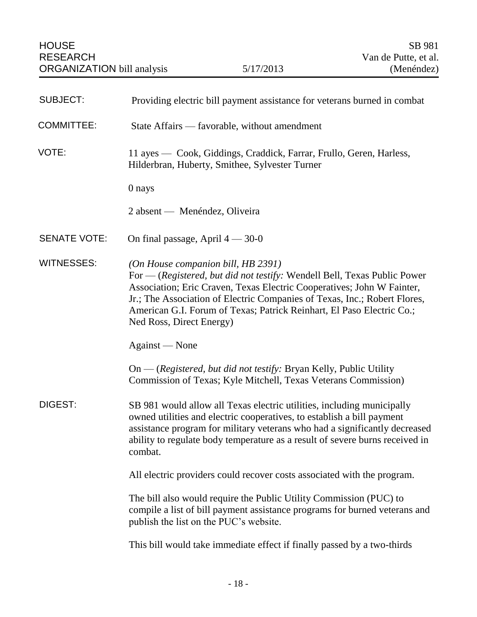<span id="page-19-0"></span>

| <b>SUBJECT:</b>     | Providing electric bill payment assistance for veterans burned in combat                                                                                                                                                                                                                                                                                                   |
|---------------------|----------------------------------------------------------------------------------------------------------------------------------------------------------------------------------------------------------------------------------------------------------------------------------------------------------------------------------------------------------------------------|
| <b>COMMITTEE:</b>   | State Affairs — favorable, without amendment                                                                                                                                                                                                                                                                                                                               |
| VOTE:               | 11 ayes — Cook, Giddings, Craddick, Farrar, Frullo, Geren, Harless,<br>Hilderbran, Huberty, Smithee, Sylvester Turner                                                                                                                                                                                                                                                      |
|                     | 0 nays                                                                                                                                                                                                                                                                                                                                                                     |
|                     | 2 absent — Menéndez, Oliveira                                                                                                                                                                                                                                                                                                                                              |
| <b>SENATE VOTE:</b> | On final passage, April $4 - 30 - 0$                                                                                                                                                                                                                                                                                                                                       |
| <b>WITNESSES:</b>   | (On House companion bill, HB 2391)<br>For - (Registered, but did not testify: Wendell Bell, Texas Public Power<br>Association; Eric Craven, Texas Electric Cooperatives; John W Fainter,<br>Jr.; The Association of Electric Companies of Texas, Inc.; Robert Flores,<br>American G.I. Forum of Texas; Patrick Reinhart, El Paso Electric Co.;<br>Ned Ross, Direct Energy) |
|                     | Against — None                                                                                                                                                                                                                                                                                                                                                             |
|                     | On — (Registered, but did not testify: Bryan Kelly, Public Utility<br>Commission of Texas; Kyle Mitchell, Texas Veterans Commission)                                                                                                                                                                                                                                       |
| DIGEST:             | SB 981 would allow all Texas electric utilities, including municipally<br>owned utilities and electric cooperatives, to establish a bill payment<br>assistance program for military veterans who had a significantly decreased<br>ability to regulate body temperature as a result of severe burns received in<br>combat.                                                  |
|                     | All electric providers could recover costs associated with the program.                                                                                                                                                                                                                                                                                                    |
|                     | The bill also would require the Public Utility Commission (PUC) to<br>compile a list of bill payment assistance programs for burned veterans and<br>publish the list on the PUC's website.                                                                                                                                                                                 |
|                     | This bill would take immediate effect if finally passed by a two-thirds                                                                                                                                                                                                                                                                                                    |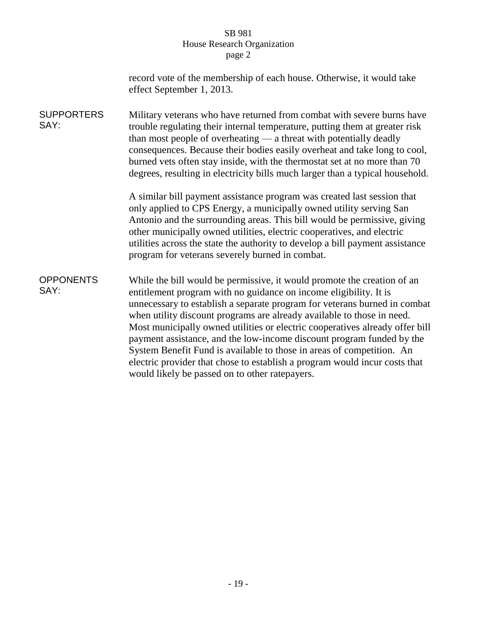| record vote of the membership of each house. Otherwise, it would take |
|-----------------------------------------------------------------------|
| effect September 1, 2013.                                             |

**SUPPORTERS** SAY: Military veterans who have returned from combat with severe burns have trouble regulating their internal temperature, putting them at greater risk than most people of overheating — a threat with potentially deadly consequences. Because their bodies easily overheat and take long to cool, burned vets often stay inside, with the thermostat set at no more than 70 degrees, resulting in electricity bills much larger than a typical household.

> A similar bill payment assistance program was created last session that only applied to CPS Energy, a municipally owned utility serving San Antonio and the surrounding areas. This bill would be permissive, giving other municipally owned utilities, electric cooperatives, and electric utilities across the state the authority to develop a bill payment assistance program for veterans severely burned in combat.

**OPPONENTS** SAY: While the bill would be permissive, it would promote the creation of an entitlement program with no guidance on income eligibility. It is unnecessary to establish a separate program for veterans burned in combat when utility discount programs are already available to those in need. Most municipally owned utilities or electric cooperatives already offer bill payment assistance, and the low-income discount program funded by the System Benefit Fund is available to those in areas of competition. An electric provider that chose to establish a program would incur costs that would likely be passed on to other ratepayers.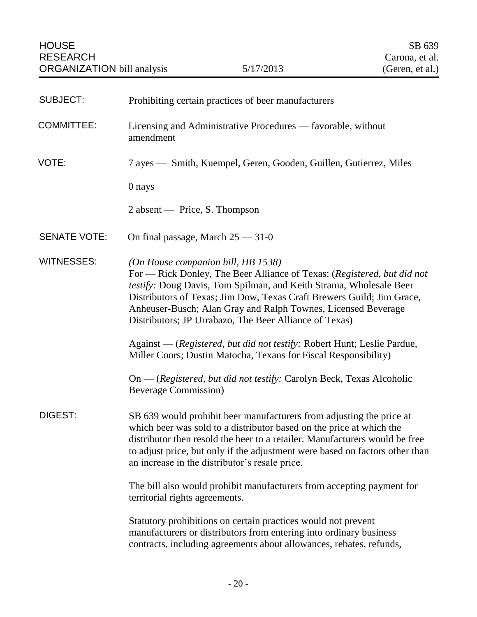<span id="page-21-0"></span>

| <b>SUBJECT:</b>     | Prohibiting certain practices of beer manufacturers                                                                                                                                                                                                                                                                                                                                     |
|---------------------|-----------------------------------------------------------------------------------------------------------------------------------------------------------------------------------------------------------------------------------------------------------------------------------------------------------------------------------------------------------------------------------------|
| <b>COMMITTEE:</b>   | Licensing and Administrative Procedures — favorable, without<br>amendment                                                                                                                                                                                                                                                                                                               |
| VOTE:               | 7 ayes — Smith, Kuempel, Geren, Gooden, Guillen, Gutierrez, Miles                                                                                                                                                                                                                                                                                                                       |
|                     | 0 nays                                                                                                                                                                                                                                                                                                                                                                                  |
|                     | 2 absent — Price, S. Thompson                                                                                                                                                                                                                                                                                                                                                           |
| <b>SENATE VOTE:</b> | On final passage, March $25 - 31 - 0$                                                                                                                                                                                                                                                                                                                                                   |
| <b>WITNESSES:</b>   | (On House companion bill, HB 1538)<br>For - Rick Donley, The Beer Alliance of Texas; (Registered, but did not<br>testify: Doug Davis, Tom Spilman, and Keith Strama, Wholesale Beer<br>Distributors of Texas; Jim Dow, Texas Craft Brewers Guild; Jim Grace,<br>Anheuser-Busch; Alan Gray and Ralph Townes, Licensed Beverage<br>Distributors; JP Urrabazo, The Beer Alliance of Texas) |
|                     | Against — (Registered, but did not testify: Robert Hunt; Leslie Pardue,<br>Miller Coors; Dustin Matocha, Texans for Fiscal Responsibility)                                                                                                                                                                                                                                              |
|                     | On — (Registered, but did not testify: Carolyn Beck, Texas Alcoholic<br><b>Beverage Commission</b> )                                                                                                                                                                                                                                                                                    |
| DIGEST:             | SB 639 would prohibit beer manufacturers from adjusting the price at<br>which beer was sold to a distributor based on the price at which the<br>distributor then resold the beer to a retailer. Manufacturers would be free<br>to adjust price, but only if the adjustment were based on factors other than<br>an increase in the distributor's resale price.                           |
|                     | The bill also would prohibit manufacturers from accepting payment for<br>territorial rights agreements.                                                                                                                                                                                                                                                                                 |
|                     | Statutory prohibitions on certain practices would not prevent<br>manufacturers or distributors from entering into ordinary business<br>contracts, including agreements about allowances, rebates, refunds,                                                                                                                                                                              |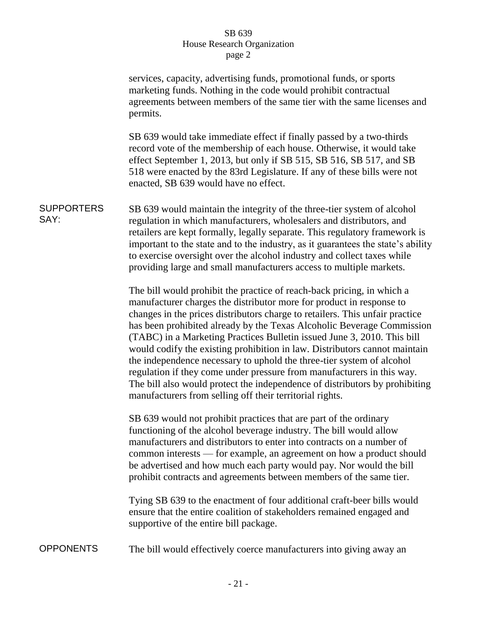|                           | services, capacity, advertising funds, promotional funds, or sports<br>marketing funds. Nothing in the code would prohibit contractual<br>agreements between members of the same tier with the same licenses and<br>permits.                                                                                                                                                                                                                                                                                                                                                                                                                                                                                                                                    |
|---------------------------|-----------------------------------------------------------------------------------------------------------------------------------------------------------------------------------------------------------------------------------------------------------------------------------------------------------------------------------------------------------------------------------------------------------------------------------------------------------------------------------------------------------------------------------------------------------------------------------------------------------------------------------------------------------------------------------------------------------------------------------------------------------------|
|                           | SB 639 would take immediate effect if finally passed by a two-thirds<br>record vote of the membership of each house. Otherwise, it would take<br>effect September 1, 2013, but only if SB 515, SB 516, SB 517, and SB<br>518 were enacted by the 83rd Legislature. If any of these bills were not<br>enacted, SB 639 would have no effect.                                                                                                                                                                                                                                                                                                                                                                                                                      |
| <b>SUPPORTERS</b><br>SAY: | SB 639 would maintain the integrity of the three-tier system of alcohol<br>regulation in which manufacturers, wholesalers and distributors, and<br>retailers are kept formally, legally separate. This regulatory framework is<br>important to the state and to the industry, as it guarantees the state's ability<br>to exercise oversight over the alcohol industry and collect taxes while<br>providing large and small manufacturers access to multiple markets.                                                                                                                                                                                                                                                                                            |
|                           | The bill would prohibit the practice of reach-back pricing, in which a<br>manufacturer charges the distributor more for product in response to<br>changes in the prices distributors charge to retailers. This unfair practice<br>has been prohibited already by the Texas Alcoholic Beverage Commission<br>(TABC) in a Marketing Practices Bulletin issued June 3, 2010. This bill<br>would codify the existing prohibition in law. Distributors cannot maintain<br>the independence necessary to uphold the three-tier system of alcohol<br>regulation if they come under pressure from manufacturers in this way.<br>The bill also would protect the independence of distributors by prohibiting<br>manufacturers from selling off their territorial rights. |
|                           | SB 639 would not prohibit practices that are part of the ordinary<br>functioning of the alcohol beverage industry. The bill would allow<br>manufacturers and distributors to enter into contracts on a number of<br>common interests — for example, an agreement on how a product should<br>be advertised and how much each party would pay. Nor would the bill<br>prohibit contracts and agreements between members of the same tier.                                                                                                                                                                                                                                                                                                                          |
|                           | Tying SB 639 to the enactment of four additional craft-beer bills would<br>ensure that the entire coalition of stakeholders remained engaged and<br>supportive of the entire bill package.                                                                                                                                                                                                                                                                                                                                                                                                                                                                                                                                                                      |
| <b>OPPONENTS</b>          | The bill would effectively coerce manufacturers into giving away an                                                                                                                                                                                                                                                                                                                                                                                                                                                                                                                                                                                                                                                                                             |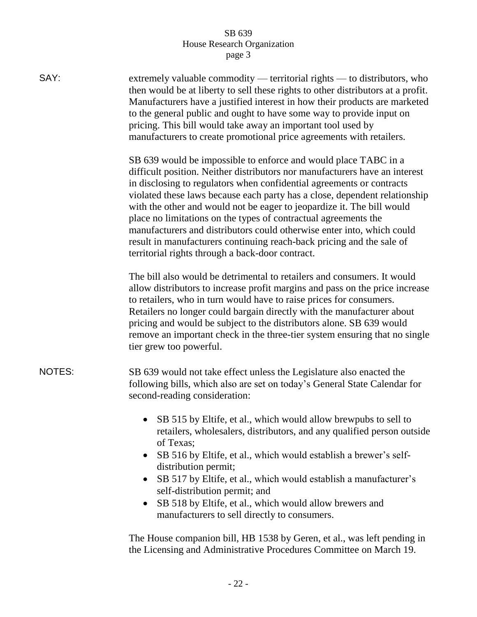| SAY:          | extremely valuable commodity — territorial rights — to distributors, who<br>then would be at liberty to sell these rights to other distributors at a profit.<br>Manufacturers have a justified interest in how their products are marketed<br>to the general public and ought to have some way to provide input on<br>pricing. This bill would take away an important tool used by<br>manufacturers to create promotional price agreements with retailers.                                                                                                                                                                                                |
|---------------|-----------------------------------------------------------------------------------------------------------------------------------------------------------------------------------------------------------------------------------------------------------------------------------------------------------------------------------------------------------------------------------------------------------------------------------------------------------------------------------------------------------------------------------------------------------------------------------------------------------------------------------------------------------|
|               | SB 639 would be impossible to enforce and would place TABC in a<br>difficult position. Neither distributors nor manufacturers have an interest<br>in disclosing to regulators when confidential agreements or contracts<br>violated these laws because each party has a close, dependent relationship<br>with the other and would not be eager to jeopardize it. The bill would<br>place no limitations on the types of contractual agreements the<br>manufacturers and distributors could otherwise enter into, which could<br>result in manufacturers continuing reach-back pricing and the sale of<br>territorial rights through a back-door contract. |
|               | The bill also would be detrimental to retailers and consumers. It would<br>allow distributors to increase profit margins and pass on the price increase<br>to retailers, who in turn would have to raise prices for consumers.<br>Retailers no longer could bargain directly with the manufacturer about<br>pricing and would be subject to the distributors alone. SB 639 would<br>remove an important check in the three-tier system ensuring that no single<br>tier grew too powerful.                                                                                                                                                                 |
| <b>NOTES:</b> | SB 639 would not take effect unless the Legislature also enacted the<br>following bills, which also are set on today's General State Calendar for<br>second-reading consideration:                                                                                                                                                                                                                                                                                                                                                                                                                                                                        |
|               | SB 515 by Eltife, et al., which would allow brewpubs to sell to<br>retailers, wholesalers, distributors, and any qualified person outside<br>of Texas;<br>SB 516 by Eltife, et al., which would establish a brewer's self-<br>$\bullet$<br>distribution permit;<br>SB 517 by Eltife, et al., which would establish a manufacturer's<br>$\bullet$<br>self-distribution permit; and<br>SB 518 by Eltife, et al., which would allow brewers and<br>$\bullet$<br>manufacturers to sell directly to consumers.                                                                                                                                                 |

The House companion bill, HB 1538 by Geren, et al., was left pending in the Licensing and Administrative Procedures Committee on March 19.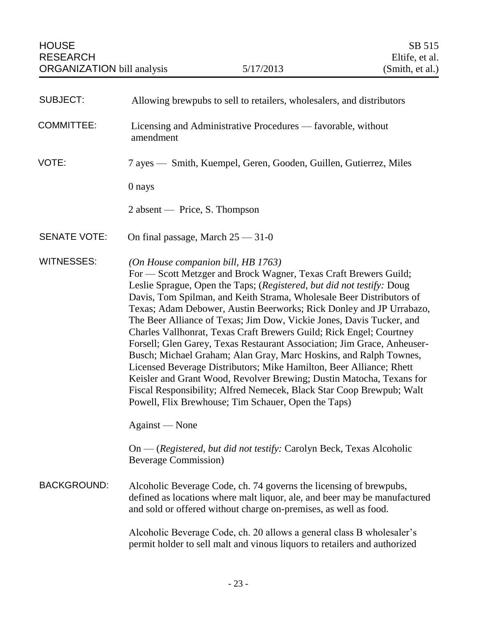<span id="page-24-0"></span>

| <b>SUBJECT:</b>     | Allowing brewpubs to sell to retailers, wholesalers, and distributors                                                                                                                                                                                                                                                                                                                                                                                                                                                                                                                                                                                                                                                                                                                                                                                                                                       |
|---------------------|-------------------------------------------------------------------------------------------------------------------------------------------------------------------------------------------------------------------------------------------------------------------------------------------------------------------------------------------------------------------------------------------------------------------------------------------------------------------------------------------------------------------------------------------------------------------------------------------------------------------------------------------------------------------------------------------------------------------------------------------------------------------------------------------------------------------------------------------------------------------------------------------------------------|
| <b>COMMITTEE:</b>   | Licensing and Administrative Procedures — favorable, without<br>amendment                                                                                                                                                                                                                                                                                                                                                                                                                                                                                                                                                                                                                                                                                                                                                                                                                                   |
| VOTE:               | 7 ayes — Smith, Kuempel, Geren, Gooden, Guillen, Gutierrez, Miles                                                                                                                                                                                                                                                                                                                                                                                                                                                                                                                                                                                                                                                                                                                                                                                                                                           |
|                     | 0 nays                                                                                                                                                                                                                                                                                                                                                                                                                                                                                                                                                                                                                                                                                                                                                                                                                                                                                                      |
|                     | $2$ absent — Price, S. Thompson                                                                                                                                                                                                                                                                                                                                                                                                                                                                                                                                                                                                                                                                                                                                                                                                                                                                             |
| <b>SENATE VOTE:</b> | On final passage, March $25 - 31 - 0$                                                                                                                                                                                                                                                                                                                                                                                                                                                                                                                                                                                                                                                                                                                                                                                                                                                                       |
| <b>WITNESSES:</b>   | (On House companion bill, HB 1763)<br>For — Scott Metzger and Brock Wagner, Texas Craft Brewers Guild;<br>Leslie Sprague, Open the Taps; (Registered, but did not testify: Doug<br>Davis, Tom Spilman, and Keith Strama, Wholesale Beer Distributors of<br>Texas; Adam Debower, Austin Beerworks; Rick Donley and JP Urrabazo,<br>The Beer Alliance of Texas; Jim Dow, Vickie Jones, Davis Tucker, and<br>Charles Vallhonrat, Texas Craft Brewers Guild; Rick Engel; Courtney<br>Forsell; Glen Garey, Texas Restaurant Association; Jim Grace, Anheuser-<br>Busch; Michael Graham; Alan Gray, Marc Hoskins, and Ralph Townes,<br>Licensed Beverage Distributors; Mike Hamilton, Beer Alliance; Rhett<br>Keisler and Grant Wood, Revolver Brewing; Dustin Matocha, Texans for<br>Fiscal Responsibility; Alfred Nemecek, Black Star Coop Brewpub; Walt<br>Powell, Flix Brewhouse; Tim Schauer, Open the Taps) |
|                     | Against — None                                                                                                                                                                                                                                                                                                                                                                                                                                                                                                                                                                                                                                                                                                                                                                                                                                                                                              |
|                     | On — (Registered, but did not testify: Carolyn Beck, Texas Alcoholic<br><b>Beverage Commission</b> )                                                                                                                                                                                                                                                                                                                                                                                                                                                                                                                                                                                                                                                                                                                                                                                                        |
| <b>BACKGROUND:</b>  | Alcoholic Beverage Code, ch. 74 governs the licensing of brewpubs,<br>defined as locations where malt liquor, ale, and beer may be manufactured<br>and sold or offered without charge on-premises, as well as food.                                                                                                                                                                                                                                                                                                                                                                                                                                                                                                                                                                                                                                                                                         |
|                     | Alcoholic Beverage Code, ch. 20 allows a general class B wholesaler's<br>permit holder to sell malt and vinous liquors to retailers and authorized                                                                                                                                                                                                                                                                                                                                                                                                                                                                                                                                                                                                                                                                                                                                                          |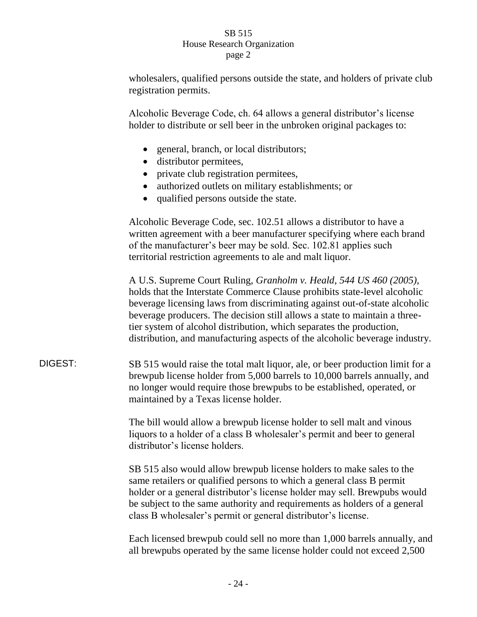wholesalers, qualified persons outside the state, and holders of private club registration permits.

Alcoholic Beverage Code, ch. 64 allows a general distributor's license holder to distribute or sell beer in the unbroken original packages to:

- general, branch, or local distributors;
- distributor permitees,
- private club registration permitees,
- authorized outlets on military establishments; or
- qualified persons outside the state.

Alcoholic Beverage Code, sec. 102.51 allows a distributor to have a written agreement with a beer manufacturer specifying where each brand of the manufacturer's beer may be sold. Sec. 102.81 applies such territorial restriction agreements to ale and malt liquor.

A U.S. Supreme Court Ruling, *Granholm v. Heald, 544 US 460 (2005)*, holds that the Interstate Commerce Clause prohibits state-level alcoholic beverage licensing laws from discriminating against out-of-state alcoholic beverage producers. The decision still allows a state to maintain a threetier system of alcohol distribution, which separates the production, distribution, and manufacturing aspects of the alcoholic beverage industry.

DIGEST: SB 515 would raise the total malt liquor, ale, or beer production limit for a brewpub license holder from 5,000 barrels to 10,000 barrels annually, and no longer would require those brewpubs to be established, operated, or maintained by a Texas license holder.

> The bill would allow a brewpub license holder to sell malt and vinous liquors to a holder of a class B wholesaler's permit and beer to general distributor's license holders.

SB 515 also would allow brewpub license holders to make sales to the same retailers or qualified persons to which a general class B permit holder or a general distributor's license holder may sell. Brewpubs would be subject to the same authority and requirements as holders of a general class B wholesaler's permit or general distributor's license.

Each licensed brewpub could sell no more than 1,000 barrels annually, and all brewpubs operated by the same license holder could not exceed 2,500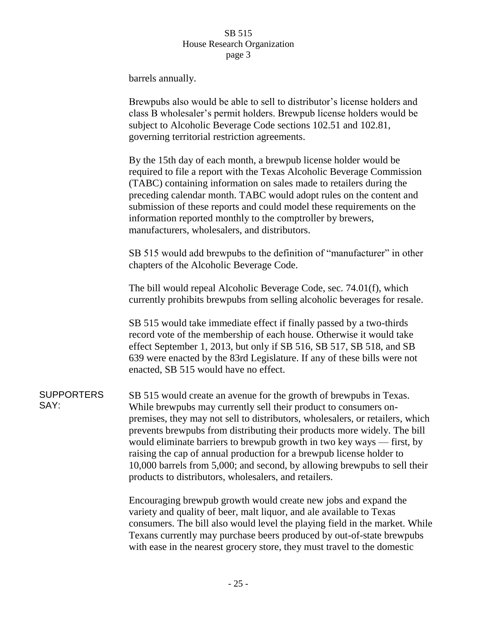barrels annually.

Brewpubs also would be able to sell to distributor's license holders and class B wholesaler's permit holders. Brewpub license holders would be subject to Alcoholic Beverage Code sections 102.51 and 102.81, governing territorial restriction agreements.

By the 15th day of each month, a brewpub license holder would be required to file a report with the Texas Alcoholic Beverage Commission (TABC) containing information on sales made to retailers during the preceding calendar month. TABC would adopt rules on the content and submission of these reports and could model these requirements on the information reported monthly to the comptroller by brewers, manufacturers, wholesalers, and distributors.

SB 515 would add brewpubs to the definition of "manufacturer" in other chapters of the Alcoholic Beverage Code.

The bill would repeal Alcoholic Beverage Code, sec. 74.01(f), which currently prohibits brewpubs from selling alcoholic beverages for resale.

SB 515 would take immediate effect if finally passed by a two-thirds record vote of the membership of each house. Otherwise it would take effect September 1, 2013, but only if SB 516, SB 517, SB 518, and SB 639 were enacted by the 83rd Legislature. If any of these bills were not enacted, SB 515 would have no effect.

#### **SUPPORTERS** SAY:

SB 515 would create an avenue for the growth of brewpubs in Texas. While brewpubs may currently sell their product to consumers onpremises, they may not sell to distributors, wholesalers, or retailers, which prevents brewpubs from distributing their products more widely. The bill would eliminate barriers to brewpub growth in two key ways — first, by raising the cap of annual production for a brewpub license holder to 10,000 barrels from 5,000; and second, by allowing brewpubs to sell their products to distributors, wholesalers, and retailers.

Encouraging brewpub growth would create new jobs and expand the variety and quality of beer, malt liquor, and ale available to Texas consumers. The bill also would level the playing field in the market. While Texans currently may purchase beers produced by out-of-state brewpubs with ease in the nearest grocery store, they must travel to the domestic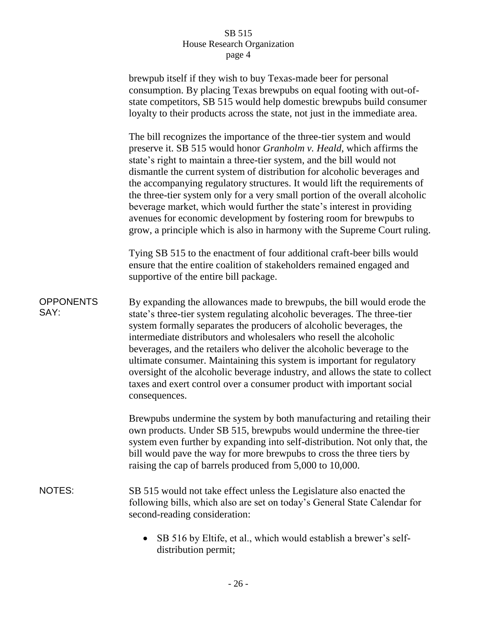|                          | brewpub itself if they wish to buy Texas-made beer for personal<br>consumption. By placing Texas brewpubs on equal footing with out-of-<br>state competitors, SB 515 would help domestic brewpubs build consumer<br>loyalty to their products across the state, not just in the immediate area.                                                                                                                                                                                                                                                                                                                                                                                              |
|--------------------------|----------------------------------------------------------------------------------------------------------------------------------------------------------------------------------------------------------------------------------------------------------------------------------------------------------------------------------------------------------------------------------------------------------------------------------------------------------------------------------------------------------------------------------------------------------------------------------------------------------------------------------------------------------------------------------------------|
|                          | The bill recognizes the importance of the three-tier system and would<br>preserve it. SB 515 would honor Granholm v. Heald, which affirms the<br>state's right to maintain a three-tier system, and the bill would not<br>dismantle the current system of distribution for alcoholic beverages and<br>the accompanying regulatory structures. It would lift the requirements of<br>the three-tier system only for a very small portion of the overall alcoholic<br>beverage market, which would further the state's interest in providing<br>avenues for economic development by fostering room for brewpubs to<br>grow, a principle which is also in harmony with the Supreme Court ruling. |
|                          | Tying SB 515 to the enactment of four additional craft-beer bills would<br>ensure that the entire coalition of stakeholders remained engaged and<br>supportive of the entire bill package.                                                                                                                                                                                                                                                                                                                                                                                                                                                                                                   |
| <b>OPPONENTS</b><br>SAY: | By expanding the allowances made to brewpubs, the bill would erode the<br>state's three-tier system regulating alcoholic beverages. The three-tier<br>system formally separates the producers of alcoholic beverages, the<br>intermediate distributors and wholesalers who resell the alcoholic<br>beverages, and the retailers who deliver the alcoholic beverage to the<br>ultimate consumer. Maintaining this system is important for regulatory<br>oversight of the alcoholic beverage industry, and allows the state to collect<br>taxes and exert control over a consumer product with important social<br>consequences.                                                               |
|                          | Brewpubs undermine the system by both manufacturing and retailing their<br>own products. Under SB 515, brewpubs would undermine the three-tier<br>system even further by expanding into self-distribution. Not only that, the<br>bill would pave the way for more brewpubs to cross the three tiers by<br>raising the cap of barrels produced from 5,000 to 10,000.                                                                                                                                                                                                                                                                                                                          |
| <b>NOTES:</b>            | SB 515 would not take effect unless the Legislature also enacted the<br>following bills, which also are set on today's General State Calendar for<br>second-reading consideration:                                                                                                                                                                                                                                                                                                                                                                                                                                                                                                           |
|                          | SB 516 by Eltife, et al., which would establish a brewer's self-<br>distribution permit;                                                                                                                                                                                                                                                                                                                                                                                                                                                                                                                                                                                                     |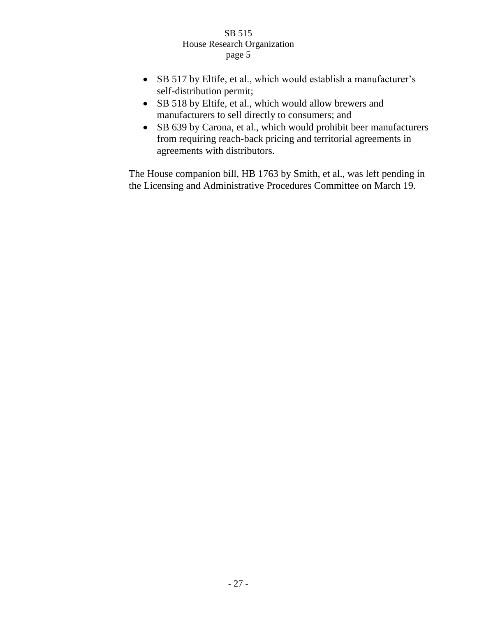- SB 517 by Eltife, et al., which would establish a manufacturer's self-distribution permit;
- SB 518 by Eltife, et al., which would allow brewers and manufacturers to sell directly to consumers; and
- SB 639 by Carona, et al., which would prohibit beer manufacturers from requiring reach-back pricing and territorial agreements in agreements with distributors.

The House companion bill, HB 1763 by Smith, et al., was left pending in the Licensing and Administrative Procedures Committee on March 19.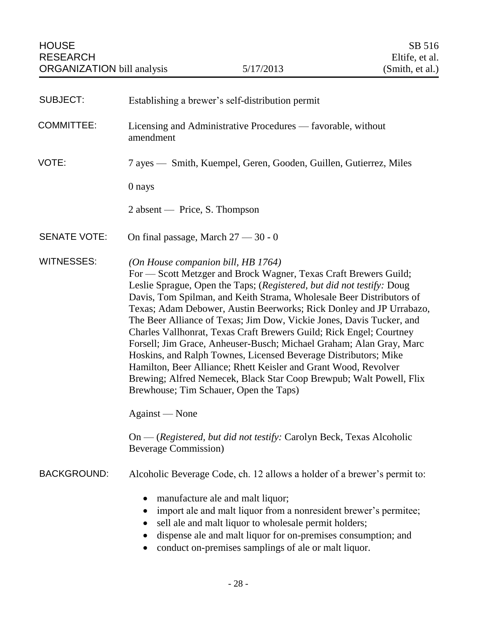<span id="page-29-0"></span>

| <b>SUBJECT:</b>     | Establishing a brewer's self-distribution permit                                                                                                                                                                                                                                                                                                                                                                                                                                                                                                                                                                                                                                                                                                                                                                                                                                                      |
|---------------------|-------------------------------------------------------------------------------------------------------------------------------------------------------------------------------------------------------------------------------------------------------------------------------------------------------------------------------------------------------------------------------------------------------------------------------------------------------------------------------------------------------------------------------------------------------------------------------------------------------------------------------------------------------------------------------------------------------------------------------------------------------------------------------------------------------------------------------------------------------------------------------------------------------|
| <b>COMMITTEE:</b>   | Licensing and Administrative Procedures — favorable, without<br>amendment                                                                                                                                                                                                                                                                                                                                                                                                                                                                                                                                                                                                                                                                                                                                                                                                                             |
| VOTE:               | 7 ayes — Smith, Kuempel, Geren, Gooden, Guillen, Gutierrez, Miles                                                                                                                                                                                                                                                                                                                                                                                                                                                                                                                                                                                                                                                                                                                                                                                                                                     |
|                     | 0 nays                                                                                                                                                                                                                                                                                                                                                                                                                                                                                                                                                                                                                                                                                                                                                                                                                                                                                                |
|                     | $2$ absent — Price, S. Thompson                                                                                                                                                                                                                                                                                                                                                                                                                                                                                                                                                                                                                                                                                                                                                                                                                                                                       |
| <b>SENATE VOTE:</b> | On final passage, March $27 - 30 - 0$                                                                                                                                                                                                                                                                                                                                                                                                                                                                                                                                                                                                                                                                                                                                                                                                                                                                 |
| <b>WITNESSES:</b>   | (On House companion bill, HB 1764)<br>For - Scott Metzger and Brock Wagner, Texas Craft Brewers Guild;<br>Leslie Sprague, Open the Taps; (Registered, but did not testify: Doug<br>Davis, Tom Spilman, and Keith Strama, Wholesale Beer Distributors of<br>Texas; Adam Debower, Austin Beerworks; Rick Donley and JP Urrabazo,<br>The Beer Alliance of Texas; Jim Dow, Vickie Jones, Davis Tucker, and<br>Charles Vallhonrat, Texas Craft Brewers Guild; Rick Engel; Courtney<br>Forsell; Jim Grace, Anheuser-Busch; Michael Graham; Alan Gray, Marc<br>Hoskins, and Ralph Townes, Licensed Beverage Distributors; Mike<br>Hamilton, Beer Alliance; Rhett Keisler and Grant Wood, Revolver<br>Brewing; Alfred Nemecek, Black Star Coop Brewpub; Walt Powell, Flix<br>Brewhouse; Tim Schauer, Open the Taps)<br>Against — None<br>On - (Registered, but did not testify: Carolyn Beck, Texas Alcoholic |
|                     | <b>Beverage Commission</b> )                                                                                                                                                                                                                                                                                                                                                                                                                                                                                                                                                                                                                                                                                                                                                                                                                                                                          |
| <b>BACKGROUND:</b>  | Alcoholic Beverage Code, ch. 12 allows a holder of a brewer's permit to:                                                                                                                                                                                                                                                                                                                                                                                                                                                                                                                                                                                                                                                                                                                                                                                                                              |
|                     | manufacture ale and malt liquor;<br>import ale and malt liquor from a nonresident brewer's permitee;<br>$\bullet$<br>sell ale and malt liquor to wholesale permit holders;<br>$\bullet$<br>dispense ale and malt liquor for on-premises consumption; and<br>$\bullet$<br>conduct on-premises samplings of ale or malt liquor.<br>$\bullet$                                                                                                                                                                                                                                                                                                                                                                                                                                                                                                                                                            |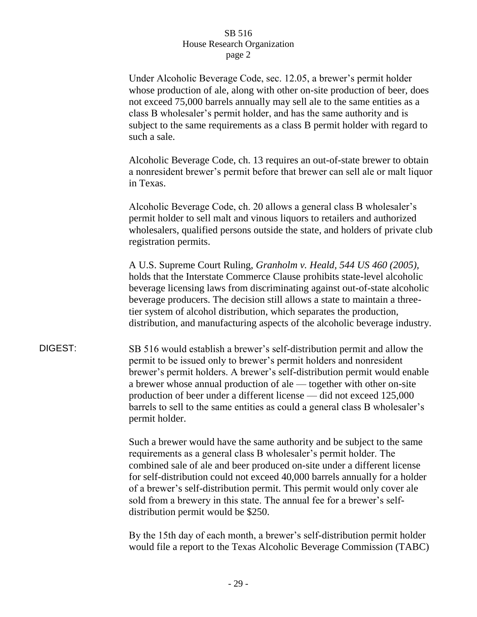Under Alcoholic Beverage Code, sec. 12.05, a brewer's permit holder whose production of ale, along with other on-site production of beer, does not exceed 75,000 barrels annually may sell ale to the same entities as a class B wholesaler's permit holder, and has the same authority and is subject to the same requirements as a class B permit holder with regard to such a sale.

Alcoholic Beverage Code, ch. 13 requires an out-of-state brewer to obtain a nonresident brewer's permit before that brewer can sell ale or malt liquor in Texas.

Alcoholic Beverage Code, ch. 20 allows a general class B wholesaler's permit holder to sell malt and vinous liquors to retailers and authorized wholesalers, qualified persons outside the state, and holders of private club registration permits.

A U.S. Supreme Court Ruling, *Granholm v. Heald, 544 US 460 (2005),*  holds that the Interstate Commerce Clause prohibits state-level alcoholic beverage licensing laws from discriminating against out-of-state alcoholic beverage producers. The decision still allows a state to maintain a threetier system of alcohol distribution, which separates the production, distribution, and manufacturing aspects of the alcoholic beverage industry.

DIGEST: SB 516 would establish a brewer's self-distribution permit and allow the permit to be issued only to brewer's permit holders and nonresident brewer's permit holders. A brewer's self-distribution permit would enable a brewer whose annual production of ale — together with other on-site production of beer under a different license — did not exceed 125,000 barrels to sell to the same entities as could a general class B wholesaler's permit holder.

> Such a brewer would have the same authority and be subject to the same requirements as a general class B wholesaler's permit holder. The combined sale of ale and beer produced on-site under a different license for self-distribution could not exceed 40,000 barrels annually for a holder of a brewer's self-distribution permit. This permit would only cover ale sold from a brewery in this state. The annual fee for a brewer's selfdistribution permit would be \$250.

> By the 15th day of each month, a brewer's self-distribution permit holder would file a report to the Texas Alcoholic Beverage Commission (TABC)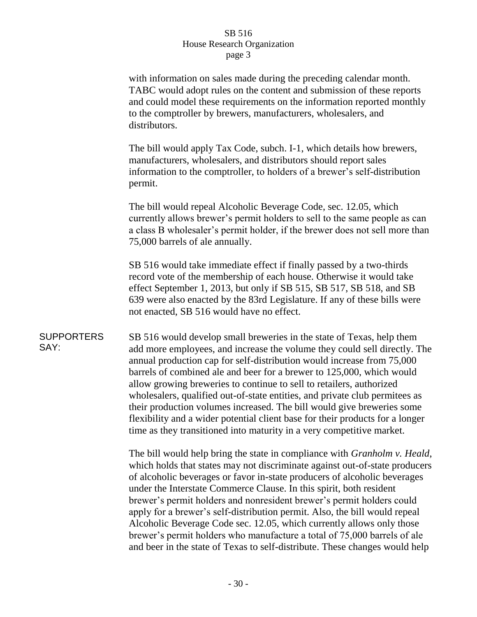with information on sales made during the preceding calendar month. TABC would adopt rules on the content and submission of these reports and could model these requirements on the information reported monthly to the comptroller by brewers, manufacturers, wholesalers, and distributors.

The bill would apply Tax Code, subch. I-1, which details how brewers, manufacturers, wholesalers, and distributors should report sales information to the comptroller, to holders of a brewer's self-distribution permit.

The bill would repeal Alcoholic Beverage Code, sec. 12.05, which currently allows brewer's permit holders to sell to the same people as can a class B wholesaler's permit holder, if the brewer does not sell more than 75,000 barrels of ale annually.

SB 516 would take immediate effect if finally passed by a two-thirds record vote of the membership of each house. Otherwise it would take effect September 1, 2013, but only if SB 515, SB 517, SB 518, and SB 639 were also enacted by the 83rd Legislature. If any of these bills were not enacted, SB 516 would have no effect.

**SUPPORTERS** SAY: SB 516 would develop small breweries in the state of Texas, help them add more employees, and increase the volume they could sell directly. The annual production cap for self-distribution would increase from 75,000 barrels of combined ale and beer for a brewer to 125,000, which would allow growing breweries to continue to sell to retailers, authorized wholesalers, qualified out-of-state entities, and private club permitees as their production volumes increased. The bill would give breweries some flexibility and a wider potential client base for their products for a longer time as they transitioned into maturity in a very competitive market.

> The bill would help bring the state in compliance with *Granholm v. Heald*, which holds that states may not discriminate against out-of-state producers of alcoholic beverages or favor in-state producers of alcoholic beverages under the Interstate Commerce Clause. In this spirit, both resident brewer's permit holders and nonresident brewer's permit holders could apply for a brewer's self-distribution permit. Also, the bill would repeal Alcoholic Beverage Code sec. 12.05, which currently allows only those brewer's permit holders who manufacture a total of 75,000 barrels of ale and beer in the state of Texas to self-distribute. These changes would help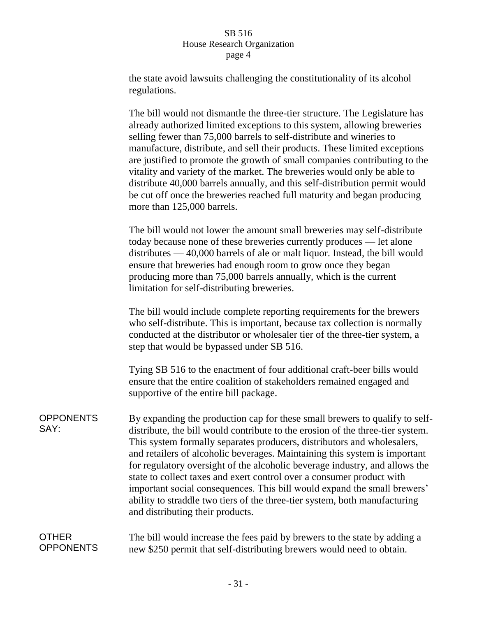the state avoid lawsuits challenging the constitutionality of its alcohol regulations.

The bill would not dismantle the three-tier structure. The Legislature has already authorized limited exceptions to this system, allowing breweries selling fewer than 75,000 barrels to self-distribute and wineries to manufacture, distribute, and sell their products. These limited exceptions are justified to promote the growth of small companies contributing to the vitality and variety of the market. The breweries would only be able to distribute 40,000 barrels annually, and this self-distribution permit would be cut off once the breweries reached full maturity and began producing more than 125,000 barrels.

The bill would not lower the amount small breweries may self-distribute today because none of these breweries currently produces — let alone distributes — 40,000 barrels of ale or malt liquor. Instead, the bill would ensure that breweries had enough room to grow once they began producing more than 75,000 barrels annually, which is the current limitation for self-distributing breweries.

The bill would include complete reporting requirements for the brewers who self-distribute. This is important, because tax collection is normally conducted at the distributor or wholesaler tier of the three-tier system, a step that would be bypassed under SB 516.

Tying SB 516 to the enactment of four additional craft-beer bills would ensure that the entire coalition of stakeholders remained engaged and supportive of the entire bill package.

**OPPONENTS** SAY: By expanding the production cap for these small brewers to qualify to selfdistribute, the bill would contribute to the erosion of the three-tier system. This system formally separates producers, distributors and wholesalers, and retailers of alcoholic beverages. Maintaining this system is important for regulatory oversight of the alcoholic beverage industry, and allows the state to collect taxes and exert control over a consumer product with important social consequences. This bill would expand the small brewers' ability to straddle two tiers of the three-tier system, both manufacturing and distributing their products.

#### OTHER **OPPONENTS** The bill would increase the fees paid by brewers to the state by adding a new \$250 permit that self-distributing brewers would need to obtain.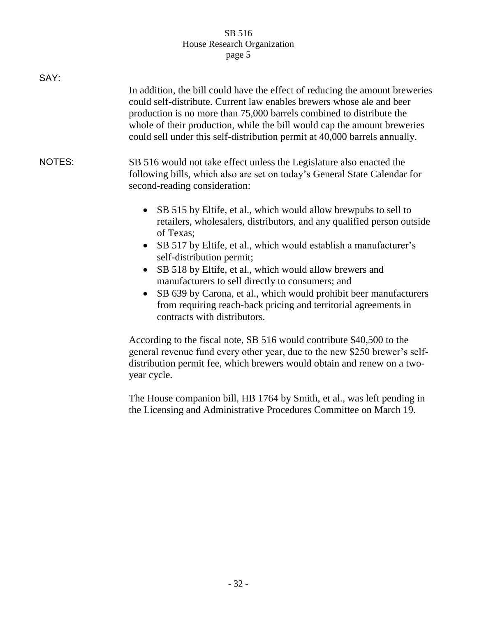| In addition, the bill could have the effect of reducing the amount breweries<br>could self-distribute. Current law enables brewers whose ale and beer<br>production is no more than 75,000 barrels combined to distribute the<br>whole of their production, while the bill would cap the amount breweries<br>could sell under this self-distribution permit at 40,000 barrels annually.                                                                                                                                                                                                                                                                                                                                                                                                                                    |
|----------------------------------------------------------------------------------------------------------------------------------------------------------------------------------------------------------------------------------------------------------------------------------------------------------------------------------------------------------------------------------------------------------------------------------------------------------------------------------------------------------------------------------------------------------------------------------------------------------------------------------------------------------------------------------------------------------------------------------------------------------------------------------------------------------------------------|
| SB 516 would not take effect unless the Legislature also enacted the<br>following bills, which also are set on today's General State Calendar for<br>second-reading consideration:<br>SB 515 by Eltife, et al., which would allow brewpubs to sell to<br>retailers, wholesalers, distributors, and any qualified person outside<br>of Texas:<br>SB 517 by Eltife, et al., which would establish a manufacturer's<br>self-distribution permit;<br>SB 518 by Eltife, et al., which would allow brewers and<br>$\bullet$<br>manufacturers to sell directly to consumers; and<br>SB 639 by Carona, et al., which would prohibit beer manufacturers<br>from requiring reach-back pricing and territorial agreements in<br>contracts with distributors.<br>According to the fiscal note, SB 516 would contribute \$40,500 to the |
| general revenue fund every other year, due to the new \$250 brewer's self-<br>distribution permit fee, which brewers would obtain and renew on a two-<br>year cycle.                                                                                                                                                                                                                                                                                                                                                                                                                                                                                                                                                                                                                                                       |
|                                                                                                                                                                                                                                                                                                                                                                                                                                                                                                                                                                                                                                                                                                                                                                                                                            |

The House companion bill, HB 1764 by Smith, et al., was left pending in the Licensing and Administrative Procedures Committee on March 19.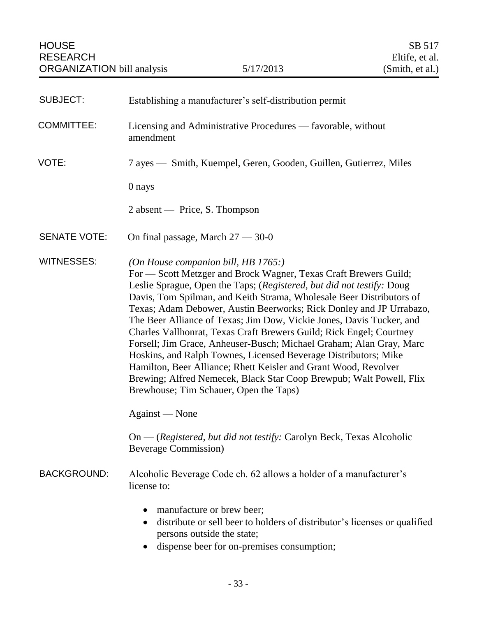<span id="page-34-0"></span>

| <b>SUBJECT:</b>     | Establishing a manufacturer's self-distribution permit                                                                                                                                                                                                                                                                                                                                                                                                                                                                                                                                                                                                                                                                                                                                                       |
|---------------------|--------------------------------------------------------------------------------------------------------------------------------------------------------------------------------------------------------------------------------------------------------------------------------------------------------------------------------------------------------------------------------------------------------------------------------------------------------------------------------------------------------------------------------------------------------------------------------------------------------------------------------------------------------------------------------------------------------------------------------------------------------------------------------------------------------------|
| <b>COMMITTEE:</b>   | Licensing and Administrative Procedures — favorable, without<br>amendment                                                                                                                                                                                                                                                                                                                                                                                                                                                                                                                                                                                                                                                                                                                                    |
| VOTE:               | 7 ayes — Smith, Kuempel, Geren, Gooden, Guillen, Gutierrez, Miles                                                                                                                                                                                                                                                                                                                                                                                                                                                                                                                                                                                                                                                                                                                                            |
|                     | 0 nays                                                                                                                                                                                                                                                                                                                                                                                                                                                                                                                                                                                                                                                                                                                                                                                                       |
|                     | $2$ absent — Price, S. Thompson                                                                                                                                                                                                                                                                                                                                                                                                                                                                                                                                                                                                                                                                                                                                                                              |
| <b>SENATE VOTE:</b> | On final passage, March $27 - 30 - 0$                                                                                                                                                                                                                                                                                                                                                                                                                                                                                                                                                                                                                                                                                                                                                                        |
| <b>WITNESSES:</b>   | (On House companion bill, HB 1765:)<br>For - Scott Metzger and Brock Wagner, Texas Craft Brewers Guild;<br>Leslie Sprague, Open the Taps; (Registered, but did not testify: Doug<br>Davis, Tom Spilman, and Keith Strama, Wholesale Beer Distributors of<br>Texas; Adam Debower, Austin Beerworks; Rick Donley and JP Urrabazo,<br>The Beer Alliance of Texas; Jim Dow, Vickie Jones, Davis Tucker, and<br>Charles Vallhonrat, Texas Craft Brewers Guild; Rick Engel; Courtney<br>Forsell; Jim Grace, Anheuser-Busch; Michael Graham; Alan Gray, Marc<br>Hoskins, and Ralph Townes, Licensed Beverage Distributors; Mike<br>Hamilton, Beer Alliance; Rhett Keisler and Grant Wood, Revolver<br>Brewing; Alfred Nemecek, Black Star Coop Brewpub; Walt Powell, Flix<br>Brewhouse; Tim Schauer, Open the Taps) |
|                     | Against — None<br>On — (Registered, but did not testify: Carolyn Beck, Texas Alcoholic<br><b>Beverage Commission</b> )                                                                                                                                                                                                                                                                                                                                                                                                                                                                                                                                                                                                                                                                                       |
| <b>BACKGROUND:</b>  | Alcoholic Beverage Code ch. 62 allows a holder of a manufacturer's<br>license to:                                                                                                                                                                                                                                                                                                                                                                                                                                                                                                                                                                                                                                                                                                                            |
|                     | manufacture or brew beer;<br>distribute or sell beer to holders of distributor's licenses or qualified<br>persons outside the state;<br>dispense beer for on-premises consumption;                                                                                                                                                                                                                                                                                                                                                                                                                                                                                                                                                                                                                           |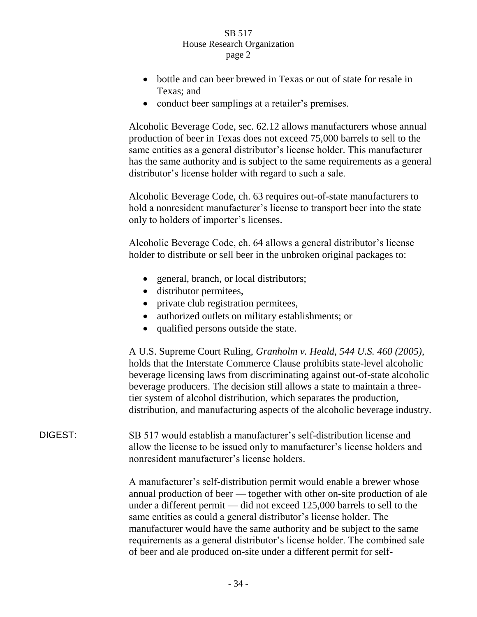- bottle and can beer brewed in Texas or out of state for resale in Texas; and
- conduct beer samplings at a retailer's premises.

Alcoholic Beverage Code, sec. 62.12 allows manufacturers whose annual production of beer in Texas does not exceed 75,000 barrels to sell to the same entities as a general distributor's license holder. This manufacturer has the same authority and is subject to the same requirements as a general distributor's license holder with regard to such a sale.

Alcoholic Beverage Code, ch. 63 requires out-of-state manufacturers to hold a nonresident manufacturer's license to transport beer into the state only to holders of importer's licenses.

Alcoholic Beverage Code, ch. 64 allows a general distributor's license holder to distribute or sell beer in the unbroken original packages to:

- general, branch, or local distributors;
- distributor permitees,
- private club registration permitees,
- authorized outlets on military establishments; or
- qualified persons outside the state.

A U.S. Supreme Court Ruling, *Granholm v. Heald, 544 U.S. 460 (2005)*, holds that the Interstate Commerce Clause prohibits state-level alcoholic beverage licensing laws from discriminating against out-of-state alcoholic beverage producers. The decision still allows a state to maintain a threetier system of alcohol distribution, which separates the production, distribution, and manufacturing aspects of the alcoholic beverage industry.

DIGEST: SB 517 would establish a manufacturer's self-distribution license and allow the license to be issued only to manufacturer's license holders and nonresident manufacturer's license holders.

> A manufacturer's self-distribution permit would enable a brewer whose annual production of beer — together with other on-site production of ale under a different permit — did not exceed 125,000 barrels to sell to the same entities as could a general distributor's license holder. The manufacturer would have the same authority and be subject to the same requirements as a general distributor's license holder. The combined sale of beer and ale produced on-site under a different permit for self-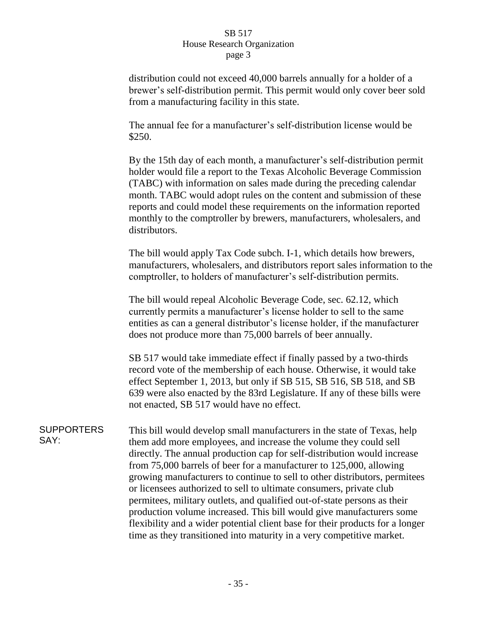distribution could not exceed 40,000 barrels annually for a holder of a brewer's self-distribution permit. This permit would only cover beer sold from a manufacturing facility in this state.

The annual fee for a manufacturer's self-distribution license would be \$250.

By the 15th day of each month, a manufacturer's self-distribution permit holder would file a report to the Texas Alcoholic Beverage Commission (TABC) with information on sales made during the preceding calendar month. TABC would adopt rules on the content and submission of these reports and could model these requirements on the information reported monthly to the comptroller by brewers, manufacturers, wholesalers, and distributors.

The bill would apply Tax Code subch. I-1, which details how brewers, manufacturers, wholesalers, and distributors report sales information to the comptroller, to holders of manufacturer's self-distribution permits.

The bill would repeal Alcoholic Beverage Code, sec. 62.12, which currently permits a manufacturer's license holder to sell to the same entities as can a general distributor's license holder, if the manufacturer does not produce more than 75,000 barrels of beer annually.

SB 517 would take immediate effect if finally passed by a two-thirds record vote of the membership of each house. Otherwise, it would take effect September 1, 2013, but only if SB 515, SB 516, SB 518, and SB 639 were also enacted by the 83rd Legislature. If any of these bills were not enacted, SB 517 would have no effect.

**SUPPORTERS** SAY: This bill would develop small manufacturers in the state of Texas, help them add more employees, and increase the volume they could sell directly. The annual production cap for self-distribution would increase from 75,000 barrels of beer for a manufacturer to 125,000, allowing growing manufacturers to continue to sell to other distributors, permitees or licensees authorized to sell to ultimate consumers, private club permitees, military outlets, and qualified out-of-state persons as their production volume increased. This bill would give manufacturers some flexibility and a wider potential client base for their products for a longer time as they transitioned into maturity in a very competitive market.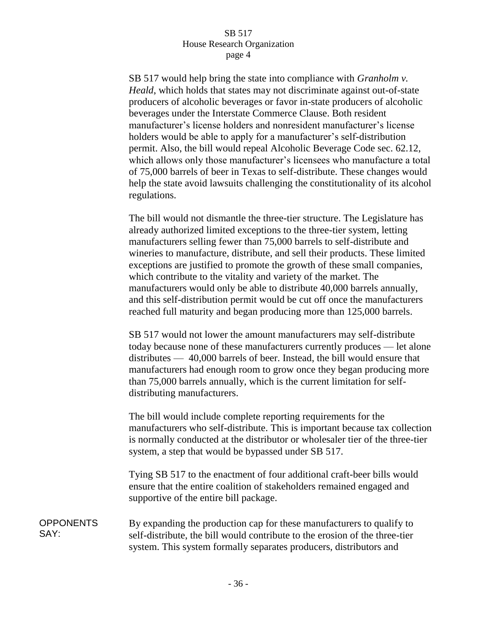SB 517 would help bring the state into compliance with *Granholm v. Heald*, which holds that states may not discriminate against out-of-state producers of alcoholic beverages or favor in-state producers of alcoholic beverages under the Interstate Commerce Clause. Both resident manufacturer's license holders and nonresident manufacturer's license holders would be able to apply for a manufacturer's self-distribution permit. Also, the bill would repeal Alcoholic Beverage Code sec. 62.12, which allows only those manufacturer's licensees who manufacture a total of 75,000 barrels of beer in Texas to self-distribute. These changes would help the state avoid lawsuits challenging the constitutionality of its alcohol regulations.

The bill would not dismantle the three-tier structure. The Legislature has already authorized limited exceptions to the three-tier system, letting manufacturers selling fewer than 75,000 barrels to self-distribute and wineries to manufacture, distribute, and sell their products. These limited exceptions are justified to promote the growth of these small companies, which contribute to the vitality and variety of the market. The manufacturers would only be able to distribute 40,000 barrels annually, and this self-distribution permit would be cut off once the manufacturers reached full maturity and began producing more than 125,000 barrels.

SB 517 would not lower the amount manufacturers may self-distribute today because none of these manufacturers currently produces — let alone distributes — 40,000 barrels of beer. Instead, the bill would ensure that manufacturers had enough room to grow once they began producing more than 75,000 barrels annually, which is the current limitation for selfdistributing manufacturers.

The bill would include complete reporting requirements for the manufacturers who self-distribute. This is important because tax collection is normally conducted at the distributor or wholesaler tier of the three-tier system, a step that would be bypassed under SB 517.

Tying SB 517 to the enactment of four additional craft-beer bills would ensure that the entire coalition of stakeholders remained engaged and supportive of the entire bill package.

**OPPONENTS** SAY: By expanding the production cap for these manufacturers to qualify to self-distribute, the bill would contribute to the erosion of the three-tier system. This system formally separates producers, distributors and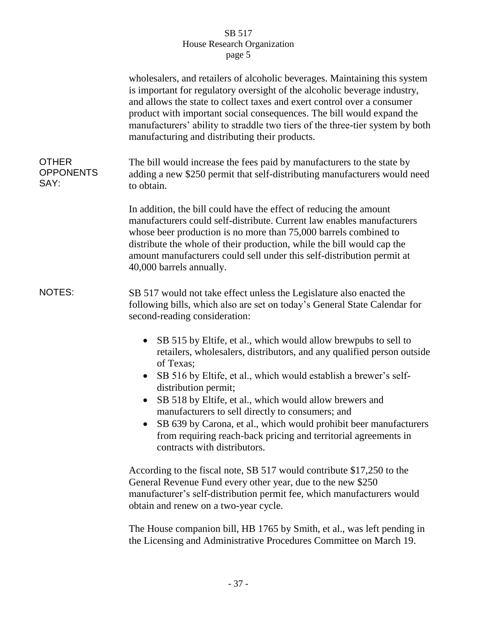|                                          | wholesalers, and retailers of alcoholic beverages. Maintaining this system<br>is important for regulatory oversight of the alcoholic beverage industry,<br>and allows the state to collect taxes and exert control over a consumer<br>product with important social consequences. The bill would expand the<br>manufacturers' ability to straddle two tiers of the three-tier system by both<br>manufacturing and distributing their products.                                                                                                                                   |
|------------------------------------------|----------------------------------------------------------------------------------------------------------------------------------------------------------------------------------------------------------------------------------------------------------------------------------------------------------------------------------------------------------------------------------------------------------------------------------------------------------------------------------------------------------------------------------------------------------------------------------|
| <b>OTHER</b><br><b>OPPONENTS</b><br>SAY: | The bill would increase the fees paid by manufacturers to the state by<br>adding a new \$250 permit that self-distributing manufacturers would need<br>to obtain.                                                                                                                                                                                                                                                                                                                                                                                                                |
|                                          | In addition, the bill could have the effect of reducing the amount<br>manufacturers could self-distribute. Current law enables manufacturers<br>whose beer production is no more than 75,000 barrels combined to<br>distribute the whole of their production, while the bill would cap the<br>amount manufacturers could sell under this self-distribution permit at<br>40,000 barrels annually.                                                                                                                                                                                 |
| <b>NOTES:</b>                            | SB 517 would not take effect unless the Legislature also enacted the<br>following bills, which also are set on today's General State Calendar for<br>second-reading consideration:                                                                                                                                                                                                                                                                                                                                                                                               |
|                                          | SB 515 by Eltife, et al., which would allow brewpubs to sell to<br>$\bullet$<br>retailers, wholesalers, distributors, and any qualified person outside<br>of Texas;<br>SB 516 by Eltife, et al., which would establish a brewer's self-<br>$\bullet$<br>distribution permit;<br>SB 518 by Eltife, et al., which would allow brewers and<br>$\bullet$<br>manufacturers to sell directly to consumers; and<br>SB 639 by Carona, et al., which would prohibit beer manufacturers<br>from requiring reach-back pricing and territorial agreements in<br>contracts with distributors. |
|                                          | According to the fiscal note, SB 517 would contribute \$17,250 to the<br>General Revenue Fund every other year, due to the new \$250<br>manufacturer's self-distribution permit fee, which manufacturers would<br>obtain and renew on a two-year cycle.                                                                                                                                                                                                                                                                                                                          |
|                                          | The House companion bill, HB 1765 by Smith, et al., was left pending in<br>the Licensing and Administrative Procedures Committee on March 19.                                                                                                                                                                                                                                                                                                                                                                                                                                    |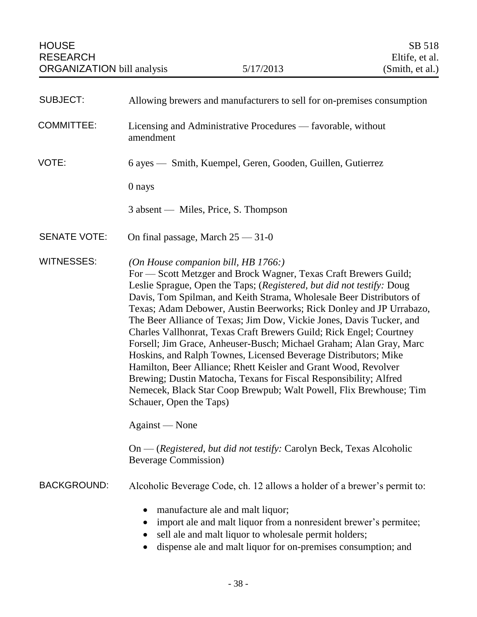| <b>SUBJECT:</b>     | Allowing brewers and manufacturers to sell for on-premises consumption                                                                                                                                                                                                                                                                                                                                                                                                                                                                                                                                                                                                                                                                                                                                                                                                                 |
|---------------------|----------------------------------------------------------------------------------------------------------------------------------------------------------------------------------------------------------------------------------------------------------------------------------------------------------------------------------------------------------------------------------------------------------------------------------------------------------------------------------------------------------------------------------------------------------------------------------------------------------------------------------------------------------------------------------------------------------------------------------------------------------------------------------------------------------------------------------------------------------------------------------------|
| <b>COMMITTEE:</b>   | Licensing and Administrative Procedures — favorable, without<br>amendment                                                                                                                                                                                                                                                                                                                                                                                                                                                                                                                                                                                                                                                                                                                                                                                                              |
| VOTE:               | 6 ayes — Smith, Kuempel, Geren, Gooden, Guillen, Gutierrez                                                                                                                                                                                                                                                                                                                                                                                                                                                                                                                                                                                                                                                                                                                                                                                                                             |
|                     | 0 nays                                                                                                                                                                                                                                                                                                                                                                                                                                                                                                                                                                                                                                                                                                                                                                                                                                                                                 |
|                     | 3 absent — Miles, Price, S. Thompson                                                                                                                                                                                                                                                                                                                                                                                                                                                                                                                                                                                                                                                                                                                                                                                                                                                   |
| <b>SENATE VOTE:</b> | On final passage, March $25 - 31 - 0$                                                                                                                                                                                                                                                                                                                                                                                                                                                                                                                                                                                                                                                                                                                                                                                                                                                  |
| <b>WITNESSES:</b>   | (On House companion bill, HB $1766$ :)<br>For - Scott Metzger and Brock Wagner, Texas Craft Brewers Guild;<br>Leslie Sprague, Open the Taps; (Registered, but did not testify: Doug<br>Davis, Tom Spilman, and Keith Strama, Wholesale Beer Distributors of<br>Texas; Adam Debower, Austin Beerworks; Rick Donley and JP Urrabazo,<br>The Beer Alliance of Texas; Jim Dow, Vickie Jones, Davis Tucker, and<br>Charles Vallhonrat, Texas Craft Brewers Guild; Rick Engel; Courtney<br>Forsell; Jim Grace, Anheuser-Busch; Michael Graham; Alan Gray, Marc<br>Hoskins, and Ralph Townes, Licensed Beverage Distributors; Mike<br>Hamilton, Beer Alliance; Rhett Keisler and Grant Wood, Revolver<br>Brewing; Dustin Matocha, Texans for Fiscal Responsibility; Alfred<br>Nemecek, Black Star Coop Brewpub; Walt Powell, Flix Brewhouse; Tim<br>Schauer, Open the Taps)<br>Against — None |
|                     | On — (Registered, but did not testify: Carolyn Beck, Texas Alcoholic<br><b>Beverage Commission</b> )                                                                                                                                                                                                                                                                                                                                                                                                                                                                                                                                                                                                                                                                                                                                                                                   |
| <b>BACKGROUND:</b>  | Alcoholic Beverage Code, ch. 12 allows a holder of a brewer's permit to:                                                                                                                                                                                                                                                                                                                                                                                                                                                                                                                                                                                                                                                                                                                                                                                                               |
|                     | manufacture ale and malt liquor;<br>$\bullet$<br>import ale and malt liquor from a nonresident brewer's permitee;<br>$\bullet$<br>sell ale and malt liquor to wholesale permit holders;<br>dispense ale and malt liquor for on-premises consumption; and                                                                                                                                                                                                                                                                                                                                                                                                                                                                                                                                                                                                                               |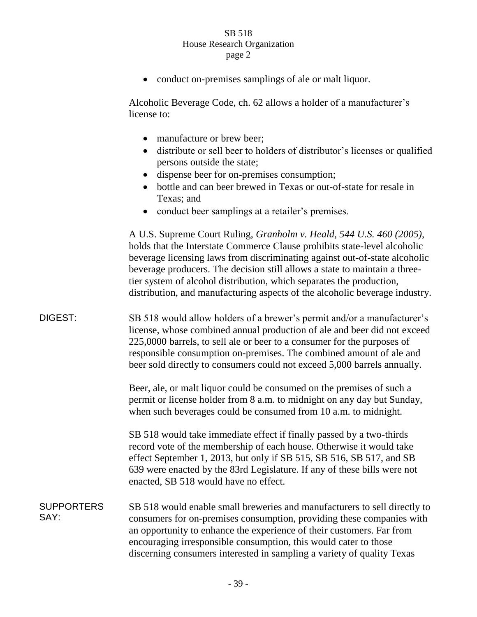• conduct on-premises samplings of ale or malt liquor.

Alcoholic Beverage Code, ch. 62 allows a holder of a manufacturer's license to:

- manufacture or brew beer:
- distribute or sell beer to holders of distributor's licenses or qualified persons outside the state;
- dispense beer for on-premises consumption;
- bottle and can beer brewed in Texas or out-of-state for resale in Texas; and
- conduct beer samplings at a retailer's premises.

A U.S. Supreme Court Ruling, *Granholm v. Heald, 544 U.S. 460 (2005)*, holds that the Interstate Commerce Clause prohibits state-level alcoholic beverage licensing laws from discriminating against out-of-state alcoholic beverage producers. The decision still allows a state to maintain a threetier system of alcohol distribution, which separates the production, distribution, and manufacturing aspects of the alcoholic beverage industry.

DIGEST: SB 518 would allow holders of a brewer's permit and/or a manufacturer's license, whose combined annual production of ale and beer did not exceed 225,0000 barrels, to sell ale or beer to a consumer for the purposes of responsible consumption on-premises. The combined amount of ale and beer sold directly to consumers could not exceed 5,000 barrels annually.

> Beer, ale, or malt liquor could be consumed on the premises of such a permit or license holder from 8 a.m. to midnight on any day but Sunday, when such beverages could be consumed from 10 a.m. to midnight.

SB 518 would take immediate effect if finally passed by a two-thirds record vote of the membership of each house. Otherwise it would take effect September 1, 2013, but only if SB 515, SB 516, SB 517, and SB 639 were enacted by the 83rd Legislature. If any of these bills were not enacted, SB 518 would have no effect.

#### **SUPPORTERS** SAY: SB 518 would enable small breweries and manufacturers to sell directly to consumers for on-premises consumption, providing these companies with an opportunity to enhance the experience of their customers. Far from encouraging irresponsible consumption, this would cater to those discerning consumers interested in sampling a variety of quality Texas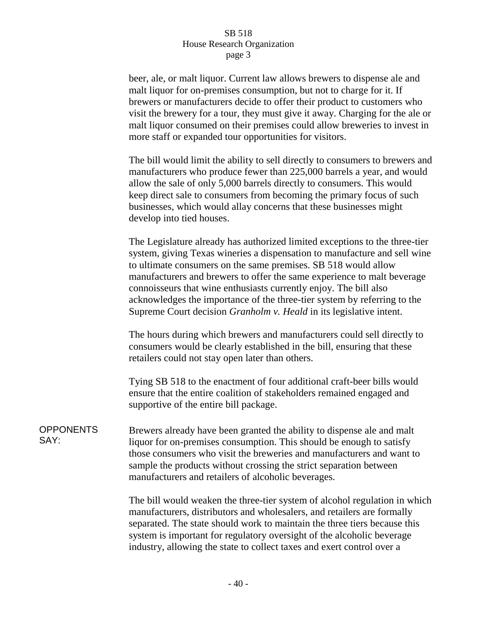beer, ale, or malt liquor. Current law allows brewers to dispense ale and malt liquor for on-premises consumption, but not to charge for it. If brewers or manufacturers decide to offer their product to customers who visit the brewery for a tour, they must give it away. Charging for the ale or malt liquor consumed on their premises could allow breweries to invest in more staff or expanded tour opportunities for visitors.

The bill would limit the ability to sell directly to consumers to brewers and manufacturers who produce fewer than 225,000 barrels a year, and would allow the sale of only 5,000 barrels directly to consumers. This would keep direct sale to consumers from becoming the primary focus of such businesses, which would allay concerns that these businesses might develop into tied houses.

The Legislature already has authorized limited exceptions to the three-tier system, giving Texas wineries a dispensation to manufacture and sell wine to ultimate consumers on the same premises. SB 518 would allow manufacturers and brewers to offer the same experience to malt beverage connoisseurs that wine enthusiasts currently enjoy. The bill also acknowledges the importance of the three-tier system by referring to the Supreme Court decision *Granholm v. Heald* in its legislative intent.

The hours during which brewers and manufacturers could sell directly to consumers would be clearly established in the bill, ensuring that these retailers could not stay open later than others.

Tying SB 518 to the enactment of four additional craft-beer bills would ensure that the entire coalition of stakeholders remained engaged and supportive of the entire bill package.

**OPPONENTS** SAY: Brewers already have been granted the ability to dispense ale and malt liquor for on-premises consumption. This should be enough to satisfy those consumers who visit the breweries and manufacturers and want to sample the products without crossing the strict separation between manufacturers and retailers of alcoholic beverages.

> The bill would weaken the three-tier system of alcohol regulation in which manufacturers, distributors and wholesalers, and retailers are formally separated. The state should work to maintain the three tiers because this system is important for regulatory oversight of the alcoholic beverage industry, allowing the state to collect taxes and exert control over a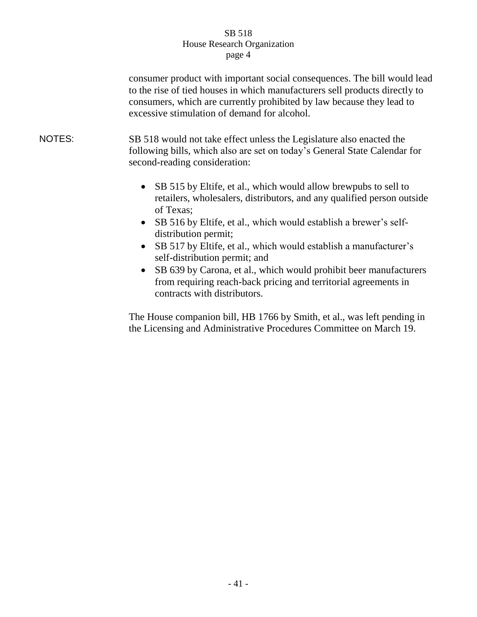|               | consumer product with important social consequences. The bill would lead<br>to the rise of tied houses in which manufacturers sell products directly to<br>consumers, which are currently prohibited by law because they lead to<br>excessive stimulation of demand for alcohol.                                                                                                                                                                                                                                                                              |
|---------------|---------------------------------------------------------------------------------------------------------------------------------------------------------------------------------------------------------------------------------------------------------------------------------------------------------------------------------------------------------------------------------------------------------------------------------------------------------------------------------------------------------------------------------------------------------------|
| <b>NOTES:</b> | SB 518 would not take effect unless the Legislature also enacted the<br>following bills, which also are set on today's General State Calendar for<br>second-reading consideration:                                                                                                                                                                                                                                                                                                                                                                            |
|               | • SB 515 by Eltife, et al., which would allow brewpubs to sell to<br>retailers, wholesalers, distributors, and any qualified person outside<br>of Texas;<br>• SB 516 by Eltife, et al., which would establish a brewer's self-<br>distribution permit;<br>SB 517 by Eltife, et al., which would establish a manufacturer's<br>$\bullet$<br>self-distribution permit; and<br>SB 639 by Carona, et al., which would prohibit beer manufacturers<br>$\bullet$<br>from requiring reach-back pricing and territorial agreements in<br>contracts with distributors. |

The House companion bill, HB 1766 by Smith, et al., was left pending in the Licensing and Administrative Procedures Committee on March 19.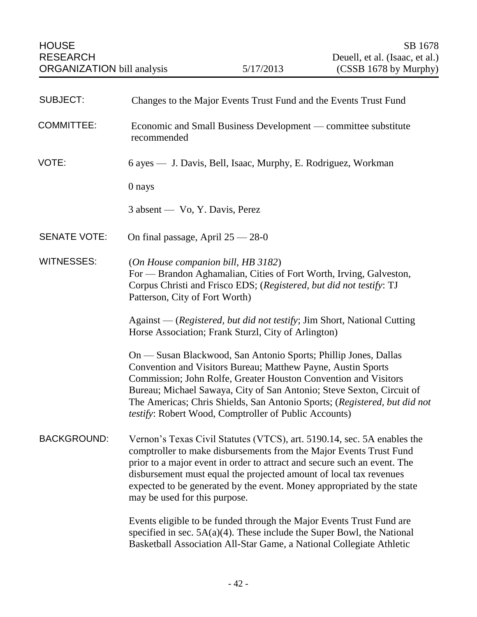| <b>SUBJECT:</b>     | Changes to the Major Events Trust Fund and the Events Trust Fund                                                                                                                                                                                                                                                                                                                                                  |
|---------------------|-------------------------------------------------------------------------------------------------------------------------------------------------------------------------------------------------------------------------------------------------------------------------------------------------------------------------------------------------------------------------------------------------------------------|
| <b>COMMITTEE:</b>   | Economic and Small Business Development — committee substitute<br>recommended                                                                                                                                                                                                                                                                                                                                     |
| VOTE:               | 6 ayes — J. Davis, Bell, Isaac, Murphy, E. Rodriguez, Workman                                                                                                                                                                                                                                                                                                                                                     |
|                     | 0 nays                                                                                                                                                                                                                                                                                                                                                                                                            |
|                     | 3 absent — Vo, Y. Davis, Perez                                                                                                                                                                                                                                                                                                                                                                                    |
| <b>SENATE VOTE:</b> | On final passage, April $25 - 28 - 0$                                                                                                                                                                                                                                                                                                                                                                             |
| <b>WITNESSES:</b>   | (On House companion bill, HB 3182)<br>For — Brandon Aghamalian, Cities of Fort Worth, Irving, Galveston,<br>Corpus Christi and Frisco EDS; (Registered, but did not testify: TJ<br>Patterson, City of Fort Worth)                                                                                                                                                                                                 |
|                     | Against — (Registered, but did not testify; Jim Short, National Cutting<br>Horse Association; Frank Sturzl, City of Arlington)                                                                                                                                                                                                                                                                                    |
|                     | On — Susan Blackwood, San Antonio Sports; Phillip Jones, Dallas<br>Convention and Visitors Bureau; Matthew Payne, Austin Sports<br>Commission; John Rolfe, Greater Houston Convention and Visitors<br>Bureau; Michael Sawaya, City of San Antonio; Steve Sexton, Circuit of<br>The Americas; Chris Shields, San Antonio Sports; (Registered, but did not<br>testify: Robert Wood, Comptroller of Public Accounts) |
| <b>BACKGROUND:</b>  | Vernon's Texas Civil Statutes (VTCS), art. 5190.14, sec. 5A enables the<br>comptroller to make disbursements from the Major Events Trust Fund<br>prior to a major event in order to attract and secure such an event. The<br>disbursement must equal the projected amount of local tax revenues<br>expected to be generated by the event. Money appropriated by the state<br>may be used for this purpose.        |
|                     | Events eligible to be funded through the Major Events Trust Fund are<br>specified in sec. $5A(a)(4)$ . These include the Super Bowl, the National<br>Basketball Association All-Star Game, a National Collegiate Athletic                                                                                                                                                                                         |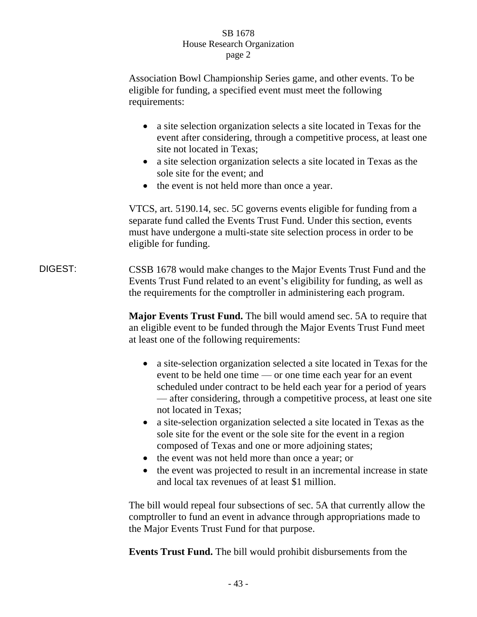Association Bowl Championship Series game, and other events. To be eligible for funding, a specified event must meet the following requirements:

- a site selection organization selects a site located in Texas for the event after considering, through a competitive process, at least one site not located in Texas;
- a site selection organization selects a site located in Texas as the sole site for the event; and
- the event is not held more than once a year.

VTCS, art. 5190.14, sec. 5C governs events eligible for funding from a separate fund called the Events Trust Fund. Under this section, events must have undergone a multi-state site selection process in order to be eligible for funding.

DIGEST: CSSB 1678 would make changes to the Major Events Trust Fund and the Events Trust Fund related to an event's eligibility for funding, as well as the requirements for the comptroller in administering each program.

> **Major Events Trust Fund.** The bill would amend sec. 5A to require that an eligible event to be funded through the Major Events Trust Fund meet at least one of the following requirements:

- a site-selection organization selected a site located in Texas for the event to be held one time — or one time each year for an event scheduled under contract to be held each year for a period of years — after considering, through a competitive process, at least one site not located in Texas;
- a site-selection organization selected a site located in Texas as the sole site for the event or the sole site for the event in a region composed of Texas and one or more adjoining states;
- the event was not held more than once a year; or
- the event was projected to result in an incremental increase in state and local tax revenues of at least \$1 million.

The bill would repeal four subsections of sec. 5A that currently allow the comptroller to fund an event in advance through appropriations made to the Major Events Trust Fund for that purpose.

**Events Trust Fund.** The bill would prohibit disbursements from the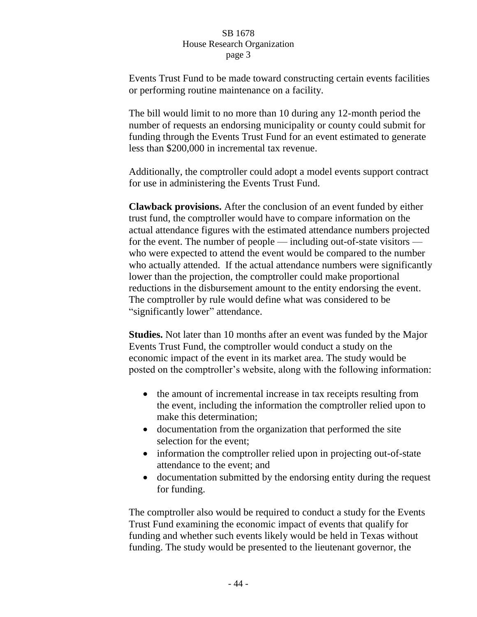Events Trust Fund to be made toward constructing certain events facilities or performing routine maintenance on a facility.

The bill would limit to no more than 10 during any 12-month period the number of requests an endorsing municipality or county could submit for funding through the Events Trust Fund for an event estimated to generate less than \$200,000 in incremental tax revenue.

Additionally, the comptroller could adopt a model events support contract for use in administering the Events Trust Fund.

**Clawback provisions.** After the conclusion of an event funded by either trust fund, the comptroller would have to compare information on the actual attendance figures with the estimated attendance numbers projected for the event. The number of people — including out-of-state visitors who were expected to attend the event would be compared to the number who actually attended. If the actual attendance numbers were significantly lower than the projection, the comptroller could make proportional reductions in the disbursement amount to the entity endorsing the event. The comptroller by rule would define what was considered to be "significantly lower" attendance.

**Studies.** Not later than 10 months after an event was funded by the Major Events Trust Fund, the comptroller would conduct a study on the economic impact of the event in its market area. The study would be posted on the comptroller's website, along with the following information:

- the amount of incremental increase in tax receipts resulting from the event, including the information the comptroller relied upon to make this determination;
- documentation from the organization that performed the site selection for the event;
- information the comptroller relied upon in projecting out-of-state attendance to the event; and
- documentation submitted by the endorsing entity during the request for funding.

The comptroller also would be required to conduct a study for the Events Trust Fund examining the economic impact of events that qualify for funding and whether such events likely would be held in Texas without funding. The study would be presented to the lieutenant governor, the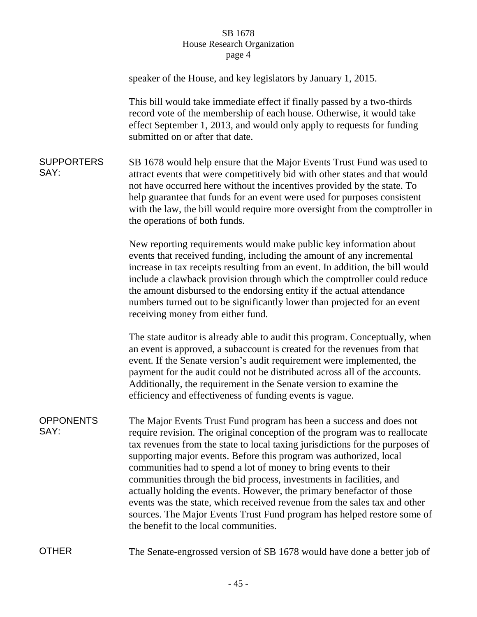|                           | speaker of the House, and key legislators by January 1, 2015.                                                                                                                                                                                                                                                                                                                                                                                                                                                                                                                                                                                                                                                                 |
|---------------------------|-------------------------------------------------------------------------------------------------------------------------------------------------------------------------------------------------------------------------------------------------------------------------------------------------------------------------------------------------------------------------------------------------------------------------------------------------------------------------------------------------------------------------------------------------------------------------------------------------------------------------------------------------------------------------------------------------------------------------------|
|                           | This bill would take immediate effect if finally passed by a two-thirds<br>record vote of the membership of each house. Otherwise, it would take<br>effect September 1, 2013, and would only apply to requests for funding<br>submitted on or after that date.                                                                                                                                                                                                                                                                                                                                                                                                                                                                |
| <b>SUPPORTERS</b><br>SAY: | SB 1678 would help ensure that the Major Events Trust Fund was used to<br>attract events that were competitively bid with other states and that would<br>not have occurred here without the incentives provided by the state. To<br>help guarantee that funds for an event were used for purposes consistent<br>with the law, the bill would require more oversight from the comptroller in<br>the operations of both funds.                                                                                                                                                                                                                                                                                                  |
|                           | New reporting requirements would make public key information about<br>events that received funding, including the amount of any incremental<br>increase in tax receipts resulting from an event. In addition, the bill would<br>include a clawback provision through which the comptroller could reduce<br>the amount disbursed to the endorsing entity if the actual attendance<br>numbers turned out to be significantly lower than projected for an event<br>receiving money from either fund.                                                                                                                                                                                                                             |
|                           | The state auditor is already able to audit this program. Conceptually, when<br>an event is approved, a subaccount is created for the revenues from that<br>event. If the Senate version's audit requirement were implemented, the<br>payment for the audit could not be distributed across all of the accounts.<br>Additionally, the requirement in the Senate version to examine the<br>efficiency and effectiveness of funding events is vague.                                                                                                                                                                                                                                                                             |
| <b>OPPONENTS</b><br>SAY:  | The Major Events Trust Fund program has been a success and does not<br>require revision. The original conception of the program was to reallocate<br>tax revenues from the state to local taxing jurisdictions for the purposes of<br>supporting major events. Before this program was authorized, local<br>communities had to spend a lot of money to bring events to their<br>communities through the bid process, investments in facilities, and<br>actually holding the events. However, the primary benefactor of those<br>events was the state, which received revenue from the sales tax and other<br>sources. The Major Events Trust Fund program has helped restore some of<br>the benefit to the local communities. |
| <b>OTHER</b>              | The Senate-engrossed version of SB 1678 would have done a better job of                                                                                                                                                                                                                                                                                                                                                                                                                                                                                                                                                                                                                                                       |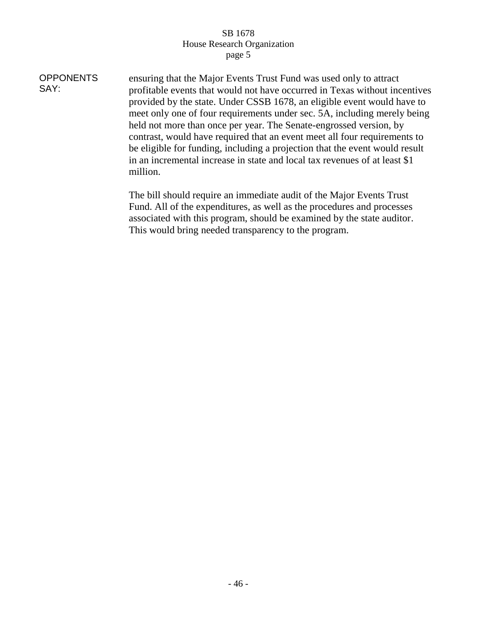| <b>OPPONENTS</b><br>SAY: | ensuring that the Major Events Trust Fund was used only to attract<br>profitable events that would not have occurred in Texas without incentives<br>provided by the state. Under CSSB 1678, an eligible event would have to<br>meet only one of four requirements under sec. 5A, including merely being<br>held not more than once per year. The Senate-engrossed version, by<br>contrast, would have required that an event meet all four requirements to<br>be eligible for funding, including a projection that the event would result<br>in an incremental increase in state and local tax revenues of at least \$1 |
|--------------------------|-------------------------------------------------------------------------------------------------------------------------------------------------------------------------------------------------------------------------------------------------------------------------------------------------------------------------------------------------------------------------------------------------------------------------------------------------------------------------------------------------------------------------------------------------------------------------------------------------------------------------|
|                          | million.                                                                                                                                                                                                                                                                                                                                                                                                                                                                                                                                                                                                                |
|                          | The hill should require an immediate quality of the Major Expants Trust                                                                                                                                                                                                                                                                                                                                                                                                                                                                                                                                                 |

The bill should require an immediate audit of the Major Events Trust Fund. All of the expenditures, as well as the procedures and processes associated with this program, should be examined by the state auditor. This would bring needed transparency to the program.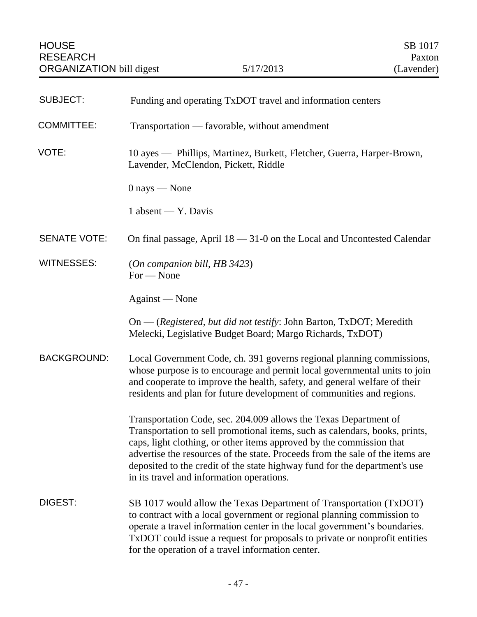| <b>SUBJECT:</b>     | Funding and operating TxDOT travel and information centers                                                                                                                                                                                                                                                                                                                                                                          |
|---------------------|-------------------------------------------------------------------------------------------------------------------------------------------------------------------------------------------------------------------------------------------------------------------------------------------------------------------------------------------------------------------------------------------------------------------------------------|
| <b>COMMITTEE:</b>   | Transportation — favorable, without amendment                                                                                                                                                                                                                                                                                                                                                                                       |
| VOTE:               | 10 ayes — Phillips, Martinez, Burkett, Fletcher, Guerra, Harper-Brown,<br>Lavender, McClendon, Pickett, Riddle                                                                                                                                                                                                                                                                                                                      |
|                     | $0$ nays — None                                                                                                                                                                                                                                                                                                                                                                                                                     |
|                     | 1 absent — Y. Davis                                                                                                                                                                                                                                                                                                                                                                                                                 |
| <b>SENATE VOTE:</b> | On final passage, April $18 - 31 - 0$ on the Local and Uncontested Calendar                                                                                                                                                                                                                                                                                                                                                         |
| <b>WITNESSES:</b>   | (On companion bill, HB3423)<br>For — None                                                                                                                                                                                                                                                                                                                                                                                           |
|                     | Against — None                                                                                                                                                                                                                                                                                                                                                                                                                      |
|                     | On — (Registered, but did not testify: John Barton, TxDOT; Meredith<br>Melecki, Legislative Budget Board; Margo Richards, TxDOT)                                                                                                                                                                                                                                                                                                    |
| <b>BACKGROUND:</b>  | Local Government Code, ch. 391 governs regional planning commissions,<br>whose purpose is to encourage and permit local governmental units to join<br>and cooperate to improve the health, safety, and general welfare of their<br>residents and plan for future development of communities and regions.                                                                                                                            |
|                     | Transportation Code, sec. 204.009 allows the Texas Department of<br>Transportation to sell promotional items, such as calendars, books, prints,<br>caps, light clothing, or other items approved by the commission that<br>advertise the resources of the state. Proceeds from the sale of the items are<br>deposited to the credit of the state highway fund for the department's use<br>in its travel and information operations. |
| DIGEST:             | SB 1017 would allow the Texas Department of Transportation (TxDOT)<br>to contract with a local government or regional planning commission to<br>operate a travel information center in the local government's boundaries.<br>TxDOT could issue a request for proposals to private or nonprofit entities<br>for the operation of a travel information center.                                                                        |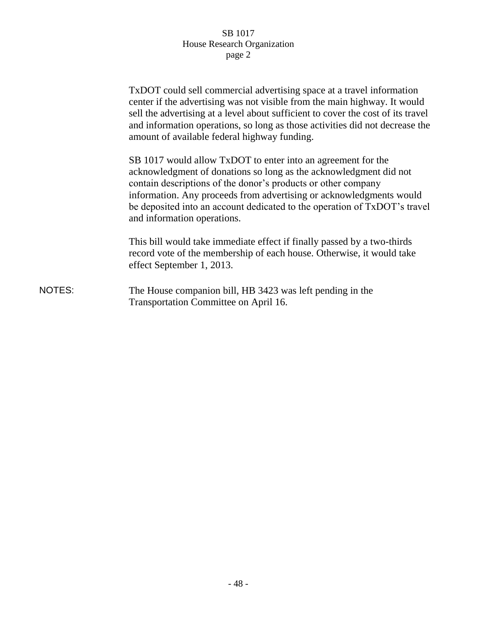|        | TxDOT could sell commercial advertising space at a travel information<br>center if the advertising was not visible from the main highway. It would<br>sell the advertising at a level about sufficient to cover the cost of its travel<br>and information operations, so long as those activities did not decrease the<br>amount of available federal highway funding.                |
|--------|---------------------------------------------------------------------------------------------------------------------------------------------------------------------------------------------------------------------------------------------------------------------------------------------------------------------------------------------------------------------------------------|
|        | SB 1017 would allow TxDOT to enter into an agreement for the<br>acknowledgment of donations so long as the acknowledgment did not<br>contain descriptions of the donor's products or other company<br>information. Any proceeds from advertising or acknowledgments would<br>be deposited into an account dedicated to the operation of TxDOT's travel<br>and information operations. |
|        | This bill would take immediate effect if finally passed by a two-thirds<br>record vote of the membership of each house. Otherwise, it would take<br>effect September 1, 2013.                                                                                                                                                                                                         |
| NOTES: | The House companion bill, HB 3423 was left pending in the<br>Transportation Committee on April 16.                                                                                                                                                                                                                                                                                    |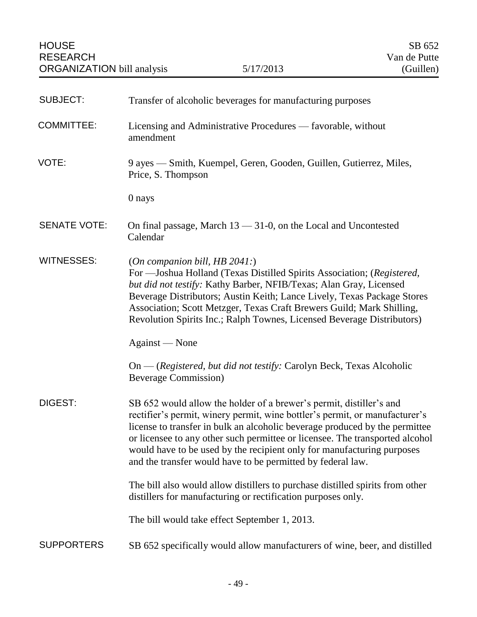| <b>SUBJECT:</b>     | Transfer of alcoholic beverages for manufacturing purposes                                                                                                                                                                                                                                                                                                                                                                                                 |
|---------------------|------------------------------------------------------------------------------------------------------------------------------------------------------------------------------------------------------------------------------------------------------------------------------------------------------------------------------------------------------------------------------------------------------------------------------------------------------------|
| <b>COMMITTEE:</b>   | Licensing and Administrative Procedures — favorable, without<br>amendment                                                                                                                                                                                                                                                                                                                                                                                  |
| VOTE:               | 9 ayes — Smith, Kuempel, Geren, Gooden, Guillen, Gutierrez, Miles,<br>Price, S. Thompson                                                                                                                                                                                                                                                                                                                                                                   |
|                     | 0 nays                                                                                                                                                                                                                                                                                                                                                                                                                                                     |
| <b>SENATE VOTE:</b> | On final passage, March $13 - 31 - 0$ , on the Local and Uncontested<br>Calendar                                                                                                                                                                                                                                                                                                                                                                           |
| <b>WITNESSES:</b>   | (On companion bill, HB $2041$ .)<br>For —Joshua Holland (Texas Distilled Spirits Association; (Registered,<br>but did not testify: Kathy Barber, NFIB/Texas; Alan Gray, Licensed<br>Beverage Distributors; Austin Keith; Lance Lively, Texas Package Stores<br>Association; Scott Metzger, Texas Craft Brewers Guild; Mark Shilling,<br>Revolution Spirits Inc.; Ralph Townes, Licensed Beverage Distributors)                                             |
|                     | Against — None                                                                                                                                                                                                                                                                                                                                                                                                                                             |
|                     | On — (Registered, but did not testify: Carolyn Beck, Texas Alcoholic<br><b>Beverage Commission</b> )                                                                                                                                                                                                                                                                                                                                                       |
| DIGEST:             | SB 652 would allow the holder of a brewer's permit, distiller's and<br>rectifier's permit, winery permit, wine bottler's permit, or manufacturer's<br>license to transfer in bulk an alcoholic beverage produced by the permittee<br>or licensee to any other such permittee or licensee. The transported alcohol<br>would have to be used by the recipient only for manufacturing purposes<br>and the transfer would have to be permitted by federal law. |
|                     | The bill also would allow distillers to purchase distilled spirits from other<br>distillers for manufacturing or rectification purposes only.                                                                                                                                                                                                                                                                                                              |
|                     | The bill would take effect September 1, 2013.                                                                                                                                                                                                                                                                                                                                                                                                              |
| <b>SUPPORTERS</b>   | SB 652 specifically would allow manufacturers of wine, beer, and distilled                                                                                                                                                                                                                                                                                                                                                                                 |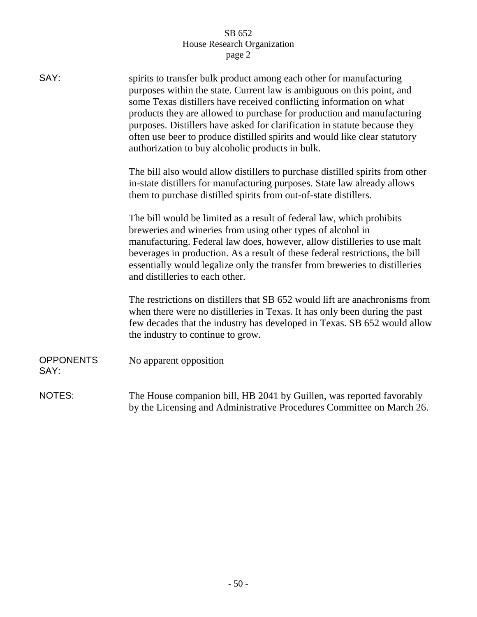| SAY:                     | spirits to transfer bulk product among each other for manufacturing<br>purposes within the state. Current law is ambiguous on this point, and<br>some Texas distillers have received conflicting information on what<br>products they are allowed to purchase for production and manufacturing<br>purposes. Distillers have asked for clarification in statute because they<br>often use beer to produce distilled spirits and would like clear statutory<br>authorization to buy alcoholic products in bulk. |
|--------------------------|---------------------------------------------------------------------------------------------------------------------------------------------------------------------------------------------------------------------------------------------------------------------------------------------------------------------------------------------------------------------------------------------------------------------------------------------------------------------------------------------------------------|
|                          | The bill also would allow distillers to purchase distilled spirits from other<br>in-state distillers for manufacturing purposes. State law already allows<br>them to purchase distilled spirits from out-of-state distillers.                                                                                                                                                                                                                                                                                 |
|                          | The bill would be limited as a result of federal law, which prohibits<br>breweries and wineries from using other types of alcohol in<br>manufacturing. Federal law does, however, allow distilleries to use malt<br>beverages in production. As a result of these federal restrictions, the bill<br>essentially would legalize only the transfer from breweries to distilleries<br>and distilleries to each other.                                                                                            |
|                          | The restrictions on distillers that SB 652 would lift are anachronisms from<br>when there were no distilleries in Texas. It has only been during the past<br>few decades that the industry has developed in Texas. SB 652 would allow<br>the industry to continue to grow.                                                                                                                                                                                                                                    |
| <b>OPPONENTS</b><br>SAY: | No apparent opposition                                                                                                                                                                                                                                                                                                                                                                                                                                                                                        |
| <b>NOTES:</b>            | The House companion bill, HB 2041 by Guillen, was reported favorably<br>by the Licensing and Administrative Procedures Committee on March 26.                                                                                                                                                                                                                                                                                                                                                                 |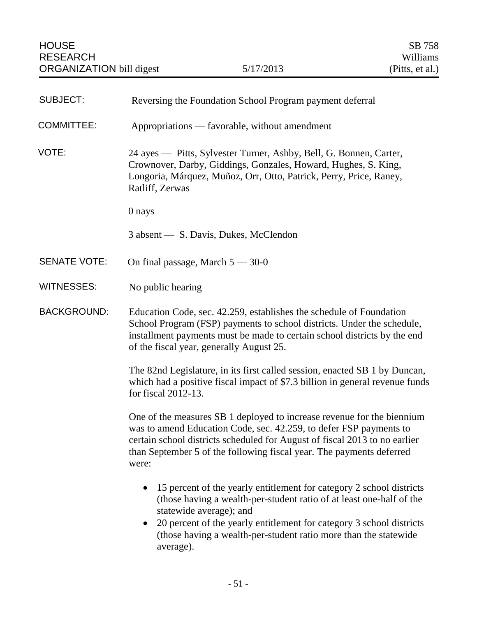| <b>SUBJECT:</b>     | Reversing the Foundation School Program payment deferral                                                                                                                                                                                                                                                                                                   |
|---------------------|------------------------------------------------------------------------------------------------------------------------------------------------------------------------------------------------------------------------------------------------------------------------------------------------------------------------------------------------------------|
| <b>COMMITTEE:</b>   | Appropriations — favorable, without amendment                                                                                                                                                                                                                                                                                                              |
| VOTE:               | 24 ayes — Pitts, Sylvester Turner, Ashby, Bell, G. Bonnen, Carter,<br>Crownover, Darby, Giddings, Gonzales, Howard, Hughes, S. King,<br>Longoria, Márquez, Muñoz, Orr, Otto, Patrick, Perry, Price, Raney,<br>Ratliff, Zerwas                                                                                                                              |
|                     | 0 nays                                                                                                                                                                                                                                                                                                                                                     |
|                     | 3 absent — S. Davis, Dukes, McClendon                                                                                                                                                                                                                                                                                                                      |
| <b>SENATE VOTE:</b> | On final passage, March $5 - 30-0$                                                                                                                                                                                                                                                                                                                         |
| <b>WITNESSES:</b>   | No public hearing                                                                                                                                                                                                                                                                                                                                          |
| <b>BACKGROUND:</b>  | Education Code, sec. 42.259, establishes the schedule of Foundation<br>School Program (FSP) payments to school districts. Under the schedule,<br>installment payments must be made to certain school districts by the end<br>of the fiscal year, generally August 25.                                                                                      |
|                     | The 82nd Legislature, in its first called session, enacted SB 1 by Duncan,<br>which had a positive fiscal impact of \$7.3 billion in general revenue funds<br>for fiscal 2012-13.                                                                                                                                                                          |
|                     | One of the measures SB 1 deployed to increase revenue for the biennium<br>was to amend Education Code, sec. 42.259, to defer FSP payments to<br>certain school districts scheduled for August of fiscal 2013 to no earlier<br>than September 5 of the following fiscal year. The payments deferred<br>were:                                                |
|                     | 15 percent of the yearly entitlement for category 2 school districts<br>$\bullet$<br>(those having a wealth-per-student ratio of at least one-half of the<br>statewide average); and<br>20 percent of the yearly entitlement for category 3 school districts<br>$\bullet$<br>(those having a wealth-per-student ratio more than the statewide<br>average). |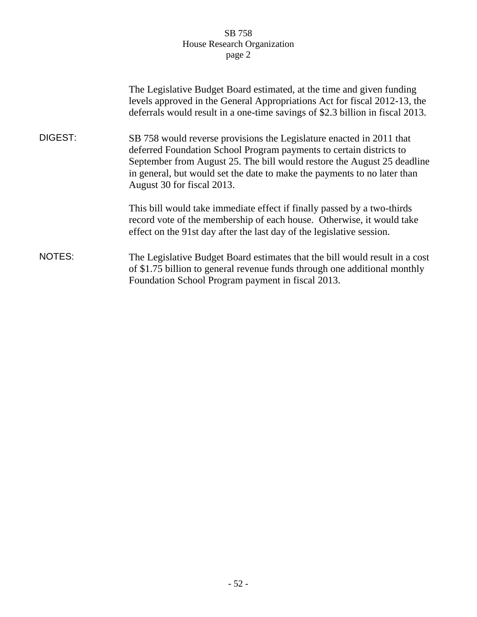|         | The Legislative Budget Board estimated, at the time and given funding<br>levels approved in the General Appropriations Act for fiscal 2012-13, the<br>deferrals would result in a one-time savings of \$2.3 billion in fiscal 2013.                                                                                              |
|---------|----------------------------------------------------------------------------------------------------------------------------------------------------------------------------------------------------------------------------------------------------------------------------------------------------------------------------------|
| DIGEST: | SB 758 would reverse provisions the Legislature enacted in 2011 that<br>deferred Foundation School Program payments to certain districts to<br>September from August 25. The bill would restore the August 25 deadline<br>in general, but would set the date to make the payments to no later than<br>August 30 for fiscal 2013. |
|         | This bill would take immediate effect if finally passed by a two-thirds<br>record vote of the membership of each house. Otherwise, it would take<br>effect on the 91st day after the last day of the legislative session.                                                                                                        |
| NOTES:  | The Legislative Budget Board estimates that the bill would result in a cost<br>of \$1.75 billion to general revenue funds through one additional monthly<br>Foundation School Program payment in fiscal 2013.                                                                                                                    |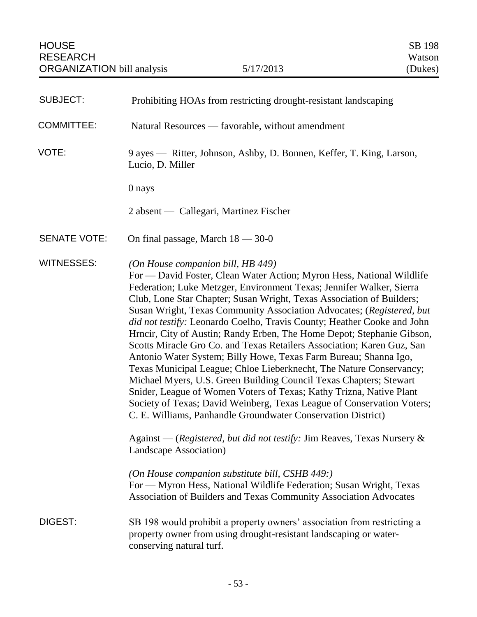| <b>SUBJECT:</b>     | Prohibiting HOAs from restricting drought-resistant landscaping                                                                                                                                                                                                                                                                                                                                                                                                                                                                                                                                                                                                                                                                                                                                                                                                                                                                                                                                                                                                                                            |
|---------------------|------------------------------------------------------------------------------------------------------------------------------------------------------------------------------------------------------------------------------------------------------------------------------------------------------------------------------------------------------------------------------------------------------------------------------------------------------------------------------------------------------------------------------------------------------------------------------------------------------------------------------------------------------------------------------------------------------------------------------------------------------------------------------------------------------------------------------------------------------------------------------------------------------------------------------------------------------------------------------------------------------------------------------------------------------------------------------------------------------------|
| <b>COMMITTEE:</b>   | Natural Resources — favorable, without amendment                                                                                                                                                                                                                                                                                                                                                                                                                                                                                                                                                                                                                                                                                                                                                                                                                                                                                                                                                                                                                                                           |
| VOTE:               | 9 ayes — Ritter, Johnson, Ashby, D. Bonnen, Keffer, T. King, Larson,<br>Lucio, D. Miller                                                                                                                                                                                                                                                                                                                                                                                                                                                                                                                                                                                                                                                                                                                                                                                                                                                                                                                                                                                                                   |
|                     | 0 nays                                                                                                                                                                                                                                                                                                                                                                                                                                                                                                                                                                                                                                                                                                                                                                                                                                                                                                                                                                                                                                                                                                     |
|                     | 2 absent — Callegari, Martinez Fischer                                                                                                                                                                                                                                                                                                                                                                                                                                                                                                                                                                                                                                                                                                                                                                                                                                                                                                                                                                                                                                                                     |
| <b>SENATE VOTE:</b> | On final passage, March $18 - 30 - 0$                                                                                                                                                                                                                                                                                                                                                                                                                                                                                                                                                                                                                                                                                                                                                                                                                                                                                                                                                                                                                                                                      |
| <b>WITNESSES:</b>   | (On House companion bill, HB 449)<br>For — David Foster, Clean Water Action; Myron Hess, National Wildlife<br>Federation; Luke Metzger, Environment Texas; Jennifer Walker, Sierra<br>Club, Lone Star Chapter; Susan Wright, Texas Association of Builders;<br>Susan Wright, Texas Community Association Advocates; (Registered, but<br>did not testify: Leonardo Coelho, Travis County; Heather Cooke and John<br>Hrncir, City of Austin; Randy Erben, The Home Depot; Stephanie Gibson,<br>Scotts Miracle Gro Co. and Texas Retailers Association; Karen Guz, San<br>Antonio Water System; Billy Howe, Texas Farm Bureau; Shanna Igo,<br>Texas Municipal League; Chloe Lieberknecht, The Nature Conservancy;<br>Michael Myers, U.S. Green Building Council Texas Chapters; Stewart<br>Snider, League of Women Voters of Texas; Kathy Trizna, Native Plant<br>Society of Texas; David Weinberg, Texas League of Conservation Voters;<br>C. E. Williams, Panhandle Groundwater Conservation District)<br>Against — (Registered, but did not testify: Jim Reaves, Texas Nursery &<br>Landscape Association) |
|                     | (On House companion substitute bill, CSHB 449:)<br>For - Myron Hess, National Wildlife Federation; Susan Wright, Texas<br>Association of Builders and Texas Community Association Advocates                                                                                                                                                                                                                                                                                                                                                                                                                                                                                                                                                                                                                                                                                                                                                                                                                                                                                                                |
| DIGEST:             | SB 198 would prohibit a property owners' association from restricting a<br>property owner from using drought-resistant landscaping or water-<br>conserving natural turf.                                                                                                                                                                                                                                                                                                                                                                                                                                                                                                                                                                                                                                                                                                                                                                                                                                                                                                                                   |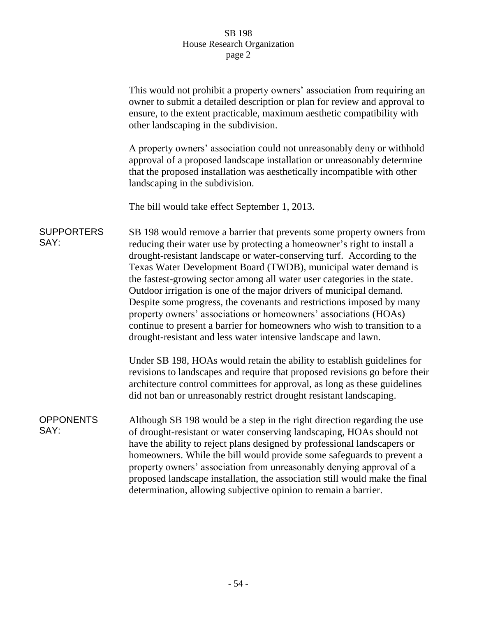|                           | This would not prohibit a property owners' association from requiring an<br>owner to submit a detailed description or plan for review and approval to<br>ensure, to the extent practicable, maximum aesthetic compatibility with<br>other landscaping in the subdivision.                                                                                                                                                                                                                                                                                                                                                                                                                                                                   |
|---------------------------|---------------------------------------------------------------------------------------------------------------------------------------------------------------------------------------------------------------------------------------------------------------------------------------------------------------------------------------------------------------------------------------------------------------------------------------------------------------------------------------------------------------------------------------------------------------------------------------------------------------------------------------------------------------------------------------------------------------------------------------------|
|                           | A property owners' association could not unreasonably deny or withhold<br>approval of a proposed landscape installation or unreasonably determine<br>that the proposed installation was aesthetically incompatible with other<br>landscaping in the subdivision.                                                                                                                                                                                                                                                                                                                                                                                                                                                                            |
|                           | The bill would take effect September 1, 2013.                                                                                                                                                                                                                                                                                                                                                                                                                                                                                                                                                                                                                                                                                               |
| <b>SUPPORTERS</b><br>SAY: | SB 198 would remove a barrier that prevents some property owners from<br>reducing their water use by protecting a homeowner's right to install a<br>drought-resistant landscape or water-conserving turf. According to the<br>Texas Water Development Board (TWDB), municipal water demand is<br>the fastest-growing sector among all water user categories in the state.<br>Outdoor irrigation is one of the major drivers of municipal demand.<br>Despite some progress, the covenants and restrictions imposed by many<br>property owners' associations or homeowners' associations (HOAs)<br>continue to present a barrier for homeowners who wish to transition to a<br>drought-resistant and less water intensive landscape and lawn. |
|                           | Under SB 198, HOAs would retain the ability to establish guidelines for<br>revisions to landscapes and require that proposed revisions go before their<br>architecture control committees for approval, as long as these guidelines<br>did not ban or unreasonably restrict drought resistant landscaping.                                                                                                                                                                                                                                                                                                                                                                                                                                  |
| <b>OPPONENTS</b><br>SAY:  | Although SB 198 would be a step in the right direction regarding the use<br>of drought-resistant or water conserving landscaping, HOAs should not<br>have the ability to reject plans designed by professional landscapers or<br>homeowners. While the bill would provide some safeguards to prevent a<br>property owners' association from unreasonably denying approval of a<br>proposed landscape installation, the association still would make the final<br>determination, allowing subjective opinion to remain a barrier.                                                                                                                                                                                                            |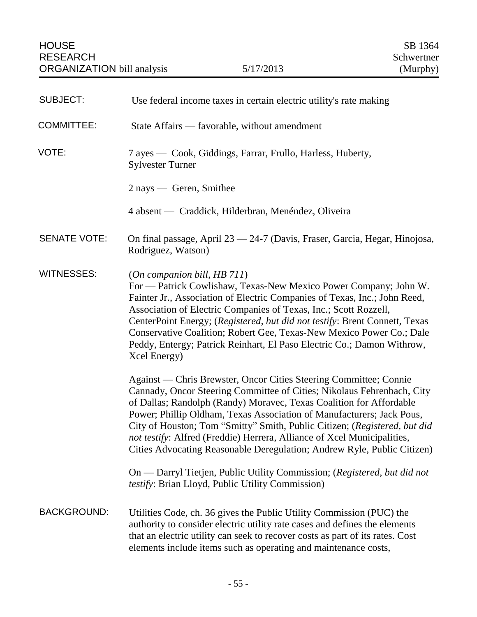| <b>SUBJECT:</b>     | Use federal income taxes in certain electric utility's rate making                                                                                                                                                                                                                                                                                                                                                                                                                                                             |
|---------------------|--------------------------------------------------------------------------------------------------------------------------------------------------------------------------------------------------------------------------------------------------------------------------------------------------------------------------------------------------------------------------------------------------------------------------------------------------------------------------------------------------------------------------------|
| <b>COMMITTEE:</b>   | State Affairs — favorable, without amendment                                                                                                                                                                                                                                                                                                                                                                                                                                                                                   |
| VOTE:               | 7 ayes — Cook, Giddings, Farrar, Frullo, Harless, Huberty,<br><b>Sylvester Turner</b>                                                                                                                                                                                                                                                                                                                                                                                                                                          |
|                     | 2 nays — Geren, Smithee                                                                                                                                                                                                                                                                                                                                                                                                                                                                                                        |
|                     | 4 absent — Craddick, Hilderbran, Menéndez, Oliveira                                                                                                                                                                                                                                                                                                                                                                                                                                                                            |
| <b>SENATE VOTE:</b> | On final passage, April 23 - 24-7 (Davis, Fraser, Garcia, Hegar, Hinojosa,<br>Rodriguez, Watson)                                                                                                                                                                                                                                                                                                                                                                                                                               |
| <b>WITNESSES:</b>   | (On companion bill, HB 711)<br>For — Patrick Cowlishaw, Texas-New Mexico Power Company; John W.<br>Fainter Jr., Association of Electric Companies of Texas, Inc.; John Reed,<br>Association of Electric Companies of Texas, Inc.; Scott Rozzell,<br>CenterPoint Energy; (Registered, but did not testify: Brent Connett, Texas<br>Conservative Coalition; Robert Gee, Texas-New Mexico Power Co.; Dale<br>Peddy, Entergy; Patrick Reinhart, El Paso Electric Co.; Damon Withrow,<br>Xcel Energy)                               |
|                     | Against — Chris Brewster, Oncor Cities Steering Committee; Connie<br>Cannady, Oncor Steering Committee of Cities; Nikolaus Fehrenbach, City<br>of Dallas; Randolph (Randy) Moravec, Texas Coalition for Affordable<br>Power; Phillip Oldham, Texas Association of Manufacturers; Jack Pous,<br>City of Houston; Tom "Smitty" Smith, Public Citizen; (Registered, but did<br>not testify: Alfred (Freddie) Herrera, Alliance of Xcel Municipalities,<br>Cities Advocating Reasonable Deregulation; Andrew Ryle, Public Citizen) |
|                     | On — Darryl Tietjen, Public Utility Commission; (Registered, but did not<br>testify: Brian Lloyd, Public Utility Commission)                                                                                                                                                                                                                                                                                                                                                                                                   |
| <b>BACKGROUND:</b>  | Utilities Code, ch. 36 gives the Public Utility Commission (PUC) the<br>authority to consider electric utility rate cases and defines the elements<br>that an electric utility can seek to recover costs as part of its rates. Cost<br>elements include items such as operating and maintenance costs,                                                                                                                                                                                                                         |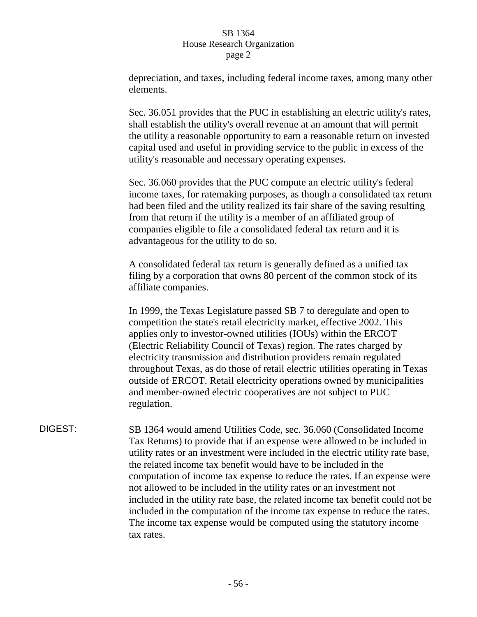depreciation, and taxes, including federal income taxes, among many other elements.

Sec. 36.051 provides that the PUC in establishing an electric utility's rates, shall establish the utility's overall revenue at an amount that will permit the utility a reasonable opportunity to earn a reasonable return on invested capital used and useful in providing service to the public in excess of the utility's reasonable and necessary operating expenses.

Sec. 36.060 provides that the PUC compute an electric utility's federal income taxes, for ratemaking purposes, as though a consolidated tax return had been filed and the utility realized its fair share of the saving resulting from that return if the utility is a member of an affiliated group of companies eligible to file a consolidated federal tax return and it is advantageous for the utility to do so.

A consolidated federal tax return is generally defined as a unified tax filing by a corporation that owns 80 percent of the common stock of its affiliate companies.

In 1999, the Texas Legislature passed SB 7 to deregulate and open to competition the state's retail electricity market, effective 2002. This applies only to investor-owned utilities (IOUs) within the ERCOT (Electric Reliability Council of Texas) region. The rates charged by electricity transmission and distribution providers remain regulated throughout Texas, as do those of retail electric utilities operating in Texas outside of ERCOT. Retail electricity operations owned by municipalities and member-owned electric cooperatives are not subject to PUC regulation.

DIGEST: SB 1364 would amend Utilities Code, sec. 36.060 (Consolidated Income Tax Returns) to provide that if an expense were allowed to be included in utility rates or an investment were included in the electric utility rate base, the related income tax benefit would have to be included in the computation of income tax expense to reduce the rates. If an expense were not allowed to be included in the utility rates or an investment not included in the utility rate base, the related income tax benefit could not be included in the computation of the income tax expense to reduce the rates. The income tax expense would be computed using the statutory income tax rates.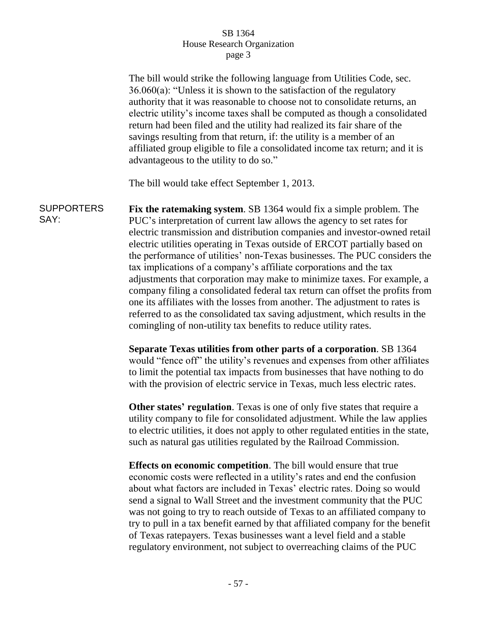The bill would strike the following language from Utilities Code, sec. 36.060(a): "Unless it is shown to the satisfaction of the regulatory authority that it was reasonable to choose not to consolidate returns, an electric utility's income taxes shall be computed as though a consolidated return had been filed and the utility had realized its fair share of the savings resulting from that return, if: the utility is a member of an affiliated group eligible to file a consolidated income tax return; and it is advantageous to the utility to do so." The bill would take effect September 1, 2013. **SUPPORTERS** SAY: **Fix the ratemaking system**. SB 1364 would fix a simple problem. The PUC's interpretation of current law allows the agency to set rates for electric transmission and distribution companies and investor-owned retail electric utilities operating in Texas outside of ERCOT partially based on the performance of utilities' non-Texas businesses. The PUC considers the tax implications of a company's affiliate corporations and the tax adjustments that corporation may make to minimize taxes. For example, a company filing a consolidated federal tax return can offset the profits from one its affiliates with the losses from another. The adjustment to rates is referred to as the consolidated tax saving adjustment, which results in the comingling of non-utility tax benefits to reduce utility rates. **Separate Texas utilities from other parts of a corporation**. SB 1364 would "fence off" the utility's revenues and expenses from other affiliates to limit the potential tax impacts from businesses that have nothing to do with the provision of electric service in Texas, much less electric rates. **Other states' regulation**. Texas is one of only five states that require a utility company to file for consolidated adjustment. While the law applies to electric utilities, it does not apply to other regulated entities in the state, such as natural gas utilities regulated by the Railroad Commission. **Effects on economic competition**. The bill would ensure that true economic costs were reflected in a utility's rates and end the confusion about what factors are included in Texas' electric rates. Doing so would send a signal to Wall Street and the investment community that the PUC was not going to try to reach outside of Texas to an affiliated company to try to pull in a tax benefit earned by that affiliated company for the benefit of Texas ratepayers. Texas businesses want a level field and a stable regulatory environment, not subject to overreaching claims of the PUC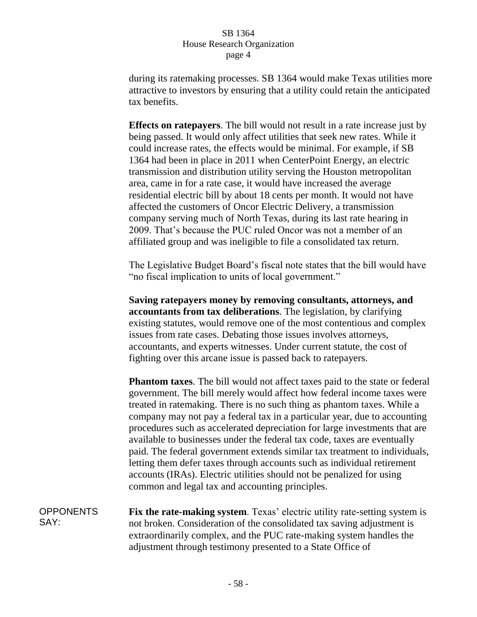during its ratemaking processes. SB 1364 would make Texas utilities more attractive to investors by ensuring that a utility could retain the anticipated tax benefits.

**Effects on ratepayers**. The bill would not result in a rate increase just by being passed. It would only affect utilities that seek new rates. While it could increase rates, the effects would be minimal. For example, if SB 1364 had been in place in 2011 when CenterPoint Energy, an electric transmission and distribution utility serving the Houston metropolitan area, came in for a rate case, it would have increased the average residential electric bill by about 18 cents per month. It would not have affected the customers of Oncor Electric Delivery, a transmission company serving much of North Texas, during its last rate hearing in 2009. That's because the PUC ruled Oncor was not a member of an affiliated group and was ineligible to file a consolidated tax return.

The Legislative Budget Board's fiscal note states that the bill would have "no fiscal implication to units of local government."

**Saving ratepayers money by removing consultants, attorneys, and accountants from tax deliberations**. The legislation, by clarifying existing statutes, would remove one of the most contentious and complex issues from rate cases. Debating those issues involves attorneys, accountants, and experts witnesses. Under current statute, the cost of fighting over this arcane issue is passed back to ratepayers.

**Phantom taxes**. The bill would not affect taxes paid to the state or federal government. The bill merely would affect how federal income taxes were treated in ratemaking. There is no such thing as phantom taxes. While a company may not pay a federal tax in a particular year, due to accounting procedures such as accelerated depreciation for large investments that are available to businesses under the federal tax code, taxes are eventually paid. The federal government extends similar tax treatment to individuals, letting them defer taxes through accounts such as individual retirement accounts (IRAs). Electric utilities should not be penalized for using common and legal tax and accounting principles.

**OPPONENTS** SAY: **Fix the rate-making system**. Texas' electric utility rate-setting system is not broken. Consideration of the consolidated tax saving adjustment is extraordinarily complex, and the PUC rate-making system handles the adjustment through testimony presented to a State Office of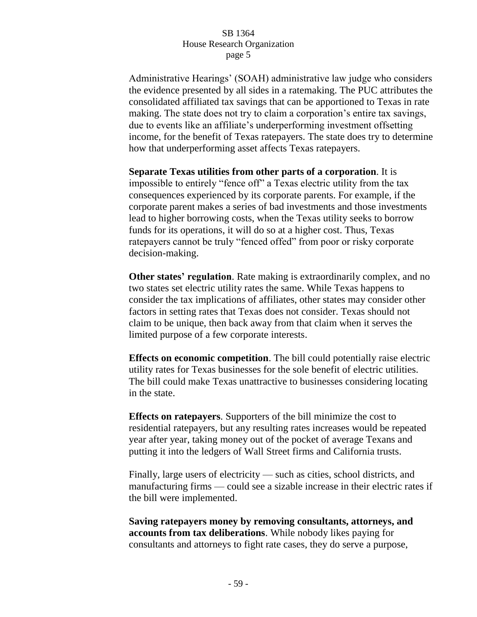Administrative Hearings' (SOAH) administrative law judge who considers the evidence presented by all sides in a ratemaking. The PUC attributes the consolidated affiliated tax savings that can be apportioned to Texas in rate making. The state does not try to claim a corporation's entire tax savings, due to events like an affiliate's underperforming investment offsetting income, for the benefit of Texas ratepayers. The state does try to determine how that underperforming asset affects Texas ratepayers.

**Separate Texas utilities from other parts of a corporation**. It is impossible to entirely "fence off" a Texas electric utility from the tax consequences experienced by its corporate parents. For example, if the corporate parent makes a series of bad investments and those investments lead to higher borrowing costs, when the Texas utility seeks to borrow funds for its operations, it will do so at a higher cost. Thus, Texas ratepayers cannot be truly "fenced offed" from poor or risky corporate decision-making.

**Other states' regulation**. Rate making is extraordinarily complex, and no two states set electric utility rates the same. While Texas happens to consider the tax implications of affiliates, other states may consider other factors in setting rates that Texas does not consider. Texas should not claim to be unique, then back away from that claim when it serves the limited purpose of a few corporate interests.

**Effects on economic competition**. The bill could potentially raise electric utility rates for Texas businesses for the sole benefit of electric utilities. The bill could make Texas unattractive to businesses considering locating in the state.

**Effects on ratepayers**. Supporters of the bill minimize the cost to residential ratepayers, but any resulting rates increases would be repeated year after year, taking money out of the pocket of average Texans and putting it into the ledgers of Wall Street firms and California trusts.

Finally, large users of electricity — such as cities, school districts, and manufacturing firms — could see a sizable increase in their electric rates if the bill were implemented.

**Saving ratepayers money by removing consultants, attorneys, and accounts from tax deliberations**. While nobody likes paying for consultants and attorneys to fight rate cases, they do serve a purpose,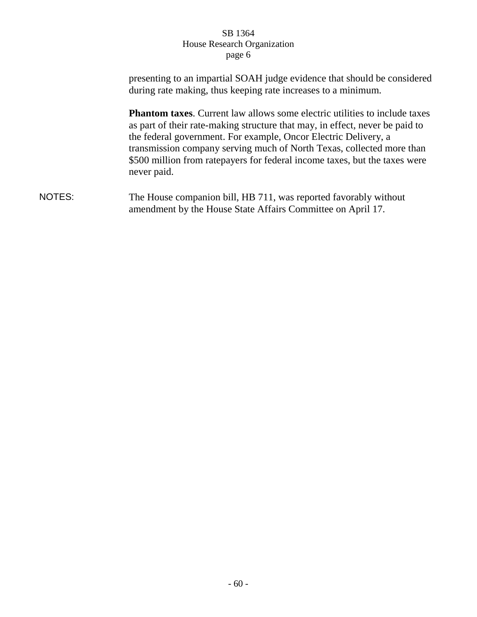presenting to an impartial SOAH judge evidence that should be considered during rate making, thus keeping rate increases to a minimum. **Phantom taxes**. Current law allows some electric utilities to include taxes as part of their rate-making structure that may, in effect, never be paid to the federal government. For example, Oncor Electric Delivery, a transmission company serving much of North Texas, collected more than \$500 million from ratepayers for federal income taxes, but the taxes were never paid. NOTES: The House companion bill, HB 711, was reported favorably without amendment by the House State Affairs Committee on April 17.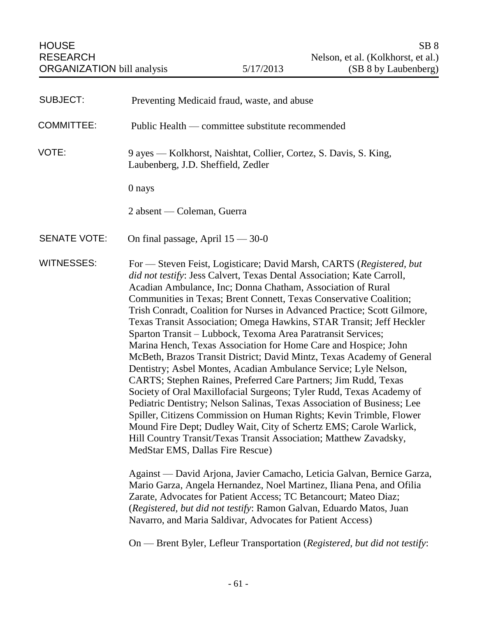| <b>SUBJECT:</b>     | Preventing Medicaid fraud, waste, and abuse                                                                                                                                                                                                                                                                                                                                                                                                                                                                                                                                                                                                                                                                                                                                                                                                                                                                                                                                                                                                                                                                                                                                                         |
|---------------------|-----------------------------------------------------------------------------------------------------------------------------------------------------------------------------------------------------------------------------------------------------------------------------------------------------------------------------------------------------------------------------------------------------------------------------------------------------------------------------------------------------------------------------------------------------------------------------------------------------------------------------------------------------------------------------------------------------------------------------------------------------------------------------------------------------------------------------------------------------------------------------------------------------------------------------------------------------------------------------------------------------------------------------------------------------------------------------------------------------------------------------------------------------------------------------------------------------|
| <b>COMMITTEE:</b>   | Public Health — committee substitute recommended                                                                                                                                                                                                                                                                                                                                                                                                                                                                                                                                                                                                                                                                                                                                                                                                                                                                                                                                                                                                                                                                                                                                                    |
| VOTE:               | 9 ayes - Kolkhorst, Naishtat, Collier, Cortez, S. Davis, S. King,<br>Laubenberg, J.D. Sheffield, Zedler                                                                                                                                                                                                                                                                                                                                                                                                                                                                                                                                                                                                                                                                                                                                                                                                                                                                                                                                                                                                                                                                                             |
|                     | 0 nays                                                                                                                                                                                                                                                                                                                                                                                                                                                                                                                                                                                                                                                                                                                                                                                                                                                                                                                                                                                                                                                                                                                                                                                              |
|                     | 2 absent — Coleman, Guerra                                                                                                                                                                                                                                                                                                                                                                                                                                                                                                                                                                                                                                                                                                                                                                                                                                                                                                                                                                                                                                                                                                                                                                          |
| <b>SENATE VOTE:</b> | On final passage, April $15 - 30 - 0$                                                                                                                                                                                                                                                                                                                                                                                                                                                                                                                                                                                                                                                                                                                                                                                                                                                                                                                                                                                                                                                                                                                                                               |
| <b>WITNESSES:</b>   | For - Steven Feist, Logisticare; David Marsh, CARTS (Registered, but<br>did not testify: Jess Calvert, Texas Dental Association; Kate Carroll,<br>Acadian Ambulance, Inc; Donna Chatham, Association of Rural<br>Communities in Texas; Brent Connett, Texas Conservative Coalition;<br>Trish Conradt, Coalition for Nurses in Advanced Practice; Scott Gilmore,<br>Texas Transit Association; Omega Hawkins, STAR Transit; Jeff Heckler<br>Sparton Transit - Lubbock, Texoma Area Paratransit Services;<br>Marina Hench, Texas Association for Home Care and Hospice; John<br>McBeth, Brazos Transit District; David Mintz, Texas Academy of General<br>Dentistry; Asbel Montes, Acadian Ambulance Service; Lyle Nelson,<br>CARTS; Stephen Raines, Preferred Care Partners; Jim Rudd, Texas<br>Society of Oral Maxillofacial Surgeons; Tyler Rudd, Texas Academy of<br>Pediatric Dentistry; Nelson Salinas, Texas Association of Business; Lee<br>Spiller, Citizens Commission on Human Rights; Kevin Trimble, Flower<br>Mound Fire Dept; Dudley Wait, City of Schertz EMS; Carole Warlick,<br>Hill Country Transit/Texas Transit Association; Matthew Zavadsky<br>MedStar EMS, Dallas Fire Rescue) |
|                     | Against — David Arjona, Javier Camacho, Leticia Galvan, Bernice Garza,<br>Mario Garza, Angela Hernandez, Noel Martinez, Iliana Pena, and Ofilia<br>Zarate, Advocates for Patient Access; TC Betancourt; Mateo Diaz;<br>(Registered, but did not testify: Ramon Galvan, Eduardo Matos, Juan<br>Navarro, and Maria Saldivar, Advocates for Patient Access)                                                                                                                                                                                                                                                                                                                                                                                                                                                                                                                                                                                                                                                                                                                                                                                                                                            |
|                     | On — Brent Byler, Lefleur Transportation (Registered, but did not testify:                                                                                                                                                                                                                                                                                                                                                                                                                                                                                                                                                                                                                                                                                                                                                                                                                                                                                                                                                                                                                                                                                                                          |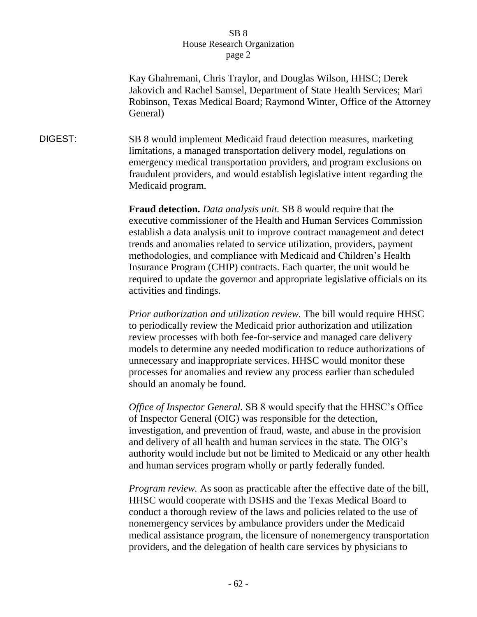Kay Ghahremani, Chris Traylor, and Douglas Wilson, HHSC; Derek Jakovich and Rachel Samsel, Department of State Health Services; Mari Robinson, Texas Medical Board; Raymond Winter, Office of the Attorney General)

DIGEST: SB 8 would implement Medicaid fraud detection measures, marketing limitations, a managed transportation delivery model, regulations on emergency medical transportation providers, and program exclusions on fraudulent providers, and would establish legislative intent regarding the Medicaid program.

> **Fraud detection.** *Data analysis unit.* SB 8 would require that the executive commissioner of the Health and Human Services Commission establish a data analysis unit to improve contract management and detect trends and anomalies related to service utilization, providers, payment methodologies, and compliance with Medicaid and Children's Health Insurance Program (CHIP) contracts. Each quarter, the unit would be required to update the governor and appropriate legislative officials on its activities and findings.

> *Prior authorization and utilization review.* The bill would require HHSC to periodically review the Medicaid prior authorization and utilization review processes with both fee-for-service and managed care delivery models to determine any needed modification to reduce authorizations of unnecessary and inappropriate services. HHSC would monitor these processes for anomalies and review any process earlier than scheduled should an anomaly be found.

*Office of Inspector General.* SB 8 would specify that the HHSC's Office of Inspector General (OIG) was responsible for the detection, investigation, and prevention of fraud, waste, and abuse in the provision and delivery of all health and human services in the state. The OIG's authority would include but not be limited to Medicaid or any other health and human services program wholly or partly federally funded.

*Program review.* As soon as practicable after the effective date of the bill, HHSC would cooperate with DSHS and the Texas Medical Board to conduct a thorough review of the laws and policies related to the use of nonemergency services by ambulance providers under the Medicaid medical assistance program, the licensure of nonemergency transportation providers, and the delegation of health care services by physicians to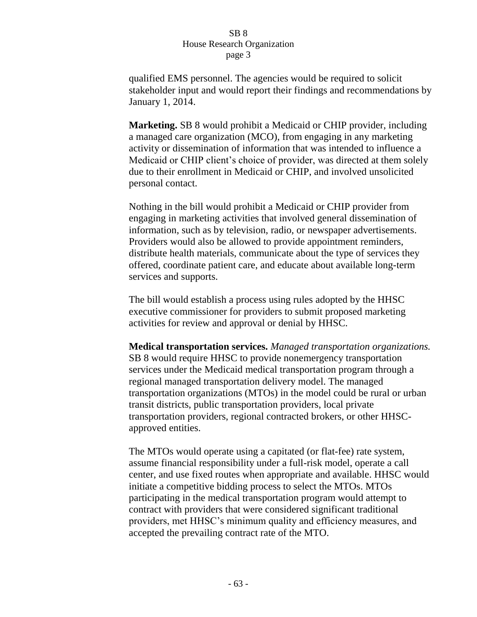qualified EMS personnel. The agencies would be required to solicit stakeholder input and would report their findings and recommendations by January 1, 2014.

**Marketing.** SB 8 would prohibit a Medicaid or CHIP provider, including a managed care organization (MCO), from engaging in any marketing activity or dissemination of information that was intended to influence a Medicaid or CHIP client's choice of provider, was directed at them solely due to their enrollment in Medicaid or CHIP, and involved unsolicited personal contact.

Nothing in the bill would prohibit a Medicaid or CHIP provider from engaging in marketing activities that involved general dissemination of information, such as by television, radio, or newspaper advertisements. Providers would also be allowed to provide appointment reminders, distribute health materials, communicate about the type of services they offered, coordinate patient care, and educate about available long-term services and supports.

The bill would establish a process using rules adopted by the HHSC executive commissioner for providers to submit proposed marketing activities for review and approval or denial by HHSC.

**Medical transportation services.** *Managed transportation organizations.*  SB 8 would require HHSC to provide nonemergency transportation services under the Medicaid medical transportation program through a regional managed transportation delivery model. The managed transportation organizations (MTOs) in the model could be rural or urban transit districts, public transportation providers, local private transportation providers, regional contracted brokers, or other HHSCapproved entities.

The MTOs would operate using a capitated (or flat-fee) rate system, assume financial responsibility under a full-risk model, operate a call center, and use fixed routes when appropriate and available. HHSC would initiate a competitive bidding process to select the MTOs. MTOs participating in the medical transportation program would attempt to contract with providers that were considered significant traditional providers, met HHSC's minimum quality and efficiency measures, and accepted the prevailing contract rate of the MTO.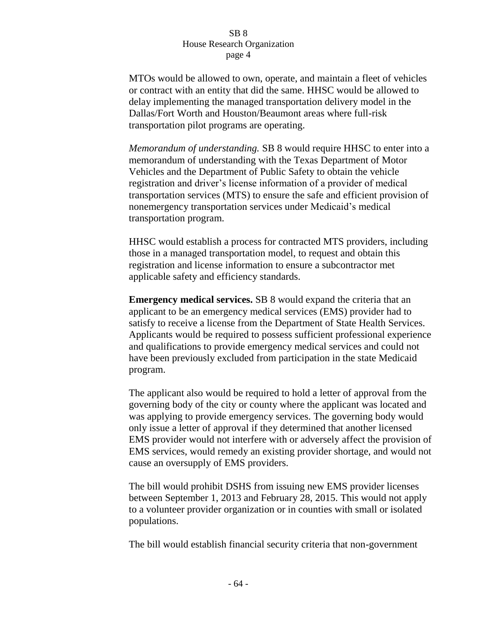MTOs would be allowed to own, operate, and maintain a fleet of vehicles or contract with an entity that did the same. HHSC would be allowed to delay implementing the managed transportation delivery model in the Dallas/Fort Worth and Houston/Beaumont areas where full-risk transportation pilot programs are operating.

*Memorandum of understanding.* SB 8 would require HHSC to enter into a memorandum of understanding with the Texas Department of Motor Vehicles and the Department of Public Safety to obtain the vehicle registration and driver's license information of a provider of medical transportation services (MTS) to ensure the safe and efficient provision of nonemergency transportation services under Medicaid's medical transportation program.

HHSC would establish a process for contracted MTS providers, including those in a managed transportation model, to request and obtain this registration and license information to ensure a subcontractor met applicable safety and efficiency standards.

**Emergency medical services.** SB 8 would expand the criteria that an applicant to be an emergency medical services (EMS) provider had to satisfy to receive a license from the Department of State Health Services. Applicants would be required to possess sufficient professional experience and qualifications to provide emergency medical services and could not have been previously excluded from participation in the state Medicaid program.

The applicant also would be required to hold a letter of approval from the governing body of the city or county where the applicant was located and was applying to provide emergency services. The governing body would only issue a letter of approval if they determined that another licensed EMS provider would not interfere with or adversely affect the provision of EMS services, would remedy an existing provider shortage, and would not cause an oversupply of EMS providers.

The bill would prohibit DSHS from issuing new EMS provider licenses between September 1, 2013 and February 28, 2015. This would not apply to a volunteer provider organization or in counties with small or isolated populations.

The bill would establish financial security criteria that non-government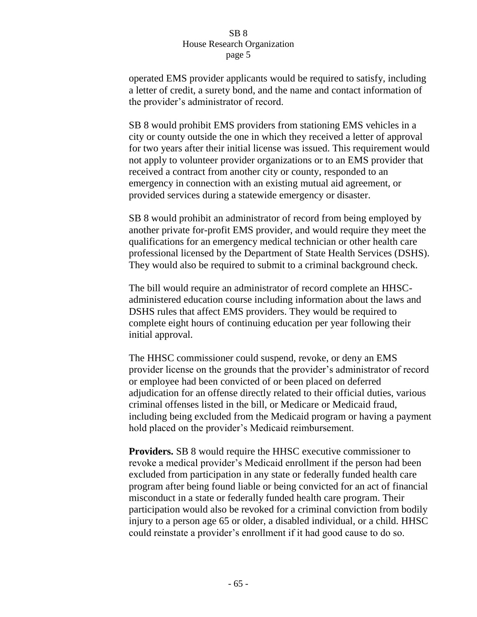operated EMS provider applicants would be required to satisfy, including a letter of credit, a surety bond, and the name and contact information of the provider's administrator of record.

SB 8 would prohibit EMS providers from stationing EMS vehicles in a city or county outside the one in which they received a letter of approval for two years after their initial license was issued. This requirement would not apply to volunteer provider organizations or to an EMS provider that received a contract from another city or county, responded to an emergency in connection with an existing mutual aid agreement, or provided services during a statewide emergency or disaster.

SB 8 would prohibit an administrator of record from being employed by another private for-profit EMS provider, and would require they meet the qualifications for an emergency medical technician or other health care professional licensed by the Department of State Health Services (DSHS). They would also be required to submit to a criminal background check.

The bill would require an administrator of record complete an HHSCadministered education course including information about the laws and DSHS rules that affect EMS providers. They would be required to complete eight hours of continuing education per year following their initial approval.

The HHSC commissioner could suspend, revoke, or deny an EMS provider license on the grounds that the provider's administrator of record or employee had been convicted of or been placed on deferred adjudication for an offense directly related to their official duties, various criminal offenses listed in the bill, or Medicare or Medicaid fraud, including being excluded from the Medicaid program or having a payment hold placed on the provider's Medicaid reimbursement.

**Providers.** SB 8 would require the HHSC executive commissioner to revoke a medical provider's Medicaid enrollment if the person had been excluded from participation in any state or federally funded health care program after being found liable or being convicted for an act of financial misconduct in a state or federally funded health care program. Their participation would also be revoked for a criminal conviction from bodily injury to a person age 65 or older, a disabled individual, or a child. HHSC could reinstate a provider's enrollment if it had good cause to do so.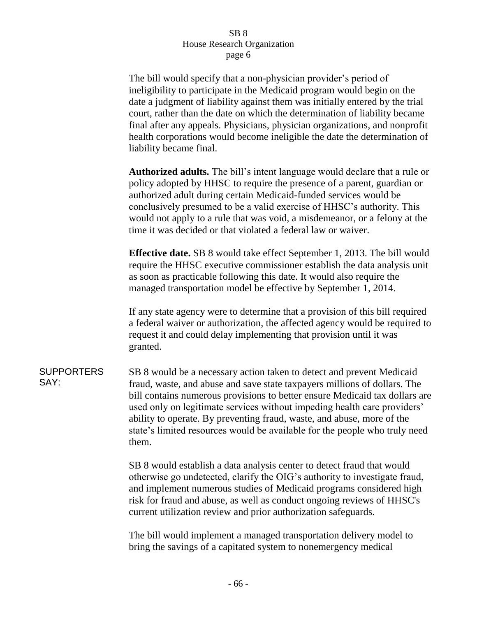The bill would specify that a non-physician provider's period of ineligibility to participate in the Medicaid program would begin on the date a judgment of liability against them was initially entered by the trial court, rather than the date on which the determination of liability became final after any appeals. Physicians, physician organizations, and nonprofit health corporations would become ineligible the date the determination of liability became final.

**Authorized adults.** The bill's intent language would declare that a rule or policy adopted by HHSC to require the presence of a parent, guardian or authorized adult during certain Medicaid-funded services would be conclusively presumed to be a valid exercise of HHSC's authority. This would not apply to a rule that was void, a misdemeanor, or a felony at the time it was decided or that violated a federal law or waiver.

**Effective date.** SB 8 would take effect September 1, 2013. The bill would require the HHSC executive commissioner establish the data analysis unit as soon as practicable following this date. It would also require the managed transportation model be effective by September 1, 2014.

If any state agency were to determine that a provision of this bill required a federal waiver or authorization, the affected agency would be required to request it and could delay implementing that provision until it was granted.

**SUPPORTERS** SAY: SB 8 would be a necessary action taken to detect and prevent Medicaid fraud, waste, and abuse and save state taxpayers millions of dollars. The bill contains numerous provisions to better ensure Medicaid tax dollars are used only on legitimate services without impeding health care providers' ability to operate. By preventing fraud, waste, and abuse, more of the state's limited resources would be available for the people who truly need them.

> SB 8 would establish a data analysis center to detect fraud that would otherwise go undetected, clarify the OIG's authority to investigate fraud, and implement numerous studies of Medicaid programs considered high risk for fraud and abuse, as well as conduct ongoing reviews of HHSC's current utilization review and prior authorization safeguards.

The bill would implement a managed transportation delivery model to bring the savings of a capitated system to nonemergency medical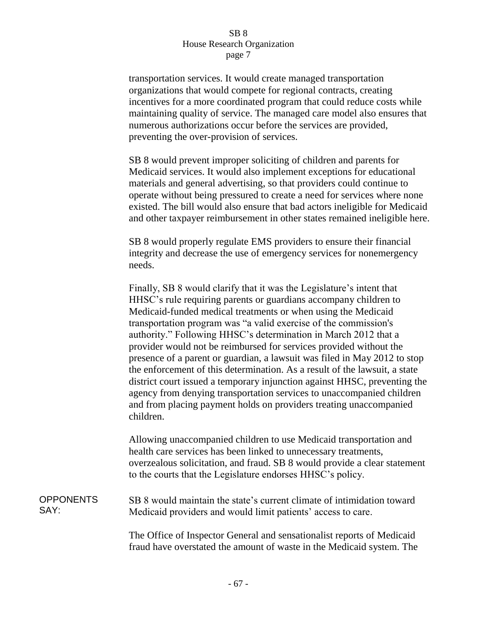transportation services. It would create managed transportation organizations that would compete for regional contracts, creating incentives for a more coordinated program that could reduce costs while maintaining quality of service. The managed care model also ensures that numerous authorizations occur before the services are provided, preventing the over-provision of services.

SB 8 would prevent improper soliciting of children and parents for Medicaid services. It would also implement exceptions for educational materials and general advertising, so that providers could continue to operate without being pressured to create a need for services where none existed. The bill would also ensure that bad actors ineligible for Medicaid and other taxpayer reimbursement in other states remained ineligible here.

SB 8 would properly regulate EMS providers to ensure their financial integrity and decrease the use of emergency services for nonemergency needs.

Finally, SB 8 would clarify that it was the Legislature's intent that HHSC's rule requiring parents or guardians accompany children to Medicaid-funded medical treatments or when using the Medicaid transportation program was "a valid exercise of the commission's authority." Following HHSC's determination in March 2012 that a provider would not be reimbursed for services provided without the presence of a parent or guardian, a lawsuit was filed in May 2012 to stop the enforcement of this determination. As a result of the lawsuit, a state district court issued a temporary injunction against HHSC, preventing the agency from denying transportation services to unaccompanied children and from placing payment holds on providers treating unaccompanied children.

Allowing unaccompanied children to use Medicaid transportation and health care services has been linked to unnecessary treatments, overzealous solicitation, and fraud. SB 8 would provide a clear statement to the courts that the Legislature endorses HHSC's policy.

**OPPONENTS** SAY: SB 8 would maintain the state's current climate of intimidation toward Medicaid providers and would limit patients' access to care.

> The Office of Inspector General and sensationalist reports of Medicaid fraud have overstated the amount of waste in the Medicaid system. The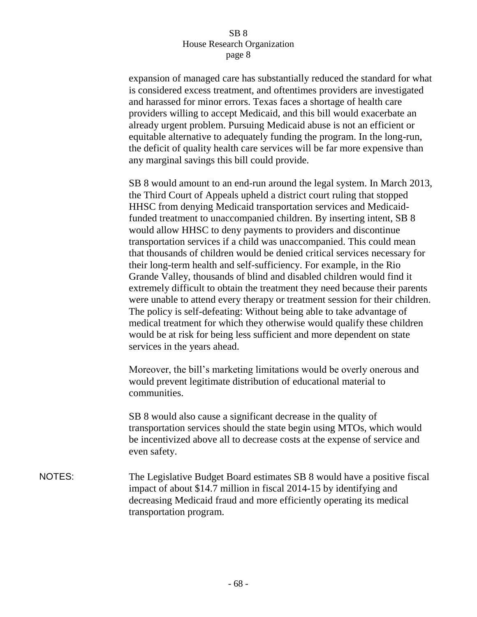expansion of managed care has substantially reduced the standard for what is considered excess treatment, and oftentimes providers are investigated and harassed for minor errors. Texas faces a shortage of health care providers willing to accept Medicaid, and this bill would exacerbate an already urgent problem. Pursuing Medicaid abuse is not an efficient or equitable alternative to adequately funding the program. In the long-run, the deficit of quality health care services will be far more expensive than any marginal savings this bill could provide.

SB 8 would amount to an end-run around the legal system. In March 2013, the Third Court of Appeals upheld a district court ruling that stopped HHSC from denying Medicaid transportation services and Medicaidfunded treatment to unaccompanied children. By inserting intent, SB 8 would allow HHSC to deny payments to providers and discontinue transportation services if a child was unaccompanied. This could mean that thousands of children would be denied critical services necessary for their long-term health and self-sufficiency. For example, in the Rio Grande Valley, thousands of blind and disabled children would find it extremely difficult to obtain the treatment they need because their parents were unable to attend every therapy or treatment session for their children. The policy is self-defeating: Without being able to take advantage of medical treatment for which they otherwise would qualify these children would be at risk for being less sufficient and more dependent on state services in the years ahead.

Moreover, the bill's marketing limitations would be overly onerous and would prevent legitimate distribution of educational material to communities.

SB 8 would also cause a significant decrease in the quality of transportation services should the state begin using MTOs, which would be incentivized above all to decrease costs at the expense of service and even safety.

NOTES: The Legislative Budget Board estimates SB 8 would have a positive fiscal impact of about \$14.7 million in fiscal 2014-15 by identifying and decreasing Medicaid fraud and more efficiently operating its medical transportation program.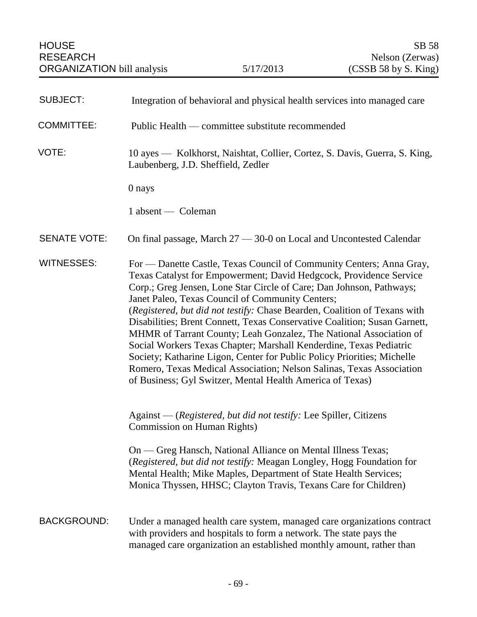| <b>SUBJECT:</b>     | Integration of behavioral and physical health services into managed care                                                                                                                                                                                                                                                                                                                                                                                                                                                                                                                                                                                                                                                                                                                     |
|---------------------|----------------------------------------------------------------------------------------------------------------------------------------------------------------------------------------------------------------------------------------------------------------------------------------------------------------------------------------------------------------------------------------------------------------------------------------------------------------------------------------------------------------------------------------------------------------------------------------------------------------------------------------------------------------------------------------------------------------------------------------------------------------------------------------------|
| <b>COMMITTEE:</b>   | Public Health — committee substitute recommended                                                                                                                                                                                                                                                                                                                                                                                                                                                                                                                                                                                                                                                                                                                                             |
| VOTE:               | 10 ayes — Kolkhorst, Naishtat, Collier, Cortez, S. Davis, Guerra, S. King,<br>Laubenberg, J.D. Sheffield, Zedler                                                                                                                                                                                                                                                                                                                                                                                                                                                                                                                                                                                                                                                                             |
|                     | 0 nays                                                                                                                                                                                                                                                                                                                                                                                                                                                                                                                                                                                                                                                                                                                                                                                       |
|                     | 1 absent — Coleman                                                                                                                                                                                                                                                                                                                                                                                                                                                                                                                                                                                                                                                                                                                                                                           |
| <b>SENATE VOTE:</b> | On final passage, March 27 - 30-0 on Local and Uncontested Calendar                                                                                                                                                                                                                                                                                                                                                                                                                                                                                                                                                                                                                                                                                                                          |
| <b>WITNESSES:</b>   | For — Danette Castle, Texas Council of Community Centers; Anna Gray,<br>Texas Catalyst for Empowerment; David Hedgcock, Providence Service<br>Corp.; Greg Jensen, Lone Star Circle of Care; Dan Johnson, Pathways;<br>Janet Paleo, Texas Council of Community Centers;<br>(Registered, but did not testify: Chase Bearden, Coalition of Texans with<br>Disabilities; Brent Connett, Texas Conservative Coalition; Susan Garnett,<br>MHMR of Tarrant County; Leah Gonzalez, The National Association of<br>Social Workers Texas Chapter; Marshall Kenderdine, Texas Pediatric<br>Society; Katharine Ligon, Center for Public Policy Priorities; Michelle<br>Romero, Texas Medical Association; Nelson Salinas, Texas Association<br>of Business; Gyl Switzer, Mental Health America of Texas) |
|                     | Against - (Registered, but did not testify: Lee Spiller, Citizens<br>Commission on Human Rights)                                                                                                                                                                                                                                                                                                                                                                                                                                                                                                                                                                                                                                                                                             |
|                     | On — Greg Hansch, National Alliance on Mental Illness Texas;<br>(Registered, but did not testify: Meagan Longley, Hogg Foundation for<br>Mental Health; Mike Maples, Department of State Health Services;<br>Monica Thyssen, HHSC; Clayton Travis, Texans Care for Children)                                                                                                                                                                                                                                                                                                                                                                                                                                                                                                                 |
| <b>BACKGROUND:</b>  | Under a managed health care system, managed care organizations contract<br>with providers and hospitals to form a network. The state pays the<br>managed care organization an established monthly amount, rather than                                                                                                                                                                                                                                                                                                                                                                                                                                                                                                                                                                        |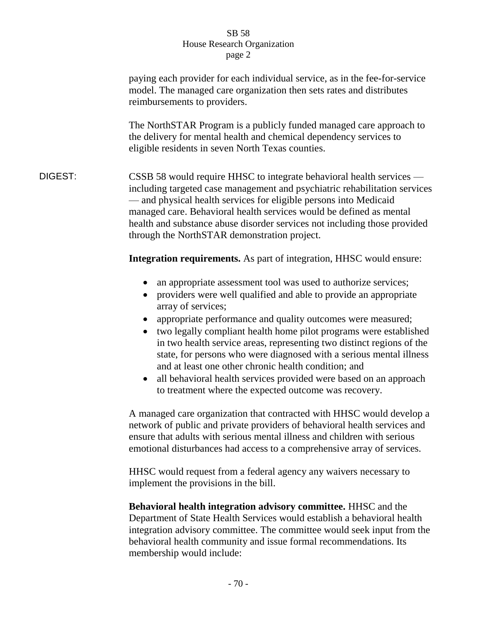|         | paying each provider for each individual service, as in the fee-for-service<br>model. The managed care organization then sets rates and distributes<br>reimbursements to providers.                                                                                                                                                                                                                                                             |
|---------|-------------------------------------------------------------------------------------------------------------------------------------------------------------------------------------------------------------------------------------------------------------------------------------------------------------------------------------------------------------------------------------------------------------------------------------------------|
|         | The NorthSTAR Program is a publicly funded managed care approach to<br>the delivery for mental health and chemical dependency services to<br>eligible residents in seven North Texas counties.                                                                                                                                                                                                                                                  |
| DIGEST: | $\overline{\text{CSSB}}$ 58 would require HHSC to integrate behavioral health services —<br>including targeted case management and psychiatric rehabilitation services<br>— and physical health services for eligible persons into Medicaid<br>managed care. Behavioral health services would be defined as mental<br>health and substance abuse disorder services not including those provided<br>through the NorthSTAR demonstration project. |
|         | <b>Integration requirements.</b> As part of integration, HHSC would ensure:                                                                                                                                                                                                                                                                                                                                                                     |
|         | an appropriate assessment tool was used to authorize services;                                                                                                                                                                                                                                                                                                                                                                                  |

- providers were well qualified and able to provide an appropriate array of services;
- appropriate performance and quality outcomes were measured;
- two legally compliant health home pilot programs were established in two health service areas, representing two distinct regions of the state, for persons who were diagnosed with a serious mental illness and at least one other chronic health condition; and
- all behavioral health services provided were based on an approach to treatment where the expected outcome was recovery.

A managed care organization that contracted with HHSC would develop a network of public and private providers of behavioral health services and ensure that adults with serious mental illness and children with serious emotional disturbances had access to a comprehensive array of services.

HHSC would request from a federal agency any waivers necessary to implement the provisions in the bill.

**Behavioral health integration advisory committee.** HHSC and the Department of State Health Services would establish a behavioral health integration advisory committee. The committee would seek input from the behavioral health community and issue formal recommendations. Its membership would include: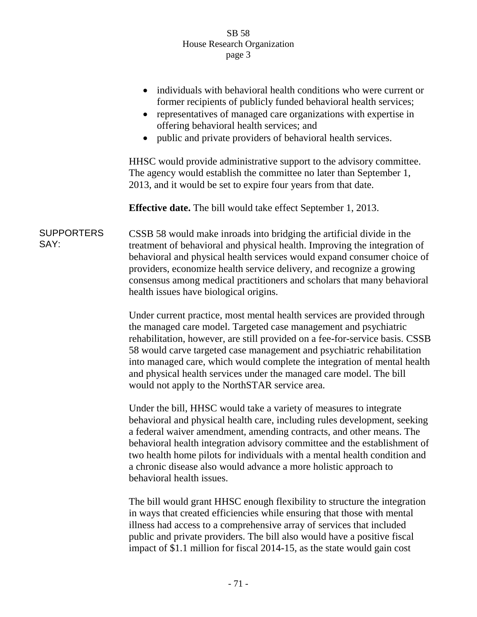## SB 58 House Research Organization page 3

|                           | individuals with behavioral health conditions who were current or<br>former recipients of publicly funded behavioral health services;<br>representatives of managed care organizations with expertise in<br>offering behavioral health services; and<br>public and private providers of behavioral health services.                                                                                                                                                                                         |
|---------------------------|-------------------------------------------------------------------------------------------------------------------------------------------------------------------------------------------------------------------------------------------------------------------------------------------------------------------------------------------------------------------------------------------------------------------------------------------------------------------------------------------------------------|
|                           | HHSC would provide administrative support to the advisory committee.<br>The agency would establish the committee no later than September 1,<br>2013, and it would be set to expire four years from that date.                                                                                                                                                                                                                                                                                               |
|                           | <b>Effective date.</b> The bill would take effect September 1, 2013.                                                                                                                                                                                                                                                                                                                                                                                                                                        |
| <b>SUPPORTERS</b><br>SAY: | CSSB 58 would make inroads into bridging the artificial divide in the<br>treatment of behavioral and physical health. Improving the integration of<br>behavioral and physical health services would expand consumer choice of<br>providers, economize health service delivery, and recognize a growing<br>consensus among medical practitioners and scholars that many behavioral<br>health issues have biological origins.                                                                                 |
|                           | Under current practice, most mental health services are provided through<br>the managed care model. Targeted case management and psychiatric<br>rehabilitation, however, are still provided on a fee-for-service basis. CSSB<br>58 would carve targeted case management and psychiatric rehabilitation<br>into managed care, which would complete the integration of mental health<br>and physical health services under the managed care model. The bill<br>would not apply to the NorthSTAR service area. |
|                           | Under the bill, HHSC would take a variety of measures to integrate<br>behavioral and physical health care, including rules development, seeking<br>a federal waiver amendment, amending contracts, and other means. The<br>behavioral health integration advisory committee and the establishment of<br>two health home pilots for individuals with a mental health condition and<br>a chronic disease also would advance a more holistic approach to                                                       |

The bill would grant HHSC enough flexibility to structure the integration in ways that created efficiencies while ensuring that those with mental illness had access to a comprehensive array of services that included public and private providers. The bill also would have a positive fiscal impact of \$1.1 million for fiscal 2014-15, as the state would gain cost

behavioral health issues.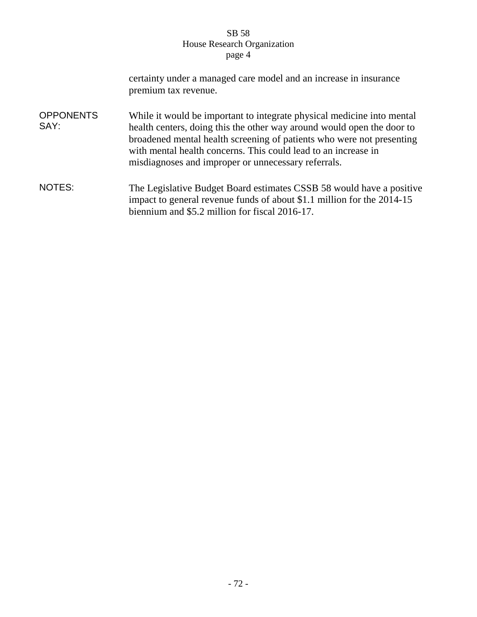## SB 58 House Research Organization page 4

|                          | certainty under a managed care model and an increase in insurance<br>premium tax revenue.                                                                                                                                                                                                                                                          |
|--------------------------|----------------------------------------------------------------------------------------------------------------------------------------------------------------------------------------------------------------------------------------------------------------------------------------------------------------------------------------------------|
| <b>OPPONENTS</b><br>SAY: | While it would be important to integrate physical medicine into mental<br>health centers, doing this the other way around would open the door to<br>broadened mental health screening of patients who were not presenting<br>with mental health concerns. This could lead to an increase in<br>misdiagnoses and improper or unnecessary referrals. |
| NOTES:                   | The Legislative Budget Board estimates CSSB 58 would have a positive<br>impact to general revenue funds of about \$1.1 million for the 2014-15<br>biennium and \$5.2 million for fiscal 2016-17.                                                                                                                                                   |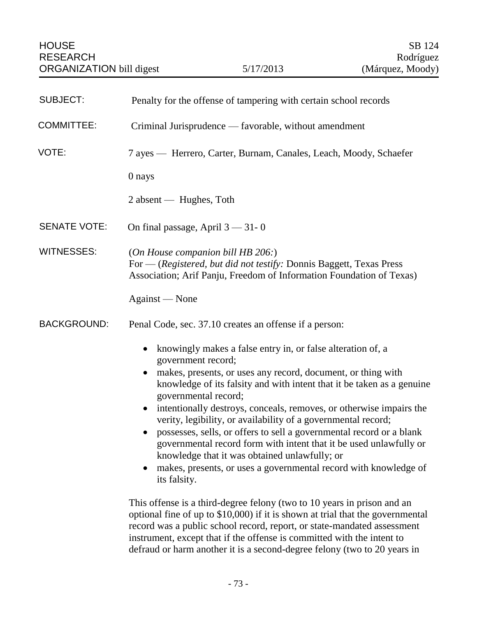| <b>SUBJECT:</b>     | Penalty for the offense of tampering with certain school records                                                                                                                                                                                                                                                                                                                                                                                                                                                                                                                                                                                                                            |
|---------------------|---------------------------------------------------------------------------------------------------------------------------------------------------------------------------------------------------------------------------------------------------------------------------------------------------------------------------------------------------------------------------------------------------------------------------------------------------------------------------------------------------------------------------------------------------------------------------------------------------------------------------------------------------------------------------------------------|
| <b>COMMITTEE:</b>   | Criminal Jurisprudence — favorable, without amendment                                                                                                                                                                                                                                                                                                                                                                                                                                                                                                                                                                                                                                       |
| VOTE:               | 7 ayes — Herrero, Carter, Burnam, Canales, Leach, Moody, Schaefer                                                                                                                                                                                                                                                                                                                                                                                                                                                                                                                                                                                                                           |
|                     | 0 nays                                                                                                                                                                                                                                                                                                                                                                                                                                                                                                                                                                                                                                                                                      |
|                     | $2$ absent — Hughes, Toth                                                                                                                                                                                                                                                                                                                                                                                                                                                                                                                                                                                                                                                                   |
| <b>SENATE VOTE:</b> | On final passage, April $3 - 31 - 0$                                                                                                                                                                                                                                                                                                                                                                                                                                                                                                                                                                                                                                                        |
| <b>WITNESSES:</b>   | (On House companion bill HB $206$ .)<br>For - (Registered, but did not testify: Donnis Baggett, Texas Press<br>Association; Arif Panju, Freedom of Information Foundation of Texas)<br>Against — None                                                                                                                                                                                                                                                                                                                                                                                                                                                                                       |
| <b>BACKGROUND:</b>  | Penal Code, sec. 37.10 creates an offense if a person:                                                                                                                                                                                                                                                                                                                                                                                                                                                                                                                                                                                                                                      |
|                     | knowingly makes a false entry in, or false alteration of, a<br>government record;<br>makes, presents, or uses any record, document, or thing with<br>knowledge of its falsity and with intent that it be taken as a genuine<br>governmental record;<br>intentionally destroys, conceals, removes, or otherwise impairs the<br>verity, legibility, or availability of a governmental record;<br>possesses, sells, or offers to sell a governmental record or a blank<br>governmental record form with intent that it be used unlawfully or<br>knowledge that it was obtained unlawfully; or<br>makes, presents, or uses a governmental record with knowledge of<br>$\bullet$<br>its falsity. |
|                     | This offense is a third-degree felony (two to 10 years in prison and an<br>optional fine of up to \$10,000) if it is shown at trial that the governmental<br>record was a public school record, report, or state-mandated assessment<br>instrument, except that if the offense is committed with the intent to<br>defraud or harm another it is a second-degree felony (two to 20 years in                                                                                                                                                                                                                                                                                                  |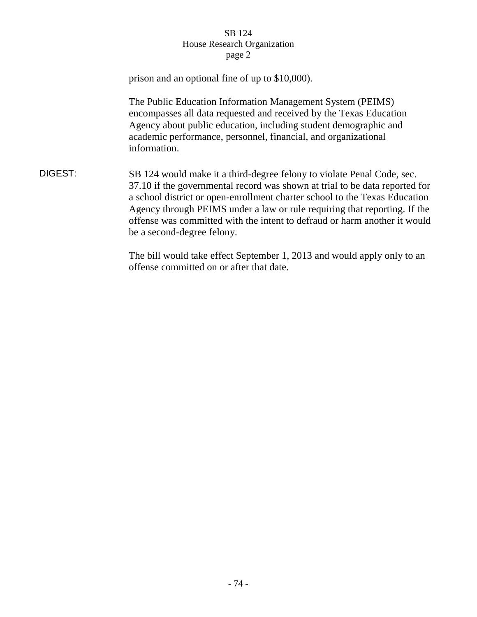## SB 124 House Research Organization page 2

|         | prison and an optional fine of up to \$10,000).                                                                                                                                                                                                                                                                                                                                                                             |
|---------|-----------------------------------------------------------------------------------------------------------------------------------------------------------------------------------------------------------------------------------------------------------------------------------------------------------------------------------------------------------------------------------------------------------------------------|
|         | The Public Education Information Management System (PEIMS)<br>encompasses all data requested and received by the Texas Education<br>Agency about public education, including student demographic and<br>academic performance, personnel, financial, and organizational<br>information.                                                                                                                                      |
| DIGEST: | SB 124 would make it a third-degree felony to violate Penal Code, sec.<br>37.10 if the governmental record was shown at trial to be data reported for<br>a school district or open-enrollment charter school to the Texas Education<br>Agency through PEIMS under a law or rule requiring that reporting. If the<br>offense was committed with the intent to defraud or harm another it would<br>be a second-degree felony. |
|         | The bill would take effect September 1, 2013 and would apply only to an                                                                                                                                                                                                                                                                                                                                                     |

offense committed on or after that date.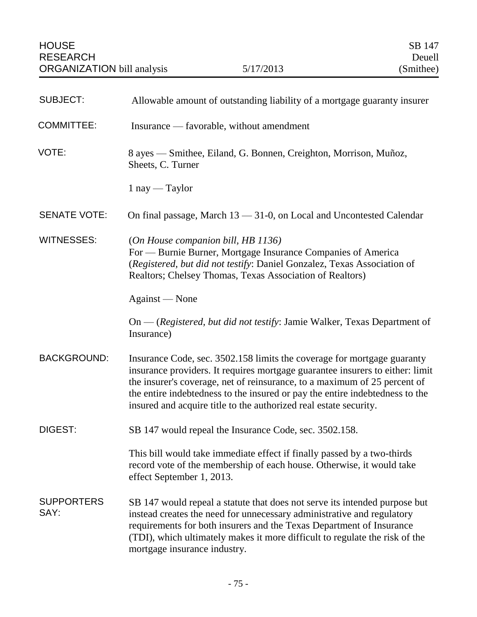| <b>SUBJECT:</b>           | Allowable amount of outstanding liability of a mortgage guaranty insurer                                                                                                                                                                                                                                                                                                                   |
|---------------------------|--------------------------------------------------------------------------------------------------------------------------------------------------------------------------------------------------------------------------------------------------------------------------------------------------------------------------------------------------------------------------------------------|
| <b>COMMITTEE:</b>         | Insurance — favorable, without amendment                                                                                                                                                                                                                                                                                                                                                   |
| VOTE:                     | 8 ayes — Smithee, Eiland, G. Bonnen, Creighton, Morrison, Muñoz,<br>Sheets, C. Turner                                                                                                                                                                                                                                                                                                      |
|                           | $1$ nay — Taylor                                                                                                                                                                                                                                                                                                                                                                           |
| <b>SENATE VOTE:</b>       | On final passage, March 13 - 31-0, on Local and Uncontested Calendar                                                                                                                                                                                                                                                                                                                       |
| <b>WITNESSES:</b>         | (On House companion bill, HB 1136)<br>For — Burnie Burner, Mortgage Insurance Companies of America<br>(Registered, but did not testify: Daniel Gonzalez, Texas Association of<br>Realtors; Chelsey Thomas, Texas Association of Realtors)                                                                                                                                                  |
|                           | Against — None                                                                                                                                                                                                                                                                                                                                                                             |
|                           | On — (Registered, but did not testify: Jamie Walker, Texas Department of<br>Insurance)                                                                                                                                                                                                                                                                                                     |
| <b>BACKGROUND:</b>        | Insurance Code, sec. 3502.158 limits the coverage for mortgage guaranty<br>insurance providers. It requires mortgage guarantee insurers to either: limit<br>the insurer's coverage, net of reinsurance, to a maximum of 25 percent of<br>the entire indebtedness to the insured or pay the entire indebtedness to the<br>insured and acquire title to the authorized real estate security. |
| DIGEST:                   | SB 147 would repeal the Insurance Code, sec. 3502.158.                                                                                                                                                                                                                                                                                                                                     |
|                           | This bill would take immediate effect if finally passed by a two-thirds<br>record vote of the membership of each house. Otherwise, it would take<br>effect September 1, 2013.                                                                                                                                                                                                              |
| <b>SUPPORTERS</b><br>SAY: | SB 147 would repeal a statute that does not serve its intended purpose but<br>instead creates the need for unnecessary administrative and regulatory<br>requirements for both insurers and the Texas Department of Insurance<br>(TDI), which ultimately makes it more difficult to regulate the risk of the<br>mortgage insurance industry.                                                |